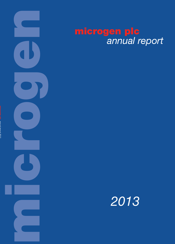

*annual report 2013*

# microgen plc *annual report*

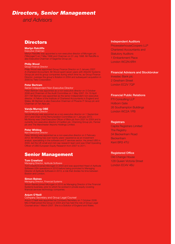### *Directors, Senior Management*

*and Advisors*

### **Directors**

#### **Martyn Ratcliffe**

#### Executive Chairman

Martyn Ratcliffe was appointed a non-executive director of Microgen plc ("Microgen") on 7 May 1998 and Chairman on 31 July 1998. Mr Ratcliffe is also Executive Chairman of Sagentia Group plc.

#### **Philip Wood**

#### Group Finance Director

Philip Wood was appointed Group Finance Director on 2 January 2007. A Chartered Accountant, Mr Wood spent seven years with AttentiV Systems Group plc and its group companies during which time he, as Group Finance Director, oversaw the group's flotation in 2004 and subsequent acquisition in 2005 by Tieto Corporation.

#### **Peter Bertram**

#### Senior Independent Non-Executive Director

Peter Bertram was appointed as a non-executive director on 3 October 2006 and Chairman of the Audit Committee on 1 May 2007. On 19 April 2011 Mr Bertram was appointed as the senior independent non-executive director. A Fellow of the Institute of Chartered Accountants in England and Wales, Mr Bertram is also Executive Chairman of Phoenix IT Group plc and Chairman of Ten Alps plc.

#### **Vanda Murray OBE**

#### Non-Executive Director

Vanda Murray was appointed as a non-executive director on 1 September 2011 and Chair of the Remuneration Committee on 1 January 2012. Ms Murray was Chief Executive Officer of Blick plc from 2001 to 2004 and is currently non-executive director of Carillion plc, Chemring Group plc, Fenner plc and The Manchester Airports Holdings Limited.

#### **Peter Whiting**

#### Non-Executive Director

Peter Whiting was appointed as a non-executive director on 2 February 2012. Mr Whiting has over twenty years' experience as an investment analyst, specialising in the software and IT services sector. He joined UBS in 2000, led the UK small and mid-cap research team and was Chief Operating Officer of UBS European Equity Research from 2007 to 2011.

### Senior Management

#### **Tom Crawford**

#### Managing Director, Aptitude Software

Tom Crawford joined Microgen in 2003 and was appointed Head of Aptitude Software USA operations in 2010 before being promoted to Managing Director of Aptitude Software in 2013, a role that divides his time between Boston and London.

#### **Simon Baines**

#### Managing Director, Financial Systems

Simon Baines joined Microgen in 2010 as Managing Director of the Financial Systems business, prior to which he worked in private equity covering financial services technology companies.

#### **Anjum O'Neill**

#### Company Secretary and Group Legal Counsel

Anjum O'Neill was appointed as Company Secretary on 7 October 2008. Mrs O'Neill joined the Group in 2004 and has held the role of Group Legal Counsel since 1 March 2007. She is a Solicitor of England and Wales.

#### Independent Auditors

PricewaterhouseCoopers LLP Chartered Accountants and **Statutory Auditors** 1 Embankment Place London WC2N 6RH

#### Financial Advisors and Stockbroker

Investec Bank plc 2 Gresham Street London EC2V 7QP

#### Financial Public Relations

FTI Consulting LLP Holborn Gate 26 Southampton Buildings London WC2A 1PB

#### **Registrars**

Capita Registrars Limited The Registry 34 Beckenham Road Beckenham Kent BR3 4TU

#### Registered Office

Old Change House 128 Queen Victoria Street London EC4V 4BJ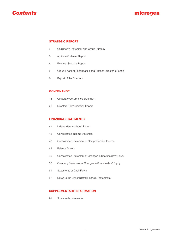

#### **STRATEGIC REPORT**

- Chairman's Statement and Group Strategy
- Aptitude Software Report
- Financial Systems Report
- Group Financial Performance and Finance Director's Report
- Report of the Directors

#### **GOVERNANCE**

- Corporate Governance Statement
- Directors' Remuneration Report

#### **FINANCIAL STATEMENTS**

- Independent Auditors' Report
- Consolidated Income Statement
- Consolidated Statement of Comprehensive Income
- Balance Sheets
- Consolidated Statement of Changes in Shareholders' Equity
- Company Statement of Changes in Shareholders' Equity
- Statements of Cash Flows
- Notes to the Consolidated Financial Statements

#### **SUPPLEMENTARY INFORMATION**

Shareholder Information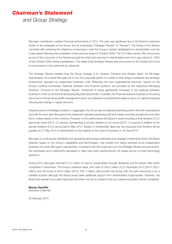## *Chairman's Statement*

*and Group Strategy*

Microgen maintained a resilient financial performance in 2013. The year was significant due to the Board's extensive review of the strategies of the Group and its businesses ("Strategic Review" or "Review"). The timing of the Review coincided with achieving the milestone of returning in cash the Group's market capitalisation to shareholders over the 5 year period following the completion of the previous review in October 2008. The £10 million tender offer announced as one of the outcomes of the Review brought the total cash returned to shareholders over the 5 year period to 130% of the October 2008 market capitalisation. The detail of the Strategic Review was announced on 29 October 2013 and is incorporated in this statement by reference.

The Strategic Review detailed that the Group strategy is to "Acquire, Enhance and Realise Value" for Microgen shareholders. As a result Microgen plc is now the corporate parent of a series of technology businesses and strategic investments, operated as independent business units. Reflecting the new organisational structure, reports on the Group's existing businesses, Aptitude Software and Financial Systems, are provided by the respective Managing Directors. Pursuant to the Strategic Review, investment is being significantly increased in the Aptitude Software business in order to pursue the developing Big Data opportunity. In parallel, the Financial Systems business is focussing resources on the growing wealth management sector and delivered a substantial increase in return on capital employed following the change in capital structure.

Despite a period of strategic evolution, in aggregate, the Group reports adjusted operating profit in line with expectations and with the prior year (throughout this statement adjusted operating profit and margin excludes exceptional and other items, unless stated to the contrary). Pursuant to this performance the Board is recommending a final dividend of 2.2 pence per share (2012: 2.2 pence), representing a full year dividend of 3.3 pence (2012: 3.3 pence) in addition to the special dividend of 5.2 pence paid in May 2013. Subject to shareholder approval, the proposed final dividend will be payable on 27 May 2014 to shareholders on the register at the close of business on 25 April 2014.

Microgen is continuously identifying and appraising technology businesses and strategic investments which the Board believes, based on the Group's capabilities and technologies, may benefit from being operated as an independent business unit under Microgen's stewardship. Consistent with the scope set out in the Strategic Review announcement, the businesses and investments appraised to date have been predominantly UK based across a broad technology spectrum.

During 2013, Microgen returned £17.0 million of cash to shareholders through dividends and the tender offer which completed in December. The Group's balance sheet, with cash of £40.2 million at 31 December 2013 (2012: £32.1 million) and net funds of £20.9 million (2012: £32.1 million), still provides the Group with the cash resources to be a credible acquirer although the Board would seek additional support from shareholders if appropriate. However, the Board will maintain its prudent approach and there can be no certainty that any material acquisition will be completed.

#### **Martyn Ratcliffe**

Executive Chairman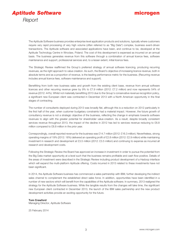

The Aptitude Software business provides enterprise level application products and solutions, typically where customers require very rapid processing of very high volume (often referred to as "Big Data") complex, business event-driven transactions. The Aptitude software and associated applications have been, and continue to be, developed at the Aptitude Technology Centre in Wroclaw, Poland. The cost of this development is expensed as incurred on an annual basis. The business generates revenue from this software through a combination of annual licence fees, software maintenance and support, professional services and, to a lesser extent, initial licence fees.

The Strategic Review reaffirmed the Group's preferred strategy of annual software licencing, producing recurring revenues, as the right approach to value creation. As such, the Board's objective of increasing licence revenue, both in absolute terms and as a proportion of revenue, is the leading performance metric for the business. (Recurring revenue includes annual licence fees, software maintenance and support).

Benefitting from both new business sales and growth from the existing client base, revenue from annual software licences and other recurring revenue grew by 9% to £7.9 million (2012: £7.2 million) and now represents 54% of revenue (2012: 44%). Whilst not materially benefitting 2013 due to the Group's conservative revenue recognition policy, a significant new European client was contracted in December 2013 with a North American opportunity in the final stages of contracting.

The number of consultants deployed during 2013 was broadly flat, although this is a reduction on 2012 particularly in the first half of the year, when customer budgetary constraints had a material impact. However, the future growth of consultancy revenue is not a strategic objective of the business, reflecting the change in emphasis towards software revenues to align with the greater potential for shareholder value-creation. As a result, despite broadly consistent services revenue throughout 2013, the impact of the decline in 2012 has led to services revenue reducing to £6.8 million compared to £8.8 million in the prior year.

Correspondingly, overall reported revenue for the business was £14.7 million (2012: £16.3 million). Nevertheless, strong operating margins of 19% (2012: 18%) delivered an operating profit of £2.8 million (2012: £2.9 million) while maintaining investment in research and development at £3.5 million (2012: £3.5 million) and continuing to expense as incurred all research and development costs.

Following the Strategic Review the Board has approved an increase in investment in order to pursue the potential from the Big Data market opportunity at a level such that the business remains profitable and cash flow positive. Details of the areas of investment were described in the Strategic Review including product development of a Hadoop interface which will expand the multi-platform Aptitude offering. Costs incurred in 2013 related to these investments have not been significant.

In 2014, the Aptitude Software business has commenced a sales partnership with IBM, further developing the indirect sales channel to complement the established direct sales force. In addition, opportunities have been identified in a number of new sectors which will benefit from the capabilities of the Aptitude software. In summary, 2013 realigned the strategy for the Aptitude Software business. While the tangible results from the changes will take time, the significant new European client contracted in December 2013, the launch of the IBM sales partnership and the new product development activities provide an exciting opportunity for the future.

#### **Tom Crawford**

Managing Director, Aptitude Software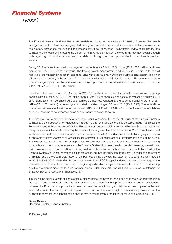

The Financial Systems business has a well-established customer base with an increasing focus on the wealth management sector. Revenues are generated through a combination of annual licence fees, software maintenance and support, professional services and, to a lesser extent, initial licence fees. The Strategic Review concluded that the business should focus on increasing the proportion of revenue derived from the wealth management sector through both organic growth and add-on acquisitions while continuing to explore opportunities in other financial services sectors.

During 2013 revenue from wealth management products grew 7% to £8.0 million (2012: £7.5 million) and now represents 53% (2012: 47%) of revenue. The leading wealth management product, 5Series, continues to be well received by the market with adoption increasing in line with expectations. In 2013, the business contracted with a major US bank and is currently in the process of implementing the largest ever 5Series deployment. The other more mature product categories, and non-financial services offerings in particular, continued to decline, as anticipated, with revenue in 2013 of £7.1 million (2012: £8.5 million).

Overall reported revenue was £15.1 million (2012: £16.0 million), in line with the Board's expectations. Recurring revenues account for 79% (2012: 78%) of the revenue, with 28% of revenue being generated by its top 5 clients (2012: 28%). Benefitting from continued tight cost control, the business reported strong adjusted operating profits of £8.1 million (2012: £8.4 million) representing an adjusted operating margin of 54% in 2013 (2012: 53%). The expenditure on research, development and support activities in 2013 was £2.2 million (2012: £2.2 million) the costs of which have been, and continue to be, expensed on an annual basis with no capitalisation.

The Strategic Review provided the catalyst for the Board to consider the capital structure of the Financial Systems business and the opportunity for Microgen to manage the business using a more efficient capital model. As a result the Review announced the agreement of a £20 million bank loan, secured solely against the Financial Systems business at a very competitive interest rate, reflecting the consistently strong cash flow from the business. £5 million of the received funds were retained by the business to fund add-on acquisitions with £15 million distributed to Microgen plc. The loan is repayable over five years with an annual capital repayment of £3 million and the remainder at the end of the period. The interest rate has been fixed by an appropriate financial instrument at 3.24% over the five year period. Operating covenants are limited to the performance of the Financial Systems business based on net debt leverage, interest cover and a minimum cash balance of £3 million being held within the business. Furthermore, in the event of a default by the Financial Systems business, Microgen plc has the option, but not the obligation, to remedy. Following the agreement of this loan and the capital reorganisation of the business during the year, the Return on Capital Employed ("ROCE") for 2013 is 30% (2012: 18%). (For the purposes of calculating ROCE, capital is defined as being the average of the consolidated net assets of the business at the beginning and end of each year). The interest cost in 2013, representing only the two months since the loan was advanced on 29 October 2013, was £0.1 million. The loan outstanding at 31 December 2013 was £19.3 million (2012: £nil).

In pursuing the major strategic objective of the business, namely to increase the proportion of revenues generated from the wealth management sector, the business has continued to identify and appraise a number of add-on acquisitions. However, the Board remains prudent and there can be no certainty that any acquisitions will be completed in the near future. Meanwhile, the existing Financial Systems business benefits from its high level of recurring revenues and the business is confident the adoption of the 5Series wealth management product will continue to progress in 2014.

#### **Simon Baines**

Managing Director, Financial Systems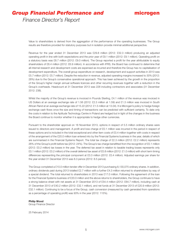### *Group Financial Performance and*

### microgen

*Finance Director's Report*

Value to shareholders is derived from the aggregation of the performance of the operating businesses. The Group results are therefore provided for statutory purposes but in isolation provide minimal additional perspective.

Revenue for the year ended 31 December 2013 was £29.8 million (2012: £32.3 million) producina an adiusted operating profit in line with both expectations and the prior year of £9.1 million (2012: £9.1 million). Operating profit on a statutory basis was £8.7 million (2012: £9.0 million). The Group reported a profit for the year attributable to equity shareholders of £6.4 million (2012: £6.9 million). In accordance with IFRS, the Board has continued to determine that all internal research and development costs are expensed as incurred and therefore the Group has no capitalisation of development expenditure. The overall group expenditure on research, development and support activities in 2013 was £5.7 million (2012: £5.7 million). Despite the reduction in revenue, adjusted operating margins increased to 30% (2012: 28%) due to the Group's conservative operational approach. This has been achieved by the growth in the proportion of the Group's higher margin annual software licences and other recurring revenues together with a reduction in the Group's overheads. Headcount at 31 December 2013 was 228 including contractors and associates (31 December 2012: 238).

Whilst the majority of the Group's revenue is invoiced in Pounds Sterling, £4.1 million of the revenue was invoiced in US Dollars at an average exchange rate of 1.56 (2012: £2.3 million at 1.59) and £1.3 million was invoiced in South African Rand at an average exchange rate of 15.22 (2012: £1.5 million at 13.04). It is Microgen's policy to hedge foreign exchange cash flows once the size and timing of transactions can be predicted with sufficient certainty. To date only the costs in relation to the Aptitude Technology Centre in Poland are hedged but in light of the changes in the business the Board continue to monitor whether it is appropriate to hedge other currencies.

Pursuant to the shareholder approval on 18 November 2013, options in respect of 5.5 million ordinary shares were issued to directors and management. A profit and loss charge of £0.1 million was incurred in the period in respect of these options and is included in the total exceptional and other item costs of £0.4 million together with costs in respect of the arrangement of the £20.0 million loan entered into by the Financial Systems business in the year, details of which are summarised in the Financial Systems Report. The total tax charge of £2.3 million (2012: £2.2 million) represents 26% of the Group's profit before tax (2012: 24%). The Group's tax charge benefitted from the recognition of £0.1 million (2012: £0.2 million) tax losses in the year. The deferred tax asset in relation to taxable trading losses represents only £0.1 million (2012: £0.2 million) of the overall deferred tax asset of £0.8 million (2012: £1.0 million) with short term timing differences representing the principal component at £0.3 million (2012: £0.4 million). Adjusted earnings per share for the year ended 31 December 2013 was 8.3 pence (2012: 8.5 pence).

The Group completed a £10.0 million tender offer in December 2013 purchasing 8,130,075 ordinary shares. In addition, ordinary dividends paid during 2013 totalled £2.7 million with a further £4.3 million returned to shareholders by way of a special dividend. The total returned to shareholders in 2013 was £17.0 million. Following the agreement of the loan for the Financial Systems business of £20.0 million and the above returns to shareholders, the Group continues to have a strong balance sheet with net assets at 31 December 2013 of £54.4 million (2012: £64.7 million), including cash at 31 December 2013 of £40.2 million (2012: £32.1 million), and net funds at 31 December 2013 of £20.9 million (2012: £32.1 million). Continuing to be a focus of the Group, cash conversion (measured by cash generated from operations as a percentage of operating profit) was 93% in the year (2012: 115%).

#### **Philip Wood**

Group Finance Director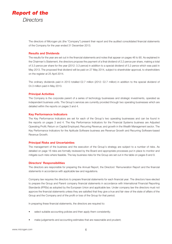

The directors of Microgen plc (the "Company") present their report and the audited consolidated financial statements of the Company for the year ended 31 December 2013.

#### **Results and Dividends**

The results for the year are set out in the financial statements and notes that appear on pages 46 to 90. As explained in the Chairman's Statement, the directors propose the payment of a final dividend of 2.2 pence per share, making a total of 3.3 pence per share for the year (2012: 3.3 pence) in addition to a special dividend of 5.2 pence which was paid in May 2013. The proposed final dividend will be paid on 27 May 2014, subject to shareholder approval, to shareholders on the register at 25 April 2014.

The ordinary dividends paid in 2013 totalled £2.7 million (2012: £2.7 million) in addition to the special dividend of £4.3 million paid in May 2013.

#### **Principal Activities**

The Company is the corporate parent of a series of technology businesses and strategic investments, operated as independent business units. The Group's services are currently provided through two operating businesses which are detailed within the reports on pages 3 and 4.

#### **Key Performance Indicators**

The Key Performance Indicators are set for each of the Group's two operating businesses and can be found in the reports on pages 3 and 4. The Key Performance Indicators for the Financial Systems business are Adjusted Operating Profit; Return on Capital Employed; Recurring Revenue; and growth in the Wealth Management sector. The Key Performance Indicators for the Aptitude Software business are Revenue Growth and Recurring Software-based Revenue Growth.

#### **Principal Risks and Uncertainties**

The management of the business and the execution of the Group's strategy are subject to a number of risks. As detailed on page 16 risks are formally reviewed by the Board and appropriate processes put in place to monitor and mitigate such risks where feasible. The key business risks for the Group are set out in the table on pages 8 and 9.

#### **Directors' Responsibilities**

The directors are responsible for preparing the Annual Report, the Directors' Remuneration Report and the financial statements in accordance with applicable law and regulations.

Company law requires the directors to prepare financial statements for each financial year. The directors have elected to prepare the Group and Parent company financial statements in accordance with International Financial Reporting Standards (IFRSs) as adopted by the European Union and applicable law. Under company law the directors must not approve the financial statements unless they are satisfied that they give a true and fair view of the state of affairs of the Group and the Company and of the profit or loss of the Group for that period.

In preparing these financial statements, the directors are required to:

- select suitable accounting policies and then apply them consistently;
- make judgements and accounting estimates that are reasonable and prudent;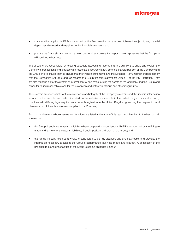- state whether applicable IFRSs as adopted by the European Union have been followed, subject to any material departures disclosed and explained in the financial statements; and
- prepare the financial statements on a going concern basis unless it is inappropriate to presume that the Company will continue in business.

The directors are responsible for keeping adequate accounting records that are sufficient to show and explain the Company's transactions and disclose with reasonable accuracy at any time the financial position of the Company and the Group and to enable them to ensure that the financial statements and the Directors' Remuneration Report comply with the Companies Act 2006 and, as regards the Group financial statements, Article 4 of the IAS Regulation. They are also responsible for the system of internal control and safeguarding the assets of the Company and the Group and hence for taking reasonable steps for the prevention and detection of fraud and other irregularities.

The directors are responsible for the maintenance and integrity of the Company's website and the financial information included in the website. Information included on the website is accessible in the United Kingdom as well as many countries with differing legal requirements but only legislation in the United Kingdom governing the preparation and dissemination of financial statements applies to the Company.

Each of the directors, whose names and functions are listed at the front of this report confirm that, to the best of their knowledge:

- the Group financial statements, which have been prepared in accordance with IFRS, as adopted by the EU, give a true and fair view of the assets, liabilities, financial position and profit of the Group; and
- the Annual Report, taken as a whole, is considered to be fair, balanced and understandable and provides the information necessary to assess the Group's performance, business model and strategy. A description of the principal risks and uncertainties of the Group is set out on pages 8 and 9.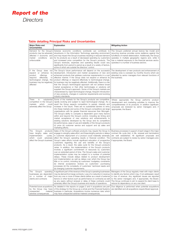

#### **Table detailing Principal Risks and Uncertainties**

| <b>Major Risks and</b><br><b>Uncertainties</b>                                                                                                                                      | Explanation                                                                                                                                                                                                                                                                                                                                                                                                                                                                                                                                                                                                                                                                                                                                                                                                                                                                                                                                                                                                                                                                                                                            | <b>Mitigating Action</b>                                                                                                                                                                                                                                                                                                                           |
|-------------------------------------------------------------------------------------------------------------------------------------------------------------------------------------|----------------------------------------------------------------------------------------------------------------------------------------------------------------------------------------------------------------------------------------------------------------------------------------------------------------------------------------------------------------------------------------------------------------------------------------------------------------------------------------------------------------------------------------------------------------------------------------------------------------------------------------------------------------------------------------------------------------------------------------------------------------------------------------------------------------------------------------------------------------------------------------------------------------------------------------------------------------------------------------------------------------------------------------------------------------------------------------------------------------------------------------|----------------------------------------------------------------------------------------------------------------------------------------------------------------------------------------------------------------------------------------------------------------------------------------------------------------------------------------------------|
| Demand for the Group's<br>products may be adversely<br>affected if economic and<br>market<br>conditions<br>are<br>unfavourable                                                      | Adverse economic conditions worldwide can contribute to<br>slowdowns in the Information Technology spending environment<br>and may impact the Group's business resulting in reduced demand<br>for its products as a result of decreased spending by customers<br>and increased price competition for the Group's products. The<br>Group's revenues, expenses and operating results could vary<br>significantly from period to period as a result of a variety of factors,<br>some of which are outside the directors' control.                                                                                                                                                                                                                                                                                                                                                                                                                                                                                                                                                                                                         | The Group's preferred annual licence fee model and<br>recurring revenue provides some resilience against the<br>full effects of market deterioration. Additionally, the Group<br>operates in multiple geographic regions and, while it<br>has a material exposure to the financial services sector,<br>operates in a number of business sectors.   |
| If the Group does not<br>expand or enhance its<br>product<br>offerings<br>or<br>respond<br>effectively<br>to<br>technological change, the<br>business may be negatively<br>affected | The Group's future performance will depend on the successful<br>development, introduction and market acceptance of new and<br>enhanced products that address customer requirements in a cost<br>effective manner. If the Group does not expand or enhance its<br>product offerings or respond effectively to technological change,<br>its business may be negatively affected. Additionally, there is a risk<br>that the Group's technological approach will not achieve broad<br>market acceptance or that other technologies or solutions will<br>supplant the Group's approach. Some of the Group's markets are<br>characterised by rapid technological change, frequent introduction<br>of new products, changes in customer requirements and evolving<br>industry standards.                                                                                                                                                                                                                                                                                                                                                      | The development of new products and enhancement of<br>existing ones is overseen by monthly forums which are<br>attended by senior managers from relevant functions of<br>the business.                                                                                                                                                             |
| There<br>is<br>substantial<br>competition in the Group's<br>could<br>markets<br>which<br>adversely affect the Group                                                                 | Some of the markets for the Group's products are competitive,<br>rapidly evolving and subject to rapid technological change. As a<br>result the Group expects competition to persist, intensify and<br>increase in the future. There are no substantial barriers to entry<br>into these markets and some of the Group's competitors are large<br>organisations with far greater financial resources than Microgen.<br>The Group's ability to compete is dependent upon many factors<br>within and beyond the Group's control, including (a) timing and<br>market acceptance of new solutions and enhancements to<br>existing solutions developed by the Group and its competitors<br>(b) performance, ease of use and reliability of the Group's products<br>(c) price (d) customer service and support and (e) sales and<br>marketing efforts.                                                                                                                                                                                                                                                                                        | Where appropriate the Group performs product<br>development and marketing activities to improve the<br>competitiveness of its products. In addition significant<br>proposals are reviewed by senior managers and, if<br>appropriate, the Board.                                                                                                    |
| Group's<br>products<br>The<br>have lengthy sales and<br>implementation<br>cycles,<br>which could<br>adversely<br>affect the Group's business                                        | Sales of the Group's software products may require the Group to<br>engage in a lengthy sales effort, and these lengthy periods or delays<br>in customer deployment of a product could materially adversely<br>affect the Group's operating results or financial condition. The<br>Group's sales efforts include significant education of prospective<br>customers regarding the use and benefits of the Group's<br>products. As a result, the sales cycle for the Group's products<br>varies. In addition, the implementation of the Group's products<br>involves a significant commitment of resources by customers<br>over an extended period of time. The Group's sales and customer<br>implementation cycles may be subject to a number of potential<br>delays. These include delays related to product development<br>and implementation as well as delays over which the Group has<br>little or no control, including (a) customers' budgetary constraints<br>(b) internal acceptance reviews (c) customers' purchasing<br>processes (d) the complexity of customers' technical needs and<br>(e) changing customer requirements. | Business processes in support of each stage in the major<br>contract life cycle (bid, in life, renewal and termination)<br>are well established. All significant proposals and<br>contracts are subject to review by senior managers and,<br>if appropriate, the Board.                                                                            |
| The Group's<br>operating<br>businesses are dependent<br>on a number of major<br>clients and contracts                                                                               | A significant part of the revenue of the Group's operating businesses<br>may be derived from large contracts. Loss of or reduction in revenue<br>from any one or more of these clients (either as a result of external<br>factors or other factors such as performance on contracts) as well<br>as any expiry without renewal or delay of these contracts could<br>adversely affect the Group's business and results of operations.                                                                                                                                                                                                                                                                                                                                                                                                                                                                                                                                                                                                                                                                                                    | Managers of the Group regularly meet with major clients<br>to identify any factors which may, if not addressed, result<br>in loss of revenue. Any significant issues are reported<br>to the senior managers and, if appropriate, the Board.<br>The Group continues to aim to expand its client base to<br>reduce its dependency on any one client. |
| Potential future acquisitions<br>by the Group may have<br>unexpected<br>material<br>adverse consequences                                                                            | As detailed in the reports on pages 2 and 4 acquisitions are part<br>of the strategy for the Group as a whole and the Financial Systems<br>business in particular. Acquisitions involve numerous risks which<br>may have unexpected adverse material consequences.                                                                                                                                                                                                                                                                                                                                                                                                                                                                                                                                                                                                                                                                                                                                                                                                                                                                     | Due diligence is performed when potential acquisitions<br>are identified and all acquisitions require Board approval.                                                                                                                                                                                                                              |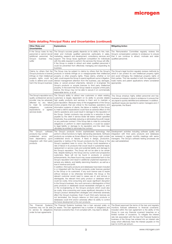#### **Table detailing Principal Risks and Uncertainties (continued)**

| <b>Other Risks and</b><br><b>Uncertainties</b>                                                                                                                                                                          | <b>Explanations</b>                                                                                                                                                                                                                                                                                                                                                                                                                                                                                                                                                                                                                                                                                                                                                                                                                                                                                                                                                                                                                                                                                                                                                                                                                                                                                                                                                                                                                                                                                                                                                                                                                                                                                                                                                                                                                                                                                                                                                                                                                                                                                                        | <b>Mitigating Action</b>                                                                                                                                                                                                                                                                                                                                                                                                                                                                                |
|-------------------------------------------------------------------------------------------------------------------------------------------------------------------------------------------------------------------------|----------------------------------------------------------------------------------------------------------------------------------------------------------------------------------------------------------------------------------------------------------------------------------------------------------------------------------------------------------------------------------------------------------------------------------------------------------------------------------------------------------------------------------------------------------------------------------------------------------------------------------------------------------------------------------------------------------------------------------------------------------------------------------------------------------------------------------------------------------------------------------------------------------------------------------------------------------------------------------------------------------------------------------------------------------------------------------------------------------------------------------------------------------------------------------------------------------------------------------------------------------------------------------------------------------------------------------------------------------------------------------------------------------------------------------------------------------------------------------------------------------------------------------------------------------------------------------------------------------------------------------------------------------------------------------------------------------------------------------------------------------------------------------------------------------------------------------------------------------------------------------------------------------------------------------------------------------------------------------------------------------------------------------------------------------------------------------------------------------------------------|---------------------------------------------------------------------------------------------------------------------------------------------------------------------------------------------------------------------------------------------------------------------------------------------------------------------------------------------------------------------------------------------------------------------------------------------------------------------------------------------------------|
| If the Group loses its key<br>personnel or cannot recruit<br>additional personnel, the<br>Group's<br>business<br>may<br>suffer                                                                                          | The Group's success greatly depends on its ability to hire, train,<br>retain and motivate qualified personnel, particularly in sales,<br>marketing, research and development, consultancy services and<br>support. The Group faces significant competition for individuals<br>with the skills required to perform the services the Group will offer.<br>If the Group is unable to attract and retain qualified personnel it<br>could be prevented from effectively managing and expanding its<br>business.                                                                                                                                                                                                                                                                                                                                                                                                                                                                                                                                                                                                                                                                                                                                                                                                                                                                                                                                                                                                                                                                                                                                                                                                                                                                                                                                                                                                                                                                                                                                                                                                                 | The Remuneration Committee regularly reviews the<br>Group's compensation policies to endeavour to ensure<br>that it can continue to attract, motivate and retain<br>qualified personnel.                                                                                                                                                                                                                                                                                                                |
| Claims by others that the<br>Group's products or brands<br>infringe on their intellectual<br>property rights could be<br>costly to defend and could<br>harm the Group's business                                        | The Group may be subject to claims by others that the Group's<br>products or brands infringe on or misappropriate their intellectual<br>property or other property rights. These claims, whether or not<br>valid, could require the Group to spend significant sums in litigation,<br>distract management attention from the business, pay damages,<br>delay or cancel product shipments, rebrand or re-engineer the<br>Group's products or acquire licences to third party intellectual<br>property. In the event that the Group needs to acquire a third party<br>licence, the Group may not be able to secure it on commercially<br>reasonable terms, or at all.                                                                                                                                                                                                                                                                                                                                                                                                                                                                                                                                                                                                                                                                                                                                                                                                                                                                                                                                                                                                                                                                                                                                                                                                                                                                                                                                                                                                                                                        | The Group's legal function regularly reviews methods by<br>which it can protect its own intellectual property rights<br>and avoid infringing the intellectual property rights of<br>third parties. This has resulted in both the registration of<br>trade marks and patent applications where considered<br>appropriate.                                                                                                                                                                                |
| The Group's reputation as a<br>quality professional service<br>provider may be adversely<br>affected by any failure<br>to meet its contractual<br>obligations,<br>customer<br>expectations or agreed<br>services levels | The Group's ability to attract new customers or retain existing<br>customers is largely dependent on its ability to provide reliable<br>high quality products and services to them and to maintain a<br>good reputation. Because many of the engagements of the Group<br>involve projects that are critical to the business operations and<br>information systems of clients, the failure or inability of the Group<br>to meet a client's expectations could have an adverse effect on the<br>client's operations and could result in damage to the reputation of<br>the Group. Certain contracts may provide for a reduction in fees<br>payable by the client if service levels fall below certain specified<br>thresholds, thus potentially reducing or eliminating the profit margin<br>on any particular contract. If the Group fails to meet its contractual<br>obligations or perform to client expectations, it could be subject<br>to legal liability or damage to its reputation and the client may<br>ultimately be entitled to terminate the contract.                                                                                                                                                                                                                                                                                                                                                                                                                                                                                                                                                                                                                                                                                                                                                                                                                                                                                                                                                                                                                                                          | The Group employs highly skilled personnel and has<br>business processes in place to endeavour to ensure that<br>any lapse is quickly identified and addressed. In addition,<br>significant issues are reported to senior managers and, if<br>appropriate, the Board.                                                                                                                                                                                                                                   |
| Group's<br>The<br>software<br>products may contain<br>undetected errors and<br>have dependency upon<br>integration with third party<br>products                                                                         | The Group's products involve sophisticated technology that<br>perform critical functions to highly demanding standards. Software<br>products as complex as those offered by the Group might contain<br>undetected errors or failures. If flaws in design, production,<br>assembly or testing of the Group's products (by the Group or the<br>Group's suppliers) were to occur, the Group could experience a<br>rate of failure in its products that would result in substantial repair,<br>replacement or service costs and potential liability and damage to<br>the Group's reputation. The Group will not be able to be certain<br>that, despite testing by the Group and by current and prospective<br>customers, flaws will not be found in products or product<br>enhancements. Any flaws found may cause substantial harm to the<br>Group's reputation and result in additional unplanned expenses to<br>remedy any defects, and liability stemming therefrom, as well as a<br>loss in revenue and profit.<br>In addition, third party products and databases have been included<br>in or integrated with the Group's products under licences granted<br>to the Group or its customers. If any such licence was to expire<br>without renewal or be otherwise terminated, the Group or the<br>relevant customer would need to cease use of, and remove or<br>disintegrate, the relevant third party product or database which<br>could be costly, time-consuming and cause significant disruption<br>to the Group's business. Any such removal or disintegration of third<br>party products or databases would necessitate changes to, and/<br>or the re-engineering of, the Group's products which could also<br>be costly, time-consuming and cause significant disruption to the<br>Group's product development strategies and otherwise adversely<br>affect the Group's business. Even if such third party licences are<br>not terminated, the Group's reliance on third party products or<br>databases could limit and/or adversely affect its ability to control<br>the future development of its own products. | Development activities including software quality and<br>integration with third party products and databases<br>are reviewed in regular monthly meetings with senior<br>managers. The Group's software testing processes are<br>also well established.                                                                                                                                                                                                                                                  |
| Financial<br>Systems<br>The<br>business may not be able<br>to service its obligations<br>under its loan agreements                                                                                                      | The Financial Systems business has a loan secured solely on<br>its assets. The loan agreement has a number of obligations and<br>financial covenants that, if not complied with, may lead to default.                                                                                                                                                                                                                                                                                                                                                                                                                                                                                                                                                                                                                                                                                                                                                                                                                                                                                                                                                                                                                                                                                                                                                                                                                                                                                                                                                                                                                                                                                                                                                                                                                                                                                                                                                                                                                                                                                                                      | The Board approved the terms of the loan and regularly<br>monitors forecast adherence to financial covenants.<br>Included within the loan agreement is the ability of the<br>Group to cure any financial covenant breaches on a<br>limited number of occasions. To mitigate the interest<br>rate risk associated with the loan the Financial Systems<br>business of the Group has entered into an interest rate<br>swap which effectively fixes the interest payable on the<br>loan to 3.24% per annum. |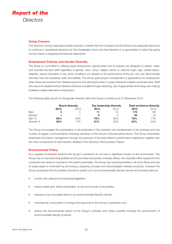

#### **Going Concern**

The directors, having made appropriate enquiries, consider that the Company and the Group have adequate resources to continue in operational existence for the foreseeable future and that therefore it is appropriate to adopt the going concern basis in preparing the financial statements.

#### **Employment Policies and Gender Diversity**

The Group is committed to offering equal employment opportunities and its policies are designed to attract, retain and motivate the best staff regardless of gender, race, colour, religion, ethnic or national origin, age, marital status, disability, sexual orientation or any other conditions not relevant to the performance of the job, who can demonstrate that they have the necessary skills and abilities. The Group gives proper consideration to applications for employment when these are received from disabled persons and will employ them in posts whenever suitable vacancies arise. Staff who become disabled will be retained whenever possible through retraining, use of appropriate technology and making available suitable alternative employment.

The following table reports on the gender diversity within the Group's workforce at 31 December 2013:

|         | <b>Board diversity</b> |      |      | Top leadership diversity | <b>Total workforce diversity</b> |      |
|---------|------------------------|------|------|--------------------------|----------------------------------|------|
|         | 2013                   | 2012 | 2013 | 2012                     | 2013                             | 2012 |
| Men     | 4                      |      |      | 12                       | 173                              | 183  |
| Women   |                        |      |      |                          | 55                               | 55   |
| Men %   | 80%                    | 83%  | 79%  | 80%                      | 76%                              | 77%  |
| Women % | 20%                    | 17%  | 21%  | 20%                      | 24%                              | 23%  |

The Group encourages the participation of all employees in the operation and development of the business and has a policy of regular communications including overviews of the Group's financial performance. The Group incentivises employees and senior management through the payment of bonuses linked to performance objectives, together with the other components of remuneration detailed in the Directors' Remuneration Report.

#### **Environmental Policy**

As a supplier of software solutions the Group's operations do not have a significant impact on the environment. The Group has no manufacturing facilities and its premises exclusively comprise offices. Any obsolete office equipment and computers are resold or recycled to the extent practicable. The Group has recycling facilities in all of its offices and use of waste paper is minimised by promoting a paperless process and downloadable software products. However the Group recognises that its activities should be carried out in an environmentally friendly manner and therefore aims to:

- comply with relevant environmental legislation;
- reduce waste and, where practicable, re-use and recycle consumables;
- dispose of non-recyclable items in an environmentally friendly manner;
- minimise the consumption of energy and resources in the Group's operations; and
- reduce the environmental impact of the Group's activities and where possible increase the procurement of environmentally friendly products.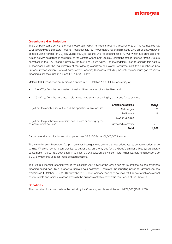#### **Greenhouse Gas Emissions**

The Company complies with the greenhouse gas ("GHG") emissions reporting requirements of The Companies Act 2006 (Strategic and Directors' Reports) Regulations 2013. The Company reports all material GHG emissions, wherever possible using 'tonnes of CO<sub>2</sub>-equivalent' ("tCO<sub>2</sub>e") as the unit, to account for all GHGs which are attributable to human activity, as defined in section 92 of the Climate Change Act 2008(a). Emissions data is reported for the Group's operations in the UK, Poland, Guernsey, the USA and South Africa. The methodology used to compile this data is in accordance with the requirements of the following standards: the World Resources Institute's Greenhouse Gas Protocol (revised version); Defra's Environmental Reporting Guidelines: Including mandatory greenhouse gas emissions reporting guidance (June 2013) and ISO 14064 – part 1.

Material GHG emissions from business activities in 2013 totalled 1,009 tCO<sub>2</sub>e, consisting of:

- $246$  tCO<sub>2</sub>e from the combustion of fuel and the operation of any facilities; and
- $\bullet$  763 tCO<sub>2</sub>e from the purchase of electricity, heat, steam or cooling by the Group for its own use.

|                                                                                   | <b>Emissions source</b> | tCO <sub>se</sub> |
|-----------------------------------------------------------------------------------|-------------------------|-------------------|
| CO <sub>2</sub> e from the combustion of fuel and the operation of any facilities | Natural gas             | 126               |
|                                                                                   | Refrigerant             | 118               |
| $CO2e$ from the purchase of electricity, heat, steam or cooling by the            | Owned vehicles          | 2                 |
| company for its own use                                                           | Purchased electricity   | 763               |
|                                                                                   | Total                   | 1,009             |

Carbon intensity ratio for this reporting period was 33.8 tCO2e per £1,000,000 turnover.

This is the first year that carbon footprint data has been gathered so there is no previous year to compare performance against. Where it has not been practical to gather data on energy use for the Group's smaller offices typical energy consumption figures have been used. In addition, a CO<sub>2</sub> equivalent conversion factor is not available for all locations so a CO<sub>2</sub> only factor is used for those affected locations.

The Group's financial reporting year is the calendar year, however the Group has set its greenhouse gas emissions reporting period back by a quarter to facilitate data collection. Therefore, the reporting period for greenhouse gas emissions is 1 October 2012 to 30 September 2013. The Company reports on sources of GHG over which operational control is held and which are associated with the business activities covered in this Report of the Directors.

#### **Donations**

The charitable donations made in the period by the Company and its subsidiaries total £1,000 (2012: £250).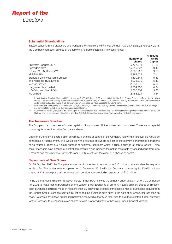

#### **Substantial Shareholdings**

In accordance with the Disclosure and Transparency Rules of the Financial Conduct Authority, as at 25 February 2014, the Company had been advised of the following notifiable interests in its voting rights:

|                                   |            | $%$ Issued   |
|-----------------------------------|------------|--------------|
|                                   | Number of  | <b>Share</b> |
|                                   | shares     | Capital      |
| Aberforth Partners LLP*           | 15,777,814 | 21.18        |
| Schroders plc**                   | 15.210.297 | 20.42        |
| P F and C C M Barbour***          | 6,805,327  | 9.13         |
| M R Ratcliffe                     | 5,294,524  | 7.11         |
| Standard Life Investments Limited | 4.120.841  | 5.53         |
| The Welcome Trust Limited         | 4.038.979  | 5.42         |
| Invesco Limited                   | 3,981,876  | 5.34         |
| Hargreave Hale Limited            | 3,604,050  | 4.84         |
| L G Crisp and Mrs H Crisp         | 2,726,602  | 3.66         |
| FIL Limited                       | 2,488,624  | 3.34         |
|                                   |            |              |

\* Included within Aberforth Partners LLP's interest are 6,972,536 shares (9.36 per cent.) held by Aberforth Smaller Companies Trust plc; 1,623,000 shares (2.18 per cent) held by Aberforth Geared Income Trust LLP; 956,072 shares (1.28 per cent.) held by Aberforth UK Small Companies Fund and a further 6,226,206 shares (8.36 per cent.) for which it does not have access to the voting rights.

\*\* Included within Schroders plc's interest are 3,806,692 shares (5.11 per cent.) held by Mineworkers Pension Scheme and 2,788,605 shares (3.74 per cent.) held by British Coal Staff Superannuation Scheme.

\*\*\* CCM Barbour holds 2,764,531 of the voting rights of these shares and PF Barbour holds 1,250,000 of the voting rights of these shares. Both CCM Barbour and PF Barbour are interested in a further 2,790,796 shares however neither have any voting rights in these shares.

#### **The Takeovers Directive**

The Company has one class of share capital, ordinary shares. All the shares rank pari passu. There are no special control rights in relation to the Company's shares.

Under the Company's share option schemes, a change of control of the Company following a takeover bid would be considered a vesting event. This would allow the exercise of awards subject to the relevant performance conditions being satisfied. There are a small number of customer contracts which include a change of control clause. Three senior managers have change of control agreements which increase the notice receivable by one individual from 3 to 6 months and the other two individuals from 6 to 12 months in the event of a change of control.

#### **Repurchase of Own Shares**

On 29 October 2013 the Company announced its intention to return up to £10 million to shareholders by way of a tender offer. The tender offer completed on 2 December 2013 with the Company purchasing 8,130,075 ordinary shares at 123 pence per share for a total cash consideration, excluding expenses, of £10 million.

At the General Meeting held on 18 November 2013 members renewed the authority under section 701 of the Companies Act 2006 to make market purchases on the London Stock Exchange of up to 7,446,183 ordinary shares of 5p each. Such purchases could be made at no more than 5% above the average of the middle market quotations derived from the London Stock Exchange daily official list on the five business days prior to the date of purchase, nor less than 5p each. No shares have been purchased under this renewed authority. A resolution to give the Directors further authority for the Company to purchase its own shares is to be proposed at the forthcoming Annual General Meeting.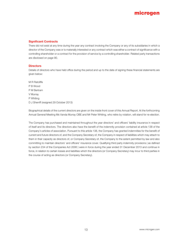#### **Significant Contracts**

There did not exist at any time during the year any contract involving the Company or any of its subsidiaries in which a director of the Company was or is materially interested or any contract which was either a contract of significance with a controlling shareholder or a contract for the provision of service by a controlling shareholder. Related party transactions are disclosed on page 90.

#### **Directors**

Details of directors who have held office during the period and up to the date of signing these financial statements are given below:

M R Ratcliffe P B Wood P M Bertram V Murray P Whiting D J Sherriff (resigned 29 October 2013)

Biographical details of the current directors are given on the inside front cover of this Annual Report. At the forthcoming Annual General Meeting Ms Vanda Murray OBE and Mr Peter Whiting, who retire by rotation, will stand for re-election.

The Company has purchased and maintained throughout the year directors' and officers' liability insurance in respect of itself and its directors. The directors also have the benefit of the indemnity provision contained at article 138 of the Company's articles of association. Pursuant to this article 138, the Company has granted indemnities for the benefit of current and future directors of, and the Company Secretary of, the Company in respect of liabilities which may attach to them in their capacity as directors of, or Company Secretary of, the Company to the extent permitted by law and also committing to maintain directors' and officers' insurance cover. Qualifying third party indemnity provisions ( as defined by section 234 of the Companies Act 2006 ) were in force during the year ended 31 December 2013 and continue in force, in relation to certain losses and liabilities which the directors (or Company Secretary) may incur to third parties in the course of acting as directors (or Company Secretary).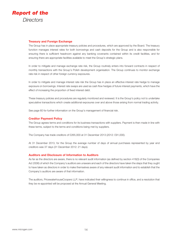

#### **Treasury and Foreign Exchange**

The Group has in place appropriate treasury policies and procedures, which are approved by the Board. The treasury function manages interest rates for both borrowings and cash deposits for the Group and is also responsible for ensuring there is sufficient headroom against any banking covenants contained within its credit facilities, and for ensuring there are appropriate facilities available to meet the Group's strategic plans.

In order to mitigate and manage exchange rate risk, the Group routinely enters into forward contracts in respect of monthly transactions with the Group's Polish development organisation. The Group continues to monitor exchange rate risk in respect of other foreign currency exposures.

In order to mitigate and manage interest rate risk the Group has in place an effective interest rate hedge to manage exposure on borrowings. Interest rate swaps are used as cash flow hedges of future interest payments, which have the effect of increasing the proportion of fixed interest debt.

These treasury policies and procedures are regularly monitored and reviewed. It is the Group's policy not to undertake speculative transactions which create additional exposures over and above those arising from normal trading activity.

See page 60 for further information on the Group's management of financial risk.

#### **Creditor Payment Policy**

The Group agrees terms and conditions for its business transactions with suppliers. Payment is then made in line with these terms, subject to the terms and conditions being met by suppliers.

The Company has trade creditors of £265,000 at 31 December 2013 (2012: £91,000).

At 31 December 2013, for the Group the average number of days of annual purchases represented by year end creditors was 37 days (31 December 2012: 21 days).

#### **Auditors and Disclosure of Information to Auditors**

As far as the directors are aware, there is no relevant audit information (as defined by section 418(3) of the Companies Act 2006) of which the Company's auditors are unaware and each of the directors have taken the steps that they ought to have taken as directors in order to make themselves aware of any relevant audit information and to establish that the Company's auditors are aware of that information.

The auditors, PricewaterhouseCoopers LLP, have indicated their willingness to continue in office, and a resolution that they be re-appointed will be proposed at the Annual General Meeting.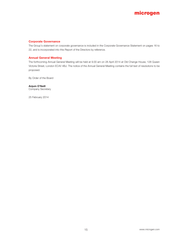#### **Corporate Governance**

The Group's statement on corporate governance is included in the Corporate Governance Statement on pages 16 to 22, and is incorporated into this Report of the Directors by reference.

#### **Annual General Meeting**

The forthcoming Annual General Meeting will be held at 9.00 am on 28 April 2014 at Old Change House, 128 Queen Victoria Street, London EC4V 4BJ. The notice of the Annual General Meeting contains the full text of resolutions to be proposed.

By Order of the Board

#### **Anjum O'Neill**

Company Secretary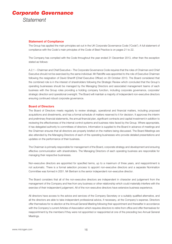## *Corporate Governance Statement*

#### **Statement of Compliance**

The Group has applied the main principles set out in the UK Corporate Governance Code ("Code"). A full statement of compliance with the Code's main principles of the Code of Best Practice is on pages 21 to 22.

The Company has complied with the Code throughout the year ended 31 December 2013, other than the exception stated as follows:

A.2.1 – Chairman and Chief Executive – The Corporate Governance Code requires that the roles of Chairman and Chief Executive should not be exercised by the same individual. Mr Ratcliffe was appointed to the role of Executive Chairman following the resignation of David Sherriff (Chief Executive Officer) on 29 October 2013. The Board considered that the combined role is in the interest of shareholders following the Strategic Review which concluded that the Group's operating businesses should be managed by the Managing Directors and associated management teams of each business with the Group roles providing a holding company function, including corporate governance, corporate/ strategic direction and operational oversight. The Board will maintain a majority of independent non-executive directors ensuring continued robust corporate governance.

#### **Board of Directors**

The Board of Directors meets regularly to review strategic, operational and financial matters, including proposed acquisitions and divestments, and has a formal schedule of matters reserved to it for decision. It approves the interim and preliminary financial statements, the annual financial plan, significant contracts and capital investment in addition to reviewing the effectiveness of the internal control systems and business risks faced by the Group. Where appropriate, it has delegated authority to committees of directors. Information is supplied to the Board in advance of meetings and the Chairman ensures that all directors are properly briefed on the matters being discussed. The Board Meetings are also attended by the Managing Directors of each of the operating businesses who provide detailed presentations and updates on the performance of their business.

The Chairman is primarily responsible for management of the Board, corporate strategy and development and ensuring effective communication with shareholders. The Managing Directors of each operating business are responsible for managing their respective businesses.

Non-executive directors are appointed for specified terms, up to a maximum of three years, and reappointment is not automatic. There is a formal selection process to appoint non-executive directors and a separate Nomination Committee was formed in 2001. Mr Bertram is the senior independent non-executive director.

The Board considers that all of the non-executive directors are independent in character and judgement from the management of the Company and free from any business or other relationship which could materially interfere with the exercise of their independent judgement. All of the non-executive directors have extensive business experience.

All directors have access to the advice and services of the Company Secretary or a suitably qualified alternative, and all the directors are able to take independent professional advice, if necessary, at the Company's expense. Directors offer themselves for re-election at the Annual General Meeting following their appointment and thereafter in accordance with the Company's current Articles of Association which requires directors to retire from office and offer themselves for reappointment by the members if they were not appointed or reappointed at one of the preceding two Annual General Meetings.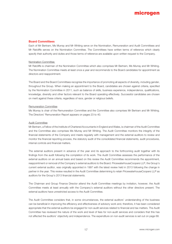#### **Board Committees**

Each of Mr Bertram, Ms Murray and Mr Whiting serve on the Nomination, Remuneration and Audit Committees and Mr Ratcliffe serves on the Nomination Committee. The Committees have written terms of reference which clearly specify their authority and duties and those terms of reference are available upon written request to the Company.

#### Nomination Committee

Mr Ratcliffe is chairman of the Nomination Committee which also comprises Mr Bertram, Ms Murray and Mr Whiting. The Nomination Committee meets at least once a year and recommends to the Board candidates for appointment as directors and reappointment.

The Board and the Board Committees recognise the importance of promoting all aspects of diversity, including gender, throughout the Group. When making an appointment to the Board, candidates are chosen against criteria, specified by the Nomination Committee in 2011, such as balance of skills, business experience, independence, qualifications, knowledge, diversity and other factors relevant to the Board operating effectively. Successful candidates are chosen on merit against these criteria, regardless of race, gender or religious beliefs.

#### Remuneration Committee

Ms Murray is chair of the Remuneration Committee and the Committee also comprises Mr Bertram and Mr Whiting. The Directors' Remuneration Report appears on pages 23 to 40.

#### Audit Committee

Mr Bertram, a Fellow of the Institute of Chartered Accountants in England and Wales, is chairman of the Audit Committee and the Committee also comprises Ms Murray and Mr Whiting. The Audit Committee monitors the integrity of the financial statements of the Company and meets regularly with management and the external auditors to review and monitor the financial reporting process, the statutory audit of the consolidated financial statements, audit procedures, internal controls and financial matters.

The external auditors present in advance of the year end its approach to the forthcoming audit together with its findings from the audit following the completion of its work. The Audit Committee assesses the performance of the external auditors on an annual basis and based on this review the Audit Committee recommends the appointment, reappointment or removal of the Company's external auditors to the Board. PricewaterhouseCoopers LLP, the Group's current external auditor, was originally appointed in 1997 with the latest review held in 2013 following the change in partner in the year. This review resulted in the Audit Committee determining to retain PricewaterhouseCoopers LLP as auditors for the Group's 2013 financial statements.

The Chairman and Group Finance Director attend the Audit Committee meetings by invitation, however, the Audit Committee meets at least annually with the Company's external auditors without the other directors present. The external auditors have unrestricted access to the Audit Committee.

The Audit Committee considers that, in some circumstances, the external auditors' understanding of the business can be beneficial in improving the efficiency and effectiveness of advisory work and, therefore, it has been considered appropriate that the external auditors be engaged for non-audit services related to financial and tax matters. The Audit Committee has reviewed the nature of the work and level of fees for non-audit services and considers that this has not affected the auditors' objectivity and independence. The expenditure on non-audit services is set out on page 68.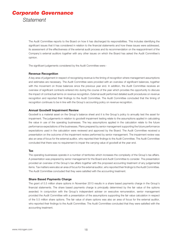## *Corporate Governance Statement*

The Audit Committee reports to the Board on how it has discharged its responsibilities. This includes identifying the significant issues that it has considered in relation to the financial statements and how these issues were addressed, its assessment of the effectiveness of the external audit process and its recommendation on the reappointment of the Company's external auditors together with any other issues on which the Board has asked the Audit Committee's opinion.

The significant judgements considered by the Audit Committee were:-

#### **Revenue Recognition**

A key area of judgement in respect of recognising revenue is the timing of recognition where management assumptions and estimates are necessary. The Audit Committee were provided with an overview of significant balances, together with the movement on those balances since the previous year end. In addition, the Audit Committee receives an overview of significant contracts entered into during the course of the year which provides the opportunity to discuss the impact of contractual terms on revenue recognition. External audit performed detailed audit procedures on revenue recognition and reported their findings to the Audit Committee. The Audit Committee concluded that the timing of recognition continues to be in line with the Group's accounting policy on revenue recognition.

#### **Annual Goodwill Impairment Review**

Goodwill is a material asset on the Group's balance sheet and it is the Group's policy to annually test the asset for impairment. The judgements in relation to goodwill impairment testing relate to the assumptions applied in calculating the value in use of the operating businesses. The key assumptions applied in the calculation relate to the future performance expectations of the businesses. Plans prepared by senior management supporting the future performance expectations used in the calculation were reviewed and approved by the Board. The Audit Committee received a presentation on the outcome of the impairment review performed by senior management. The impairment review was also an area of focus for the external auditor, who reported their findings to the Audit Committee. The Audit Committee concluded that there was no requirement to impair the carrying value of goodwill at the year end.

#### **Tax**

The operating businesses operate in a number of territories which increases the complexity of the Group's tax affairs. A presentation was prepared by senior management for the Board and Audit Committee to consider. The presentation provided an overview of the Group's tax affairs together with the proposed accounting treatment of any judgemental items. Tax matters were also an area of focus for the external auditor, who reported their findings to the Audit Committee. The Audit Committee concluded that they were satisfied with the accounting treatment.

#### **Share Based Payments Charge**

The grant of 5.5 million share options in November 2013 results in a share based payments charge in the Group's financial statements. The share based payments charge is principally determined by the fair value of the options awarded. In conjunction with the Group's independent adviser on executive remuneration, senior management provided the Audit Committee with a presentation of the assumptions supporting the fair value calculation in respect of the 5.5 million share options. The fair value of share options was also an area of focus for the external auditor, who reported their findings to the Audit Committee. The Audit Committee concluded that they were satisfied with the accounting treatment.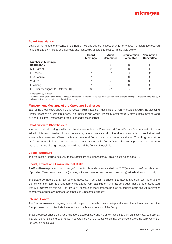#### **Board Attendance**

Details of the number of meetings of the Board (including sub-committees at which only certain directors are required to attend) and committees and individual attendances by directors are set out in the table below.

|                                           | <b>Board</b><br><b>Meetings</b> | Audit<br><b>Committee</b> | <b>Remuneration</b><br><b>Committee</b> | <b>Nomination</b><br><b>Committee</b> |
|-------------------------------------------|---------------------------------|---------------------------|-----------------------------------------|---------------------------------------|
| <b>Number of Meetings</b><br>held in 2013 | 11                              | 5                         | 10                                      |                                       |
| M R Ratcliffe                             | 11                              | $5^*$                     | $10*$                                   |                                       |
| P B Wood                                  | 11                              | $5^*$                     | $9^*$                                   | $+ *$                                 |
| P M Bertram                               | 11                              | 5                         | 10                                      |                                       |
| V Murray                                  | 11                              | 5                         | 10                                      |                                       |
| P Whiting                                 | 11                              | 5                         | 10                                      |                                       |
| D J Sherriff (resigned 29 October 2013)   | 8                               | $3^*$                     | 4*                                      | $+ *$                                 |

\* attendance by invitation.

The above table details attendance at scheduled meetings. In addition 13 ad hoc meetings were held, of these meetings, 5 meetings were held by a sub-committee relating to the exercise of share options.

#### **Management Meetings of the Operating Businesses**

Each of the Group's two operating businesses hold management meetings on a monthly basis chaired by the Managing Director responsible for that business. The Chairman and Group Finance Director regularly attend these meetings and all Non-Executive Directors are invited to attend these meetings.

#### **Relations with Shareholders**

In order to maintain dialogue with institutional shareholders the Chairman and Group Finance Director meet with them following interim and final results announcements, or as appropriate, with other directors available to meet institutional shareholders on request. Where practicable the Annual Report is sent to shareholders at least 20 working days before the Annual General Meeting and each issue for consideration at the Annual General Meeting is proposed as a separate resolution. All continuing directors generally attend the Annual General Meeting.

#### **Capital Structure**

The information required pursuant to the Disclosure and Transparency Rules is detailed on page 12.

#### **Social, Ethical and Environmental Risks**

The Board takes regular account of the significance of social, environmental and ethical ("SEE") matters to the Group's business of providing IT services and solutions (including software, managed services and consultancy) to the business community.

The Board considers that it has received adequate information to enable it to assess any significant risks to the Company's short-term and long-term value arising from SEE matters and has concluded that the risks associated with SEE matters are minimal. The Board will continue to monitor those risks on an ongoing basis and will implement appropriate policies and procedures if those risks become significant.

#### **Internal Control**

The Group maintains an ongoing process in respect of internal control to safeguard shareholders' investments and the Group's assets and to facilitate the effective and efficient operation of the Group.

These processes enable the Group to respond appropriately, and in a timely fashion, to significant business, operational, financial, compliance and other risks, (in accordance with the Code), which may otherwise prevent the achievement of the Group's objectives.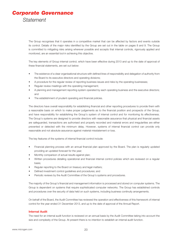## *Corporate Governance Statement*

The Group recognises that it operates in a competitive market that can be affected by factors and events outside its control. Details of the major risks identified by the Group are set out in the table on pages 8 and 9. The Group is committed to mitigating risks arising wherever possible and accepts that internal controls, rigorously applied and monitored, are an essential tool in achieving this objective.

The key elements of Group internal control, which have been effective during 2013 and up to the date of approval of these financial statements, are set out below:

- The existence of a clear organisational structure with defined lines of responsibility and delegation of authority from the Board to its executive directors and operating divisions;
- A procedure for the regular review of reporting business issues and risks by the operating businesses;
- Regular review meetings with the operating management;
- A planning and management reporting system operated by each operating business and the executive directors; and
- The establishment of prudent operating and financial policies.

The directors have overall responsibility for establishing financial and other reporting procedures to provide them with a reasonable basis on which to make proper judgements as to the financial position and prospects of the Group, and have responsibility for establishing the Group's system of internal control and for monitoring its effectiveness. The Group's systems are designed to provide directors with reasonable assurance that physical and financial assets are safeguarded, transactions are authorised and properly recorded and material errors and irregularities are either prevented or detected with the minimum delay. However, systems of internal financial control can provide only reasonable and not absolute assurance against material misstatement or loss.

The key features of the systems of internal financial control include:

- Financial planning process with an annual financial plan approved by the Board. The plan is regularly updated providing an updated forecast for the year;
- Monthly comparison of actual results against plan;
- Written procedures detailing operational and financial internal control policies which are reviewed on a regular basis;
- Regular reporting to the Board on treasury and legal matters;
- Defined investment control guidelines and procedures; and
- Periodic reviews by the Audit Committee of the Group's systems and procedures.

The majority of the Group's financial and management information is processed and stored on computer systems. The Group is dependent on systems that require sophisticated computer networks. The Group has established controls and procedures over the security of data held on such systems, including business continuity arrangements.

On behalf of the Board, the Audit Committee has reviewed the operation and effectiveness of this framework of internal control for the year ended 31 December 2013, and up to the date of approval of the Annual Report.

#### **Internal Audit**

The need for an internal audit function is reviewed on an annual basis by the Audit Committee taking into account the size and complexity of the Group. At present there is no intention to establish an internal audit function.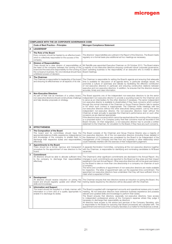|                | <b>COMPLIANCE WITH THE UK CORPORATE GOVERNANCE CODE</b>                                                                                                                                                                                                                                                      |                                                                                                                                                                                                                                                                                                                                                                                                                                                                                                                                                                                                                                                                                                                                                                                                                                                                                                                                                                                                                                                                                                                                                                                                                                        |  |  |
|----------------|--------------------------------------------------------------------------------------------------------------------------------------------------------------------------------------------------------------------------------------------------------------------------------------------------------------|----------------------------------------------------------------------------------------------------------------------------------------------------------------------------------------------------------------------------------------------------------------------------------------------------------------------------------------------------------------------------------------------------------------------------------------------------------------------------------------------------------------------------------------------------------------------------------------------------------------------------------------------------------------------------------------------------------------------------------------------------------------------------------------------------------------------------------------------------------------------------------------------------------------------------------------------------------------------------------------------------------------------------------------------------------------------------------------------------------------------------------------------------------------------------------------------------------------------------------------|--|--|
|                | <b>Code of Best Practice - Principles</b>                                                                                                                                                                                                                                                                    | <b>Microgen Compliance Statement</b>                                                                                                                                                                                                                                                                                                                                                                                                                                                                                                                                                                                                                                                                                                                                                                                                                                                                                                                                                                                                                                                                                                                                                                                                   |  |  |
| А              | <b>LEADERSHIP</b>                                                                                                                                                                                                                                                                                            |                                                                                                                                                                                                                                                                                                                                                                                                                                                                                                                                                                                                                                                                                                                                                                                                                                                                                                                                                                                                                                                                                                                                                                                                                                        |  |  |
| 1              | The Role of the Board<br>Every company should be headed by an effective board,<br>which is collectively responsible for the success of the<br>company.                                                                                                                                                       | The directors' responsibilities are outlined in the Report of the Directors. The Board meets<br>regularly on a formal basis plus additional ad hoc meetings as necessary.                                                                                                                                                                                                                                                                                                                                                                                                                                                                                                                                                                                                                                                                                                                                                                                                                                                                                                                                                                                                                                                              |  |  |
| $\overline{2}$ | <b>Division of Responsibilities</b><br>There should be a clear division of responsibilities at<br>the head of the company between the running of the<br>board and the executive responsibility for the running of<br>the company's business. No one individual should have<br>unfettered powers of decision. | Mr Ratcliffe was appointed Executive Chairman on 29 October 2013. The Board retains<br>a majority of non-executive directors ensuring continued robust corporate governance.<br>Each operating business is the responsibility of an executive who is invited to attend<br>Board meetings.                                                                                                                                                                                                                                                                                                                                                                                                                                                                                                                                                                                                                                                                                                                                                                                                                                                                                                                                              |  |  |
| 3              | The Chairman<br>The Chairman is responsible for leadership of the board<br>and ensuring its effectiveness on all aspects of its role.                                                                                                                                                                        | The Chairman is responsible for setting the Board's agenda and ensuring that adequate<br>time is available for discussion of all agenda items, in particular strategic issues. He<br>promotes a culture of openness and debate by facilitating the effective contribution<br>of non-executive directors in particular and ensuring constructive relations between<br>executive and non-executive directors. In addition, he ensures that the directors receive<br>accurate, timely and clear information.                                                                                                                                                                                                                                                                                                                                                                                                                                                                                                                                                                                                                                                                                                                              |  |  |
| 4              | <b>Non-Executive Directors</b><br>As part of their role as members of a unitary board,<br>non-executive directors should constructively challenge<br>and help develop proposals on strategy.                                                                                                                 | The Board appoints one of the independent non-executive directors to be the senior<br>independent non-executive director to provide a sounding board for the Chairman and<br>to serve as an intermediary for the other directors if necessary. The senior independent<br>non-executive director is available to shareholders if they have concerns which contact<br>through the normal channels of the Chairman or Group Finance Director fails to resolve<br>or for which such contact is inappropriate. The Chairman holds meetings with the<br>non-executive directors without the other executives being present. Led by the senior<br>independent non-executive director, the non-executive directors meet without the<br>Chairman at least annually to appraise the Chairman's performance and on such other<br>occasions as are deemed appropriate.<br>If the directors have concerns which cannot be resolved about the running of the company<br>or a proposed action, it is Company policy that their concerns must be recorded in the<br>Board minutes. On their resignation, a non-executive director has to provide a written<br>statement to the Chairman, for circulation to the Board, if they have any such concerns. |  |  |
| в              | <b>EFFECTIVENESS</b>                                                                                                                                                                                                                                                                                         |                                                                                                                                                                                                                                                                                                                                                                                                                                                                                                                                                                                                                                                                                                                                                                                                                                                                                                                                                                                                                                                                                                                                                                                                                                        |  |  |
| 1              | The Composition of the Board<br>The board and its committees should have the<br>appropriate balance of skills, experience, independence<br>and knowledge of the company to enable them to<br>discharge their respective duties and responsibilities<br>effectively.                                          | The Board consists of the Chairman and Group Finance Director plus a majority of<br>non-executive directors. All of the non-executive directors (including those detailed in<br>the Statement of Compliance) are considered by the Board to be independent of the<br>management of the Company and free from any business or other relationship which<br>could materially interfere with the exercise of their independent judgement.                                                                                                                                                                                                                                                                                                                                                                                                                                                                                                                                                                                                                                                                                                                                                                                                  |  |  |
| $\overline{2}$ | <b>Appointments to the Board</b><br>There should be a formal, rigorous and transparent<br>procedure for the appointment of new directors to the<br>board.                                                                                                                                                    | A separate Nomination Committee, comprising all the non-executive directors together<br>with the Chairman, is responsible for identifying and nominating candidates to fill Board<br>vacancies.                                                                                                                                                                                                                                                                                                                                                                                                                                                                                                                                                                                                                                                                                                                                                                                                                                                                                                                                                                                                                                        |  |  |
| 3              | <b>Commitment</b><br>All directors should be able to allocate sufficient time<br>to the company to discharge their responsibilities<br>effectively.                                                                                                                                                          | The Chairman's other significant commitments are disclosed in the Annual Report. Any<br>changes to such commitments are reported to the Board as they arise and their impact<br>explained in the next Annual Report. Other executive directors will not be given permission<br>by the Board to take on more than one directorship in a company nor chairman of such<br>a company.<br>The terms and conditions of appointment of non-executive directors are made available<br>for inspection. The letter of appointment sets out the expected time commitment. The<br>appointed non-executive directors have undertaken that they will have sufficient time to<br>meet what is expected of them.                                                                                                                                                                                                                                                                                                                                                                                                                                                                                                                                       |  |  |
| 4              | Development<br>All directors should receive induction on joining the<br>board and should regularly update and refresh their<br>skills and knowledge.                                                                                                                                                         | The Chairman ensures that new directors receive an induction on joining the Board. Any<br>training needs required by the directors will be discussed with the Chairman.                                                                                                                                                                                                                                                                                                                                                                                                                                                                                                                                                                                                                                                                                                                                                                                                                                                                                                                                                                                                                                                                |  |  |
| 5              | <b>Information and Support</b><br>The board should be supplied in a timely manner with<br>information in a form and of a quality appropriate to<br>enable it to discharge its duties.                                                                                                                        | The Board is supplied with management accounts and operational reviews prior to each<br>meeting. All non-executive directors have extensive business experience and possess<br>relevant and updated skills and knowledge to perform their duties.<br>The Board ensures that directors, especially non-executive directors, have access<br>to independent professional advice at the Company's expense where they judge it<br>necessary to discharge their responsibility as directors.<br>All directors have access to the advice and services of the Company Secretary, who<br>is responsible to the Board for ensuring that Board procedures are complied with. The<br>appointment and removal of the Company Secretary is a matter for the Board as a whole.                                                                                                                                                                                                                                                                                                                                                                                                                                                                        |  |  |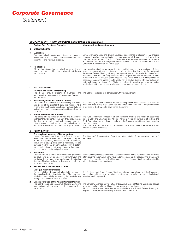# *Corporate Governance*

*Statement*

|                | <b>COMPLIANCE WITH THE UK CORPORATE GOVERNANCE CODE (continued)</b>                                                                                                                                                                                                                                                                                                                                                                    |                                                                                                                                                                                                                                                                                                                                                                                                                                                                                                                                                                                                                                                                                                                            |  |  |
|----------------|----------------------------------------------------------------------------------------------------------------------------------------------------------------------------------------------------------------------------------------------------------------------------------------------------------------------------------------------------------------------------------------------------------------------------------------|----------------------------------------------------------------------------------------------------------------------------------------------------------------------------------------------------------------------------------------------------------------------------------------------------------------------------------------------------------------------------------------------------------------------------------------------------------------------------------------------------------------------------------------------------------------------------------------------------------------------------------------------------------------------------------------------------------------------------|--|--|
|                | <b>Code of Best Practice - Principles</b>                                                                                                                                                                                                                                                                                                                                                                                              | <b>Microgen Compliance Statement</b>                                                                                                                                                                                                                                                                                                                                                                                                                                                                                                                                                                                                                                                                                       |  |  |
| B              | <b>EFFECTIVENESS</b>                                                                                                                                                                                                                                                                                                                                                                                                                   |                                                                                                                                                                                                                                                                                                                                                                                                                                                                                                                                                                                                                                                                                                                            |  |  |
| 6              | <b>Evaluation</b><br>The board should undertake a formal and rigorous<br>annual evaluation of its own performance and that of its<br>committees and individual directors.                                                                                                                                                                                                                                                              | Given Microgen's size and Board structure, performance evaluation is an ongoing<br>process. A performance evaluation is undertaken for all directors at the time of their<br>proposed reappointment. The Group Finance Director receives an annual performance<br>appraisal as part of the Management Bonus Scheme. The performance of each Board<br>Committee is reviewed on an annual basis.                                                                                                                                                                                                                                                                                                                             |  |  |
| $\overline{7}$ | <b>Re-election</b><br>All directors should be submitted for re-election at<br>regular intervals, subject to continued satisfactory<br>performance.                                                                                                                                                                                                                                                                                     | Non-executive directors are appointed for specific terms, up to a maximum of three<br>years and re-appointment is not automatic. All directors offer themselves for election at<br>the Annual General Meeting following their appointment and for re-election thereafter in<br>accordance with the Company's articles, which require one-third of directors to retire<br>in rotation at each Annual General Meeting. The Board sets out to shareholders in<br>papers accompanying a resolution to elect a non-executive director why they believe an<br>individual should be elected. The Chairman confirms to shareholders when proposing<br>re-election that the non-executive director's performance remains effective. |  |  |
| С              | <b>ACCOUNTABILITY</b>                                                                                                                                                                                                                                                                                                                                                                                                                  |                                                                                                                                                                                                                                                                                                                                                                                                                                                                                                                                                                                                                                                                                                                            |  |  |
| 1              | <b>Financial and Business Reporting</b><br>The board should present a balanced and<br>understandable assessment of the company's position<br>and prospects.                                                                                                                                                                                                                                                                            | The Board considers it is in compliance with this requirement.                                                                                                                                                                                                                                                                                                                                                                                                                                                                                                                                                                                                                                                             |  |  |
| $\overline{2}$ | <b>Risk Management and Internal Control</b><br>The board is responsible for determining the nature<br>and extent of the significant risks it is willing to take<br>in achieving its strategic objectives. The board should<br>maintain a sound risk management and internal control<br>systems.                                                                                                                                        | The Company operates a detailed internal control process which is reviewed at least on<br>an annual basis by the Audit Committee and endorsed by the Board. Further information<br>is provided in the Corporate Governance Statement.                                                                                                                                                                                                                                                                                                                                                                                                                                                                                      |  |  |
| 3              | <b>Audit Committee and Auditors</b><br>The board should establish formal and transparent<br>arrangements for considering how they should apply<br>the financial reporting and risk management and<br>internal control principles and for maintaining an<br>appropriate relationship with the company's auditors.                                                                                                                       | The Audit Committee consists of all non-executive directors and meets at least three<br>times a year. The Chairman and Group Finance Director are invited to attend but the<br>Audit Committee meets at least annually with the Company's auditors without the other<br>directors present.<br>The Board ensures that at least one member of the Audit Committee has recent and<br>relevant financial experience.                                                                                                                                                                                                                                                                                                           |  |  |
| D              | <b>REMUNERATION</b>                                                                                                                                                                                                                                                                                                                                                                                                                    |                                                                                                                                                                                                                                                                                                                                                                                                                                                                                                                                                                                                                                                                                                                            |  |  |
| 1              | The Level and Make-up of Remuneration<br>Levels of remuneration should be sufficient to attract,<br>retain and motivate directors of the quality required<br>to run the company successfully, but a company<br>should avoid paying more than is necessary for this<br>purpose. A significant proportion of executive directors'<br>remuneration should be structured so as to link rewards<br>to corporate and individual performance. | The Directors' Remuneration Report provides details of the executive directors'<br>remuneration.                                                                                                                                                                                                                                                                                                                                                                                                                                                                                                                                                                                                                           |  |  |
| $\overline{2}$ | Procedure<br>There should be a formal and transparent procedure<br>for developing policy on executive remuneration and<br>for fixing the remuneration packages of individual<br>directors. No director should be involved in deciding his<br>or her own remuneration.                                                                                                                                                                  | Remuneration packages for individual directors are set by the Remuneration Committee<br>after receiving information from independent sources and if required the Company's<br>Human Resources function. The Chairman and Group Finance Director may be invited to<br>attend the Committee's meetings.                                                                                                                                                                                                                                                                                                                                                                                                                      |  |  |
| Е              | <b>RELATIONS WITH SHAREHOLDERS</b>                                                                                                                                                                                                                                                                                                                                                                                                     |                                                                                                                                                                                                                                                                                                                                                                                                                                                                                                                                                                                                                                                                                                                            |  |  |
|                | <b>Dialogue with Shareholders</b><br>There should be a dialogue with shareholders based on<br>the mutual understanding of objectives. The board as a<br>whole has responsibility for ensuring that a satisfactory<br>dialoque with shareholders takes place.                                                                                                                                                                           | The Chairman and Group Finance Director meet on a regular basis with the Company's<br>major shareholders. Non-executive directors are available to meet institutional<br>shareholders if requested.                                                                                                                                                                                                                                                                                                                                                                                                                                                                                                                        |  |  |
| $\mathbf{2}$   | <b>Constructive Use of the Annual General Meeting</b><br>The board should use the Annual General Meeting to<br>communicate with investors and to encourage their<br>participation.                                                                                                                                                                                                                                                     | The Company arranges for the Notice of the Annual General Meeting and related papers<br>to be sent to shareholders at least 20 working days before the meeting.<br>All continuing directors make themselves available at the Annual General Meeting to<br>respond to any questions raised by the investors in attendance.                                                                                                                                                                                                                                                                                                                                                                                                  |  |  |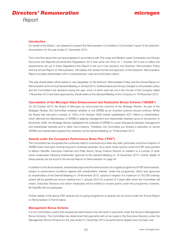## microgen

#### **Introduction**

On behalf of the Board, I am pleased to present the Remuneration Committee's ("Committee") report of the directors' remuneration for the year ended 31 December 2013.

This is the first report that we have prepared in accordance with The Large and Medium sized Companies and Groups (Accounts and Reports) (Amendment) Regulations 2013 that came into force on 1 October 2013 and to reflect the requirements set out in these Regulations this Report is set out in two sections: the Directors' Remuneration Policy and the Annual Report on Remuneration. We believe the revised format and approach of the Directors' Remuneration Report provides shareholders with a comprehensive, clear and informative report.

This year shareholders will be asked to vote separately on the Directors' Remuneration Policy and the Annual Report on Remuneration at the Annual General Meeting on 28 April 2014. Outlined below are the key changes to remuneration policy and the Committee's key decisions during the year, some of which were set out in the Circular of the Company dated 1 November 2013 and were approved by shareholders at the General Meeting of the Company on 18 November 2013.

#### **Cancellation of the Microgen Value Enhancement and Realisation Bonus Scheme ("VERBS")**

On 29 October 2013, the Board of Microgen plc announced the outcome of the Strategic Review. As part of the Strategic Review, the Committee reviewed whether or not VERBS as an incentive scheme should continue. Whilst the Board had returned in excess of 100% of its October 2008 market capitalisation (£37 million) to shareholders, which affirmed the effectiveness of VERBS in aligning management and shareholder interests since its introduction in November 2008, the Strategic Review highlighted the potential of VERBS to cause divergence between management and shareholder interests and to deter new investors. Therefore, the Committee put forward a resolution to cancel VERBS and shareholders passed this resolution at the General Meeting on 18 November 2013.

#### **Awards under the Company's Performance Share Plan ("PSP")**

The Committee has recognised the continued need to incentivise and retain key staff, particularly since the inception of VERBS there have been minimal long term incentives awarded. As a result, share options under the PSP were granted to Martyn Ratcliffe, Executive Chairman and Philip Wood, Group Finance Director (in addition to a number of other senior employees) following shareholder approval at the General Meeting on 18 November 2013. Further details of these awards can be found in the Annual Report on Remuneration on page 34.

In addition to the above awards, shareholders approved the reintroduction of a regular programme of PSP share awards, subject to performance conditions aligned with shareholders' interest. Under this programme, which was approved by shareholders at the General Meeting on 18 November 2013, options in respect of a maximum of 750,000 ordinary shares will be granted per annum starting from 1 January 2014 for a period of 3 years after which the Committee will review. Executive Directors and senior employees will be entitled to receive grants under this programme, however, Mr Ratcliffe will not participate.

Further details of the above PSP awards and on-going programme of awards can be found under the Annual Report on Remuneration in Part B below.

#### **Management Bonus Scheme**

It is the Committee's policy that exceptional performance only will result in payments under the Group's Management Bonus Scheme. The Committee has determined that payments will not be made to the Executive Directors under the Management Bonus Scheme for the year ended 31 December 2013 as performance targets have not been met.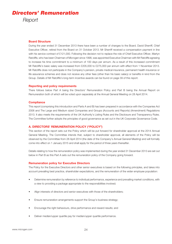#### **Board Structure**

During the year ended 31 December 2013 there have been a number of changes to the Board. David Sherriff, Chief Executive Officer, retired from the Board on 31 October 2013. Mr Sherriff received a compensation payment in line with his service contract of £121,000. Following the decision not to replace the role of Chief Executive Officer, Martyn Ratcliffe, who has been Chairman of Microgen since 1998, was appointed Executive Chairman with Mr Ratcliffe agreeing to increase his time commitment to a minimum of 100 days per annum. As a result of this increased commitment Mr Ratcliffe's basic salary was increased from £205,000 to £275,000 per annum with effect from 1 November 2013. Mr Ratcliffe does not participate in the Company's pension, private medical insurance, permanent health insurance or life assurance schemes and does not receive any other fees (other than his basic salary) or benefits in kind from the Group. Details of Mr Ratcliffe's long-term incentive awards can be found on page 39 of this report.

#### **Reporting and policy requirements**

There follows below Part A being the Directors' Remuneration Policy and Part B being the Annual Report on Remuneration both of which will be voted upon separately at the Annual General Meeting on 28 April 2014.

#### **Compliance**

This report (comprising this introduction and Parts A and B) has been prepared in accordance with the Companies Act 2006 and The Large and Medium sized Companies and Groups (Accounts and Reports) (Amendment) Regulations 2013. It also meets the requirements of the UK Authority's Listing Rules and the Disclosure and Transparency Rules. The Committee further adopts the principles of good governance as set out in the UK Corporate Governance Code.

#### **A. DIRECTORS' REMUNERATION POLICY ("POLICY")**

This section of the report sets out the Policy which will be put forward for shareholder approval at the 2014 Annual General Meeting. The Committee intends that, subject to shareholder approval, all elements of the Policy will be observed by the Committee from 28 April 2014 (the date of the Company's Annual General Meeting) and will formally come into effect on 1 January 2015 and shall apply for the period of three years thereafter.

Details relating to how the remuneration policy was implemented during the year ended 31 December 2013 are set out below in Part B as this Part A sets out the remuneration policy of the Company going forward.

#### **Remuneration policy for Executive Directors**

The Policy for the Executive Directors and other senior executives is based on the following principles, and takes into account prevailing best practice, shareholder expectations, and the remuneration of the wider employee population:

- Determine remuneration by reference to individual performance, experience and prevailing market conditions, with a view to providing a package appropriate to the responsibilities involved;
- Align interests of directors and senior executives with those of the shareholders;
- Ensure remuneration arrangements support the Group's business strategy;
- Encourage the right behaviours, drive performance and reward results; and
- Deliver median/upper quartile pay for median/upper quartile performance.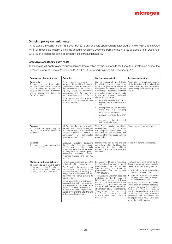#### **Ongoing policy commitments**

At the General Meeting held on 18 November 2013 shareholders approved a regular programme of PSP share awards which shall continue to apply during the period to which this Directors' Remuneration Policy applies up to 31 December 2016, such programme being described in the Introduction above.

#### *Executive Directors' Policy Table*

The following will apply to any remuneration and loss of office payments made to the Executive Directors on or after the Company's Annual General Meeting on 28 April 2014 up to and including 31 December 2017.

| Purpose and link to strategy                                                                                                                                                                                            | Operation                                                                                                                                                                                                                                                                                                                                                                                                                                                                                                                                          | <b>Maximum opportunity</b>                                                                                                                                                                                                                                                                                                                                                                                                                                                                                                                                                                               | <b>Performance metrics</b>                                                                                                                                                                                                                                                                                                                                                                                                                                                                                                                                                                        |
|-------------------------------------------------------------------------------------------------------------------------------------------------------------------------------------------------------------------------|----------------------------------------------------------------------------------------------------------------------------------------------------------------------------------------------------------------------------------------------------------------------------------------------------------------------------------------------------------------------------------------------------------------------------------------------------------------------------------------------------------------------------------------------------|----------------------------------------------------------------------------------------------------------------------------------------------------------------------------------------------------------------------------------------------------------------------------------------------------------------------------------------------------------------------------------------------------------------------------------------------------------------------------------------------------------------------------------------------------------------------------------------------------------|---------------------------------------------------------------------------------------------------------------------------------------------------------------------------------------------------------------------------------------------------------------------------------------------------------------------------------------------------------------------------------------------------------------------------------------------------------------------------------------------------------------------------------------------------------------------------------------------------|
| <b>Basic salary</b><br>To pay competitive basic salary<br>to attract, retain and motivate the<br>talent required to operate and<br>develop the Group's businesses<br>and to develop and deliver the<br>Group's strategy | Basic salaries are reviewed on<br>an annual basis with reference to<br>(i) scope of the role, (ii) performance<br>and experience of the individual,<br>(iii) pay levels at comparable<br>companies, and (iv) pay and<br>conditions elsewhere in the Group.<br>Basic salaries are also reviewed<br>when an individual changes roles<br>or responsibilities.                                                                                                                                                                                         | Salary increases will typically be in<br>line with the increases awarded to<br>other employees in the Group. In<br>exceptional circumstances at the<br>Committee's discretion, increases<br>of a higher amount may be made<br>taking into account individual<br>circumstances such as:<br>• a material increase in scope or<br>responsibility of the individual's<br>role;<br>development of the individual<br>$\bullet$<br>within the role (including<br>enhanced performance);<br>alignment to market level and/<br>$\bullet$<br><b>Or</b><br>necessary for the retention of<br>an Executive Director. | None, although overall performance<br>of the individual will be taken into<br>consideration by the Committee<br>when setting and reviewing salary<br>levels.                                                                                                                                                                                                                                                                                                                                                                                                                                      |
| Pension<br>To provide an opportunity for<br>executives to build up income on<br>retirement                                                                                                                              | All Executive Directors (excluding<br>the Executive Chairman) are eligible<br>to participate in the Group Personal<br>Pension Scheme or receive a<br>contribution<br>self-invested<br>to<br>personal pension schemes.                                                                                                                                                                                                                                                                                                                              | The Group matches employee<br>contributions on a 2:1 basis<br>with employer contributions not<br>exceeding 6% of basic salary. No<br>element other than basic salary is<br>pensionable.                                                                                                                                                                                                                                                                                                                                                                                                                  | None. Not performance related.                                                                                                                                                                                                                                                                                                                                                                                                                                                                                                                                                                    |
| <b>Benefits</b><br>To provide market-competitive<br>non-cash benefits                                                                                                                                                   | Executive<br>Directors<br>(excluding<br>the Executive Chairman) receive<br>benefits which consist primarily<br>of income protection in the event<br>of long-term ill health, private<br>healthcare<br>insurance,<br>death-<br>in-service benefits and car fuel<br>benefits.                                                                                                                                                                                                                                                                        | Benefits may vary by role and are<br>set at levels which the Committee<br>considers<br>to<br>be<br>sufficient<br>based on the role and individual<br>circumstances.                                                                                                                                                                                                                                                                                                                                                                                                                                      | None. Not performance related.                                                                                                                                                                                                                                                                                                                                                                                                                                                                                                                                                                    |
| <b>Management Bonus Scheme</b><br>To incentivise and reward strong<br>performance against financial and<br>non-financial annual targets, thus<br>delivering value to shareholders                                       | Performance targets are set in the<br>first quarter of the financial year.<br>The Committee then assess actual<br>performance compared to those<br>performance targets following the<br>completion of the financial year and<br>determine the bonus payable to<br>each individual.<br>Bonus payments are delivered in<br>cash and clawback provisions exist<br>which entitle the Committee, at its<br>discretion, to seek repayment of up<br>to 25% of net bonus payment for a<br>period of 18 months after the end<br>of the relevant bonus year. | For Executive Directors (excluding<br>the Executive Chairman) on-target<br>performance shall not exceed<br>50% of salary and maximum<br>performance shall not exceed<br>100% of salary.<br>The Executive Chairman does not<br>participate in the Management<br>Bonus Scheme and any bonus<br>paid to him is separately and solely<br>determined by the Committee and<br>will be put forward for approval by<br>shareholders at a General Meeting.<br>The maximum bonus amount that<br>the Committee can recommend<br>to shareholders is up to 100% of<br>basic salary.                                   | Performance is determined by the<br>Committee on an annual basis by<br>reference to the following metrics:<br>50% of the award is based on<br>financial measures; and<br>50% of the award is based on<br>strategic measures (all subject<br>to financial under-pin).<br>Previously 100% of the award<br>was based on financial measures,<br>however following the Strategic<br>Review, the Committee believes<br>that it is appropriate to adjust the<br>metrics as above. The Committee<br>anticipates that the metrics will<br>be adjusted to a 75% / 25% split<br>within the next three years. |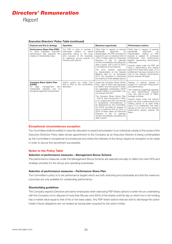| Purpose and link to strategy                                                                                                                                          | <b>Operation</b>                                                                                                                                                                                   | <b>Maximum opportunity</b>                                                                                                                                                                                                                                                                                                                                                                                                                                                                                                                                                             | <b>Performance metrics</b>                                                                                                                                                                                                                                                                                                                                                                                                                           |
|-----------------------------------------------------------------------------------------------------------------------------------------------------------------------|----------------------------------------------------------------------------------------------------------------------------------------------------------------------------------------------------|----------------------------------------------------------------------------------------------------------------------------------------------------------------------------------------------------------------------------------------------------------------------------------------------------------------------------------------------------------------------------------------------------------------------------------------------------------------------------------------------------------------------------------------------------------------------------------------|------------------------------------------------------------------------------------------------------------------------------------------------------------------------------------------------------------------------------------------------------------------------------------------------------------------------------------------------------------------------------------------------------------------------------------------------------|
| Performance Share Plan (PSP)<br>drive sustained long-term<br>To<br>performance that supports the<br>creation of shareholder value                                     | The PSP is used to provide a<br>to<br>meaningful<br>reward<br>senior<br>executives linked to the long-<br>term success of the business.<br>by delivering annual awards of<br>nominal-cost options. | Other than in respect of awards<br>specifically<br>approved<br>bv<br>shareholders, the PSP provides for<br>awards of up to a maximum limit of<br>100% of basic salary for Executive<br>Directors in the 12 calendar<br>months immediately preceding the<br>date of grant, with a limit of 200%<br>in exceptional circumstances.<br>The 2013 awards, approved<br>by shareholders at the General<br>Meeting held on 18 November<br>2013, are excluded in calculating<br>the maximum limits detailed above.                                                                               | Other than in respect of awards<br>specifically<br>approved<br>by<br>shareholders, vesting of PSP<br>awards is subject to continued<br>employment<br>and<br>performance<br>against demanding performance<br>measures.<br>Awards made under the PSP will<br>have a performance and vesting<br>period of at least three years. If no<br>entitlement has been earned at the<br>end of the relevant performance<br>period, awards will lapse.            |
| <b>Company Share Option Plan</b><br>(CSOP)<br>management<br>align<br>and<br>$\overline{O}$<br>shareholder<br>interests and<br>to<br>recognise significant achievement | Option grants are made from<br>time to time at the Committee's<br>discretion.                                                                                                                      | Under the Company Share Option<br>Plan - Part A which was approved<br>by HMRC and introduced in 2006,<br>any aggregate outstanding CSOP<br>awards made to a participant may<br>not exceed £30,000.<br>The Company Share Option Plan<br>- Part B. also introduced in 2006.<br>is an unapproved plan and except<br>in exceptional circumstances to<br>be determined by the Committee,<br>the CSOP provides for awards of<br>up to a maximum limit of 100% or<br>200% of basic salary for Executive<br>Directors in the 12 calendar<br>months immediately preceding the<br>date of grant. | Vesting of options awards is<br>subject to continued employment<br>and performance.<br>The measures weightings applying<br>to each performance measure<br>may vary year-on-year to reflect<br>strategic priorities.<br>Awards made under the options<br>plans will have a performance and<br>vesting period of at least three<br>vears. If no entitlement has been<br>earned at the end of the relevant<br>performance period, awards will<br>lapse. |

#### *Executive Directors' Policy Table (continued)*

#### **Exceptional circumstances exception**

The Committee shall be entitled to have the discretion to award remuneration to an individual outside of the scope of the Executive Directors Policy table whose appointment to the Company as an Executive Director is being contemplated by the Committee in exceptional circumstances and where the interests of the Group require an exception to be made in order to secure the recruitment successfully.

#### **Notes to the Policy Table**

#### *Selection of performance measures – Management Bonus Scheme*

The performance measures under the Management Bonus Scheme are selected annually to reflect the main KPIs and strategic priorities for the Group and operating businesses.

#### *Selection of performance measures – Performance Share Plan*

The Committee's policy is to set performance targets which are both stretching and achievable and that the maximum outcomes are only available for outstanding performance.

#### *Shareholding guidelines*

The Company expects Directors and senior employees when exercising PSP share options to enter into an undertaking with the Company not to dispose of more than fifty per cent (50%) of the shares until the day on which his or her holding has a market value equal to that of his or her basis salary. Any PSP share options that are sold to discharge the option holder's fiscal obligations are not treated as having been acquired by the option holder.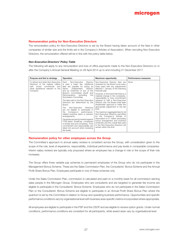#### **Remuneration policy for Non-Executive Directors**

The remuneration policy for Non-Executive Directors is set by the Board having taken account of the fees in other companies of similar size and the limits set in the Company's Articles of Association. When recruiting Non-Executive Directors, the remuneration offered will be in line with the policy table below.

#### *Non-Executive Directors' Policy Table*

The following will apply to any remuneration and loss of office payments made to the Non-Executive Directors on or after the Company's Annual General Meeting on 28 April 2014 up to and including 31 December 2017.

| Purpose and link to strategy                                                                                                                             | Operation                                                                                                                                                                                                                                                                                                                                                                                                                                                                                                                                                                                                                                                                                                                                         | <b>Maximum opportunity</b>                                                                                                                                                                                                                                                                                                                                                                                                                                                                                                                                                                                                                                                                                                                             | <b>Performance measures</b> |
|----------------------------------------------------------------------------------------------------------------------------------------------------------|---------------------------------------------------------------------------------------------------------------------------------------------------------------------------------------------------------------------------------------------------------------------------------------------------------------------------------------------------------------------------------------------------------------------------------------------------------------------------------------------------------------------------------------------------------------------------------------------------------------------------------------------------------------------------------------------------------------------------------------------------|--------------------------------------------------------------------------------------------------------------------------------------------------------------------------------------------------------------------------------------------------------------------------------------------------------------------------------------------------------------------------------------------------------------------------------------------------------------------------------------------------------------------------------------------------------------------------------------------------------------------------------------------------------------------------------------------------------------------------------------------------------|-----------------------------|
| To attract and retain Non-Executive  <br>Directors of the highest calibre<br>broad commercial and<br>with<br>other experience relevant to the<br>Company | Each<br>Non-Executive<br>Director<br>is paid a basic fee. Additional<br>fees are payable for acting as<br>Independent<br>Senior<br>Director<br>and as Chairman of any of the<br>Board's Committees (Audit and<br>Remuneration)<br>the<br>excluding<br>Nomination Committee.<br>The fees paid to the Non-Executive<br>Directors are determined by the<br>Board.<br>Non-Executive<br><b>Directors</b><br>The<br>are not eligible to participate in<br>Company's performance-<br>the<br>related incentive plans or pension<br>arrangements.<br>Fee levels are benchmarked against<br>FTSE-listed SmallCap companies<br>of similar size and complexity. Time<br>commitment and responsibility are<br>taken into account when reviewing<br>fee levels. | Non-Executive Director fees are<br>reviewed by the Board once every<br>three years with any adjustments<br>effective 1 January of the following<br>financial year.<br>However, in the event that there is a<br>material change in the complexity,<br>responsibility or time commitment<br>required to fulfil a Non-Executive<br>Director role, the Board shall seek<br>shareholder approval to make the<br>appropriate adjustment to the fee<br>level.<br>The maximum aggregate fees for all<br>Non-Executive Directors permitted<br>by the Company's Articles of<br>Association is £1 million (excluding<br>bonus arrangement and incentive<br>schemes) and the overall fees paid<br>to the Non-Executive Directors will<br>remain within this limit. | None                        |

#### **Remuneration policy for other employees across the Group**

The Committee's approach to annual salary reviews is consistent across the Group, with consideration given to the scope of the role, level of experience, responsibility, individual performance and pay levels in comparable companies. Interim salary reviews are typically only proposed where an employee has a change in role or the scope of their role increases.

The Group offers three variable pay schemes to permanent employees of the Group who do not participate in the Management Bonus Scheme. These are the Sales Commission Plan, the Consultants' Bonus Scheme and the Annual Profit Share Bonus Plan. Employees participate in one of these schemes only.

Under the Sales Commission Plan, commission is calculated and paid on a monthly basis for all commission earning sales people in the Microgen Group. Employees who are consultants and are targeted to generate fee income are eligible to participate in the Consultants' Bonus Scheme. Employees who do not participate in the Sales Commission Plan or the Consultants' Bonus Scheme are eligible to participate in an Annual Profit Share Bonus Plan where the quantum is set by the Committee in relation to Group and operating business performance. Opportunities and specific performance conditions vary by organisational level with business area-specific metrics incorporated where appropriate.

All employees are eligible to participate in the PSP and the CSOP and are eligible to receive option grants. Under normal conditions, performance conditions are consistent for all participants, while award sizes vary by organisational level.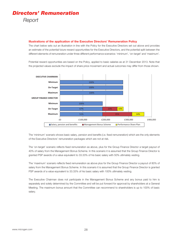#### **Illustrations of the application of the Executive Directors' Remuneration Policy**

The chart below sets out an illustration in line with the Policy for the Executive Directors set out above and provides an estimate of the potential future reward opportunities for the Executive Directors, and the potential split between the different elements of remuneration under three different performance scenarios: 'minimum', 'on-target' and 'maximum'.

Potential reward opportunities are based on the Policy, applied to basic salaries as at 31 December 2013. Note that the projected values exclude the impact of share price movement and actual outcomes may differ from those shown.



The 'minimum' scenario shows basic salary, pension and benefits (i.e. fixed remuneration) which are the only elements of the Executive Directors' remuneration packages which are not at risk.

The 'on-target' scenario reflects fixed remuneration as above, plus for the Group Finance Director a target payout of 40% of salary from the Management Bonus Scheme. In this scenario it is assumed that the Group Finance Director is granted PSP awards of a value equivalent to 33.33% of his basic salary with 50% ultimately vesting.

The 'maximum' scenario reflects fixed remuneration as above plus for the Group Finance Director a payout of 80% of salary from the Management Bonus Scheme. In this scenario it is assumed that the Group Finance Director is granted PSP awards of a value equivalent to 33.33% of his basic salary with 100% ultimately vesting.

The Executive Chairman does not participate in the Management Bonus Scheme and any bonus paid to him is separately and solely determined by the Committee and will be put forward for approval by shareholders at a General Meeting. The maximum bonus amount that the Committee can recommend to shareholders is up to 100% of basic salary.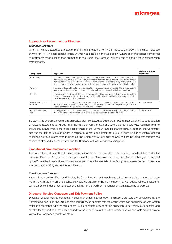#### **Approach to Recruitment of Directors**

#### *Executive Directors*

When hiring a new Executive Director, or promoting to the Board from within the Group, the Committee may make use of any of the existing components of remuneration as detailed in the table below. Where an individual has contractual commitments made prior to their promotion to the Board, the Company will continue to honour these remuneration arrangements.

| Component                  | Approach                                                                                                                                                                                                                                                                                                                                                                                                 | Maximum annual<br>grant value |
|----------------------------|----------------------------------------------------------------------------------------------------------------------------------------------------------------------------------------------------------------------------------------------------------------------------------------------------------------------------------------------------------------------------------------------------------|-------------------------------|
| Basic salary               | The basic salaries of new appointees will be determined by reference to relevant market data,<br>experience and skills of the individual, internal relativities and their current basic salary. Where<br>new appointees have initial basic salaries set below market, any shortfall may be managed with<br>phased increases over a period of two to three years subject to their development in the role |                               |
| Pension                    | New appointees will be eligible to participate in the Group Personal Pension Scheme or receive<br>a contribution to self-invested personal pension schemes in line with existing executives                                                                                                                                                                                                              |                               |
| <b>Benefits</b>            | New appointees will be eligible to receive benefits which may include (but are not limited to)<br>income protection in the event of long-term ill health, private healthcare insurance, death-in-<br>service benefits and car fuel benefits                                                                                                                                                              |                               |
| Management Bonus<br>Scheme | The scheme described in the policy table will apply to new appointees with the relevant<br>maximum being pro-rated to reflect the proportion of employment over the year. Targets for the<br>individual element will be tailored towards the executive                                                                                                                                                   | 100% of salary                |
| Performance Share<br>Plan  | New appointees who have been invited to participate in the PSP will be granted awards under<br>the PSP on the same terms as other executives, as described in the policy table                                                                                                                                                                                                                           | 200% of salary                |

In determining appropriate remuneration package for new Executive Directors, the Committee will take into consideration all relevant factors (including quantum, the nature of remuneration and where the candidate was recruited from) to ensure that arrangements are in the best interests of the Company and its shareholders. In addition, the Committee reserves the right to make an award in respect of a new appointment to 'buy out' incentive arrangements forfeited on leaving a previous employer. In doing so, the Committee will consider relevant factors including any performance conditions attached to these awards and the likelihood of those conditions being met.

#### **Exceptional circumstances exception**

The Committee shall be entitled to have the discretion to award remuneration to an individual outside of the ambit of the Executive Directors Policy table whose appointment to the Company as an Executive Director is being contemplated by the Committee in exceptional circumstances and where the interests of the Group require an exception to be made in order to successfully secure the recruitment.

#### *Non-Executive Directors*

In recruiting a new Non-Executive Director, the Committee will use the policy as set out in the table on page 27. A basic fee in line with the prevailing fee schedule would be payable for Board membership, with additional fees payable for acting as Senior Independent Director or Chairman of the Audit or Remuneration Committees as appropriate.

#### **Directors' Service Contracts and Exit Payment Policy**

Executive Director service contracts, including arrangements for early termination, are carefully considered by the Committee. Each Executive Director has a rolling service contract with the Group which can be terminated with written notice in accordance with the table below. Such contracts provide for an obligation to pay salary plus pension and benefits for any portion of the notice period waived by the Group. Executive Director service contracts are available to view at the Company's registered office.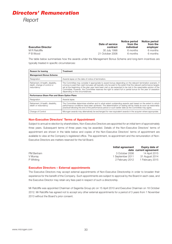|                           |                 | Notice period | Notice period |  |
|---------------------------|-----------------|---------------|---------------|--|
|                           | Date of service | from the      | from the      |  |
| <b>Executive Director</b> | contract        | individual    | employer      |  |
| M R Ratcliffe             | 30 July 1998    | 6 months      | 6 months      |  |
| P B Wood                  | 21 October 2006 | 6 months      | 6 months      |  |

The table below summarises how the awards under the Management Bonus Scheme and long-term incentives are typically treated in specific circumstances:

| <b>Reason for leaving</b>                                                        | <b>Treatment</b>                                                                                                                                                                                                                                                                                                                                                                                                                                                                                       |  |  |
|----------------------------------------------------------------------------------|--------------------------------------------------------------------------------------------------------------------------------------------------------------------------------------------------------------------------------------------------------------------------------------------------------------------------------------------------------------------------------------------------------------------------------------------------------------------------------------------------------|--|--|
| <b>Management Bonus Scheme</b>                                                   |                                                                                                                                                                                                                                                                                                                                                                                                                                                                                                        |  |  |
| Resignation                                                                      | Awards lapse on the date of notice of termination.                                                                                                                                                                                                                                                                                                                                                                                                                                                     |  |  |
| Retirement, ill-health, disability,<br>death, change of control or<br>redundancy | The Committee may consider it appropriate to award bonus depending on the relevant termination scenario. If<br>a bonus is paid then cash bonuses will typically only be paid to the extent that the relevant performance targets<br>set at the beginning of the plan year have been met or are expected to be met in the reasonable opinion of the<br>Committee, however, the Committee reserves the right to award full or partial bonus for the year of cessation<br>depending on the circumstances. |  |  |
| Performance Share Plan and Share Option Plans                                    |                                                                                                                                                                                                                                                                                                                                                                                                                                                                                                        |  |  |
| Resignation                                                                      | Awards lapse.                                                                                                                                                                                                                                                                                                                                                                                                                                                                                          |  |  |
| Retirement, ill-health, disability,<br>death or redundancy                       | The Committee determines whether and to what extent outstanding awards vest based on the extent to which<br>performance conditions have been achieved. The determination of vesting will be made as soon as reasonably<br>practical following the end of the performance period or such earlier date as the Committee may agree.                                                                                                                                                                       |  |  |
| Change of Control                                                                | Microgen awards may alternatively be exchanged for new equivalent awards in the acquirer where appropriate.                                                                                                                                                                                                                                                                                                                                                                                            |  |  |

#### **Non-Executive Directors' Terms of Appointment**

Subject to annual re-election by shareholders, Non-Executive Directors are appointed for an initial term of approximately three years. Subsequent terms of three years may be awarded. Details of the Non-Executive Directors' terms of appointment are shown in the table below and copies of the Non-Executive Directors' terms of appointment are available to view at the Company's registered office. The appointment, re-appointment and the remuneration of Non-Executive Directors are matters reserved for the full Board.

|            | Initial agreement | Expiry date of         |
|------------|-------------------|------------------------|
|            |                   | date current agreement |
| PM Bertram | 3 October 2006    | 14 April 2015          |
| V Murray   | 1 September 2011  | 31 August 2014         |
| P Whitina  | 2 February 2012   | 1 February 2015        |

#### **Executive Directors – External appointments**

The Executive Directors may accept external appointments of Non-Executive Directorship in order to broaden their experience for the benefit of the Company. Such appointments are subject to approval by the Board in each case, and the Executive Director may retain any fees paid in respect of such a directorship.

Mr Ratcliffe was appointed Chairman of Sagentia Group plc on 15 April 2010 and Executive Chairman on 18 October 2012. Mr Ratcliffe has agreed not to accept any other external appointments for a period of 3 years from 1 November 2013 without the Board's prior consent.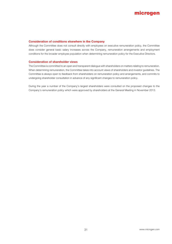

#### **Consideration of conditions elsewhere in the Company**

Although the Committee does not consult directly with employees on executive remuneration policy, the Committee does consider general basic salary increases across the Company, remuneration arrangements and employment conditions for the broader employee population when determining remuneration policy for the Executive Directors.

#### **Consideration of shareholder views**

The Committee is committed to an open and transparent dialogue with shareholders on matters relating to remuneration. When determining remuneration, the Committee takes into account views of shareholders and investor guidelines. The Committee is always open to feedback from shareholders on remuneration policy and arrangements, and commits to undergoing shareholder consultation in advance of any significant changes to remuneration policy.

During the year a number of the Company's largest shareholders were consulted on the proposed changes to the Company's remuneration policy which were approved by shareholders at the General Meeting in November 2013.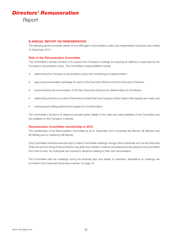#### **B ANNUAL REPORT ON REMUNERATION**

The following section provides details of how Microgen's remuneration policy was implemented during the year ended 31 December 2013.

#### **Role of the Remuneration Committee**

The Committee's primary function is to support the Company's strategy by ensuring its delivery is supported by the Company's remuneration policy. The Committee's responsibilities include:

- determining the Company's remuneration policy and monitoring its implementation;
- approving remuneration packages for each of the Executive Directors and the Executive Chairman;
- recommending the remuneration of the Non-Executive Directors for determination by the Board;
- determining the terms on which Performance Share Plan and Company Share Option Plan awards are made; and
- reviewing and setting performance targets for incentive plans.

The Committee's full terms of reference provide further details of the roles and responsibilities of the Committee and are available on the Company's website.

#### **Remuneration Committee membership in 2013**

The membership of the Remuneration Committee as at 31 December 2013 comprises Ms Murray, Mr Bertram and Mr Whiting and is chaired by Ms Murray.

Only Committee members have the right to attend Committee meetings, though other individuals such as the Executive Chairman and the Group Finance Director may attend by invitation. External consultants provide advice to the Committee from time to time. No individuals are involved in decisions relating to their own remuneration.

The Committee held ten meetings during the financial year and details of members' attendance at meetings are provided in the Corporate Governance section on page 19.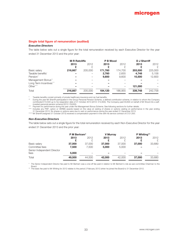#### **Single total figure of remuneration (audited)**

#### *Executive Directors*

The table below sets out a single figure for the total remuneration received by each Executive Director for the year ended 31 December 2013 and the prior year:

|                               | <b>M R Ratcliffe</b> |         | P B Wood |         | <b>D</b> J Sherriff |         |
|-------------------------------|----------------------|---------|----------|---------|---------------------|---------|
|                               | 2013                 | 2012    | 2013     | 2012    | 2013                | 2012    |
|                               |                      | £       |          |         |                     | £       |
| Basic salary                  | 216.667              | 205,000 | 171,760  | 174.700 | 203,500             | 225,000 |
| Taxable benefits <sup>*</sup> |                      |         | 2,760    | 2,655   | 4,748               | 5,158   |
| Pension <sup>"</sup>          |                      |         | 9,600    | 9.600   | 10,500              | 12,600  |
| Management Bonus***           |                      |         |          |         |                     |         |
| Long Term Incentives****      |                      |         |          |         |                     |         |
| Other****                     |                      |         |          |         | 121.000             |         |
| Total                         | 216.667              | 205,000 | 184.120  | 186.955 | 339,748             | 242.758 |

\* Taxable benefits consist primarily of private healthcare insurance and car fuel benefits.

\*\* During the year Mr Sherriff participated in the Group Personal Pension Scheme, a defined contribution scheme, in relation to whom the Company contributed £10,500 up to his resignation date of 31 October 2013 (2012: £12,600). The Company paid £9,600 on behalf of Mr Wood into a selfinvested personal pension scheme (2012: £9,600).

\*\*\* Payment for performance during the year under the Management Bonus Scheme. See following sections for further details.

\*\*\*\* Includes any PSP, option or VERBS awards based on the value at vesting of shares or options vesting on performance in the year ending 31 December 2013. No shares or options were due to vest on performance during the year ended 31 December 2013.

\*\*\*\*\* Mr Sherriff (resigned 31 October 2013) received a compensation payment in line with his service contract of £121,000.

#### *Non-Executive Directors*

The table below sets out a single figure for the total remuneration received by each Non-Executive Director for the year ended 31 December 2013 and the prior year:

|                                     | P M Bertram*    |                 | <b>V</b> Murray |                 | P Whiting** |           |
|-------------------------------------|-----------------|-----------------|-----------------|-----------------|-------------|-----------|
|                                     | 2013            | 2012<br>£       | 2013            | 2012            | 2013        | 2012<br>£ |
| Basic salary<br>Committee fees      | 37,000<br>7.500 | 37,000<br>7.500 | 37,000<br>5,000 | 37,000<br>5,000 | 37,000      | 33,680    |
| Senior Independent Director<br>fees | 5,000           |                 |                 |                 |             |           |
| Total                               | 49,500          | 44,500          | 42,000          | 42,000          | 37,000      | 33,680    |

\* The Senior Independent Director fee paid to Mr Bertram was a one-off fee paid in relation to Mr Bertram's role as sub-committee Chairman to the Board.

\*\* The basic fee paid to Mr Whiting for 2012 relates to the period 2 February 2012 (when he joined the Board) to 31 December 2012.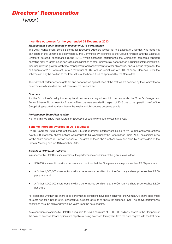#### **Incentive outcomes for the year ended 31 December 2013**

#### *Management Bonus Scheme in respect of 2013 performance*

The 2013 Management Bonus Scheme for Executive Directors (except for the Executive Chairman who does not participate in the Scheme) is determined by the Committee by reference to the Group's financial and the Executive Director's personal performance during 2013. When assessing performance the Committee compares reported operating profit to target in addition to the consideration of other indicators of performance including customer retention, recurring revenue growth, cash flow management and achievement of other objectives. Annual bonus targets for the participants for 2013 were set up to a maximum of 50% with an overall cap of 100% of salary. Bonuses under the scheme can only be paid up to the total value of the bonus fund as approved by the Committee.

The individual performance targets set and performance against each of the metrics are deemed by the Committee to be commercially sensitive and will therefore not be disclosed.

#### *Outcome*

It is the Committee's policy that exceptional performance only will result in payment under the Group's Management Bonus Scheme. No bonuses for Executive Directors were awarded in respect of 2013 due to the operating profit of the Group being reported at a level below the level at which bonuses became payable.

#### *Performance Share Plan vesting*

No Performance Share Plan awards for Executive Directors were due to vest in the year.

#### **Scheme interests awarded in 2013 (audited)**

On 18 November 2013, share options over 2,500,000 ordinary shares were issued to Mr Ratcliffe and share options over 500,000 ordinary shares options were issued to Mr Wood under the Performance Share Plan. The exercise price for the share options is 5 pence per share. The grant of these share options were approved by shareholders at the General Meeting held on 18 November 2013.

#### *Awards in 2013 to Mr Ratcliffe*

In respect of Mr Ratcliffe's share options, the performance conditions of the grant are as follows:

- 500,000 share options with a performance condition that the Company's share price reaches £2.00 per share;
- A further 1,000,000 share options with a performance condition that the Company's share price reaches £2.50 per share; and
- A further 1,000,000 share options with a performance condition that the Company's share price reaches £3.00 per share.

For assessing whether the share price performance conditions have been achieved, the Company's share price must be sustained for a period of 20 consecutive business days at or above the specified level. The above performance conditions must be achieved within five years from the date of grant.

As a condition of exercise Mr Ratcliffe is required to hold a minimum of 5,500,000 ordinary shares in the Company at the point of exercise. Share options are capable of being exercised three years from the date of grant with the last date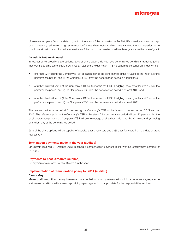

of exercise ten years from the date of grant. In the event of the termination of Mr Ratcliffe's service contract (except due to voluntary resignation or gross misconduct) those share options which have satisfied the above performance conditions at that time will immediately vest even if the point of termination is within three years from the date of grant.

#### *Awards in 2013 to Mr Wood*

In respect of Mr Wood's share options, 50% of share options do not have performance conditions attached (other than continued employment) and 50% have a Total Shareholder Return ("TSR") performance condition under which:

- one-third will vest if (i) the Company's TSR at least matches the performance of the FTSE Fledgling Index over the performance period; and (ii) the Company's TSR over the performance period is not negative;
- a further third will vest if (i) the Company's TSR outperforms the FTSE Fledgling Index by at least 25% over the performance period; and (ii) the Company's TSR over the performance period is at least 10%; and
- a further third will vest if (i) the Company's TSR outperforms the FTSE Fledgling Index by at least 50% over the performance period; and (ii) the Company's TSR over the performance period is at least 20%.

The relevant performance period for assessing the Company's TSR will be 3 years commencing on 20 November 2013. The reference point for the Company's TSR at the start of the performance period will be 123 pence whilst the closing reference point for the Company's TSR will be the average closing share price over the 30 calendar days ending on the last day of the performance period.

65% of the share options will be capable of exercise after three years and 35% after five years from the date of grant respectively.

#### **Termination payments made in the year (audited)**

Mr Sherriff (resigned 31 October 2013) received a compensation payment in line with his employment contract of £121,000.

#### **Payments to past Directors (audited)**

No payments were made to past Directors in the year.

#### **Implementation of remuneration policy for 2014 (audited)**

#### *Basic salary*

Market positioning of basic salary is reviewed on an individual basis, by reference to individual performance, experience and market conditions with a view to providing a package which is appropriate for the responsibilities involved.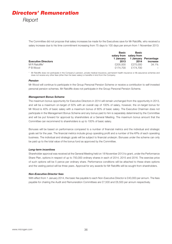# *Directors' Remuneration Report*

The Committee did not propose that salary increases be made for the Executives save for Mr Ratcliffe, who received a salary increase due to his time commitment increasing from 75 days to 100 days per annum from 1 November 2013:

|                            | <b>Basic</b> | <b>Basic</b>            |                      |
|----------------------------|--------------|-------------------------|----------------------|
|                            |              | salary from salary from |                      |
|                            | 1 Januarv    |                         | 1 January Percentage |
| <b>Executive Directors</b> | 2013         | 2014                    | increase             |
| M R Ratcliffe*             | £205,000     | £275,000                | 34.1%                |
| P B Wood                   | £174.700     | £174.700                |                      |

\* Mr Ratcliffe does not participate in the Company's pension, private medical insurance, permanent health insurance or life assurance schemes and does not receive any other fees (other than his basic salary) or benefits in kind from the Company.

#### *Pension*

Mr Wood will continue to participate in the Group Personal Pension Scheme or receive a contribution to self-invested personal pension schemes. Mr Ratcliffe does not participate in the Group Personal Pension Scheme.

## *Management Bonus Scheme*

The maximum bonus opportunity for Executive Directors in 2014 will remain unchanged from the opportunity in 2013, and will be a maximum on-target of 50% with an overall cap of 100% of salary, however, the on-target bonus for Mr Wood is 40% of basic salary with a maximum bonus of 80% of basic salary. The Executive Chairman does not participate in the Management Bonus Scheme and any bonus paid to him is separately determined by the Committee and will be put forward for approval by shareholders at a General Meeting. The maximum bonus amount that the Committee can recommend to shareholders is up to 100% of basic salary.

Bonuses will be based on performance compared to a number of financial metrics and the individual and strategic goals set for the year. The financial metrics include group operating profit and a number of the KPIs of each operating business. The individual and strategic goals will be subject to financial underpin. Bonuses under the scheme can only be paid up to the total value of the bonus fund as approved by the Committee.

## *Long-term incentives*

Shareholder approval was received at the General Meeting held on 18 November 2013 to grant, under the Performance Share Plan, options in respect of up to 750,000 ordinary shares in each of 2014, 2015 and 2016. The exercise price of such options will be 5 pence per ordinary share. Performance conditions will be attached to these share options and the vesting period will be three years. Approval for any awards for Mr Ratcliffe will be sought from shareholders.

#### *Non-Executive Director fees*

With effect from 1 January 2014, the basic fee payable to each Non-Executive Director is £40,000 per annum. The fees payable for chairing the Audit and Remuneration Committees are £7,500 and £6,500 per annum respectively.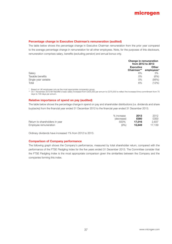

# **Percentage change in Executive Chairman's remuneration (audited)**

The table below shows the percentage change in Executive Chairman remuneration from the prior year compared to the average percentage change in remuneration for all other employees. Note, for the purposes of this disclosure, remuneration comprises salary, benefits (excluding pension) and annual bonus only.

|                      |                                | Change in remuneration<br>from 2012 to 2013 |  |  |
|----------------------|--------------------------------|---------------------------------------------|--|--|
|                      | <b>Executive</b><br>Chairman** | <b>Other</b><br>employees*                  |  |  |
| Salary               | 6%                             | 3%                                          |  |  |
| Taxable benefits     | 0%                             | (6%)                                        |  |  |
| Single-year variable | 0%                             | (56%)                                       |  |  |
| Total                | 6%                             | (12%)                                       |  |  |

\* Based on UK employees only as the most appropriate comparator group.

\*\* On 1 November 2013 Mr Ratcliffe's basic salary increased from £205,000 per annum to £275,000 to reflect the increased time commitment from 75 days to 100 days per annum.

# **Relative importance of spend on pay (audited)**

The table below shows the percentage change in spend on pay and shareholder distributions (i.e. dividends and share buybacks) from the financial year ended 31 December 2012 to the financial year ended 31 December 2013.

|                                | % increase | 2013   | 2012   |
|--------------------------------|------------|--------|--------|
|                                | (decrease) | £000   | £000   |
| Return to shareholders in year | 500%       | 17.016 | 2.837  |
| Employee remuneration          | (9%)       | 15.649 | 17.139 |

Ordinary dividends have increased 1% from 2012 to 2013.

#### **Comparison of Company performance**

The following graph shows the Company's performance, measured by total shareholder return, compared with the performance of the FTSE Fledgling Index for the five years ended 31 December 2013. The Committee consider that the FTSE Fledgling Index is the most appropriate comparison given the similarities between the Company and the companies forming this index.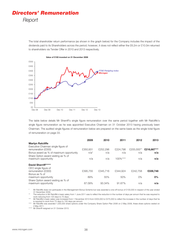# *Directors' Remuneration Report*

The total shareholder return performance (as shown in the graph below) for the Company includes the impact of the dividends paid to its Shareholders across the period; however, it does not reflect either the £6.2m or £10.0m returned to shareholders via Tender Offer in 2010 and 2013 respectively.



The table below details Mr Sherriff's single figure remuneration over the same period together with Mr Ratcliffe's single figure remuneration as he was appointed Executive Chairman on 31 October 2013 having previously been Chairman. The audited single figures of remuneration below are prepared on the same basis as the single total figure of remuneration on page 33.

|                                                                                                                                             | 2009                | 2010            | 2011            | 2012              | 2013               |
|---------------------------------------------------------------------------------------------------------------------------------------------|---------------------|-----------------|-----------------|-------------------|--------------------|
| <b>Martyn Ratcliffe</b>                                                                                                                     |                     |                 |                 |                   |                    |
| Executive Chairman single figure of<br>remuneration (£000)<br>Bonus award as % of maximum opportunity<br>Share Option award vesting as % of | £350,931<br>$n/a^*$ | £252.296<br>n/a | £224,798<br>n/a | £205,000**<br>n/a | £216,667***<br>n/a |
| maximum opportunity                                                                                                                         | n/a                 | n/a             | 100%****        | n/a               | n/a                |
| David Sherriff*****                                                                                                                         |                     |                 |                 |                   |                    |
| CEO single figure of<br>remuneration (£000)<br>Bonus as % of                                                                                | £395,755            | £345,716        | £344.924        | £242.758          | £339,748           |
| maximum opportunity<br>Share Option award vesting as % of                                                                                   | 89%                 | 55%             | 50%             | 0%                | $0\%$              |
| maximum opportunity                                                                                                                         | 67.09%              | 93.34%          | 91.67%          | n/a               | n/a                |

Mr Ratcliffe does not participate in the Management Bonus Scheme but was awarded a one-off bonus of £100,000 in respect of the year ended 31 December 2009.

The reduction in Mr Ratcliffe's basic salary from 1 June 2011 was to reflect the reduction in the number of days per annum that he was required to work reducing from 120 days to 75 days.

\*\*\* Mr Ratcliffe's basic salary was increased from 1 November 2013 from £205,000 to £275,000 to reflect the increase in the number of days that he is required to work from 75 days to 100 days per annum.

Mr Ratcliffe was awarded 1,000,000 share options under the Company Share Option Plan 2006 on 2 May 2008, these share options vested on 2 May 2011.

\*\*\*\*\* Mr Sherriff resigned on 31 October 2013.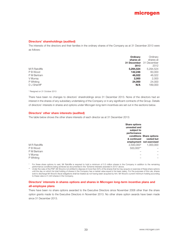## **Directors' shareholdings (audited)**

The interests of the directors and their families in the ordinary shares of the Company as at 31 December 2013 were as follows:

| Ordinary                       |
|--------------------------------|
| shares at                      |
| <b>31 December</b> 31 December |
| 2012                           |
| 5,294,524                      |
| 60,000                         |
| 46,022                         |
| 2,000                          |
| 24,000                         |
| 189,000                        |
|                                |

\* Resigned on 31 October 2013

There have been no changes to directors' shareholdings since 31 December 2013. None of the directors had an interest in the shares of any subsidiary undertaking of the Company or in any significant contracts of the Group. Details of directors' interests in shares and options under Microgen long-term incentives are set out in the sections below.

## **Directors' other share interests (audited)**

The table below shows the other share interests of each director as at 31 December 2013:

|               | <b>Share options</b><br>unvested and<br>subject to<br>performance |                          |
|---------------|-------------------------------------------------------------------|--------------------------|
|               |                                                                   | conditions Share options |
|               | & continued                                                       | vested but               |
|               |                                                                   | employment not exercised |
| M R Ratcliffe | 2,500,000*                                                        | 1.000.000                |
| P B Wood      | 500,000**                                                         |                          |
| P M Bertram   |                                                                   |                          |
| V Murray      |                                                                   |                          |
| P Whiting     |                                                                   |                          |

\* For these share options to vest, Mr Ratcliffe is required to hold a minimum of 5.5 million shares in the Company in addition to the remaining performance conditions being achieved as documented in the 'Scheme interests awarded in 2013' above.

Under the rules of the PSP, Mr Wood is not entitled to dispose of more than 50% of the shares that he may acquire on exercise of these share options until the day on which his total holding of shares in the Company has a market value equal to his basic salary. For the purposes of this rule, shares sold to discharge Mr Wood's fiscal obligations shall be treated as not having been acquired by him. Mr Wood's current minimum holding according to these rules is 41,423 shares in the Company.

# **Directors' interests in shares options and shares in Microgen long-term incentive plans and all-employee plans**

There have been no share options awarded to the Executive Directors since November 2008 other than the share option grants made to the Executive Directors in November 2013. No other share option awards have been made since 31 December 2013.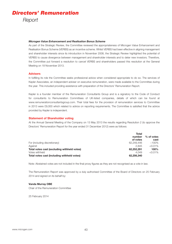# *Directors' Remuneration Report*

### *Microgen Value Enhancement and Realisation Bonus Scheme*

As part of the Strategic Review, the Committee reviewed the appropriateness of Microgen Value Enhancement and Realisation Bonus Scheme (VERBS) as an incentive scheme. Whilst VERBS had been effective in aligning management and shareholder interests since its introduction in November 2008, the Strategic Review highlighted the potential of VERBS to cause divergence between management and shareholder interests and to deter new investors. Therefore, the Committee put forward a resolution to cancel VERBS and shareholders passed this resolution at the General Meeting on 18 November 2013.

## **Advisers**

In fulfilling its role the Committee seeks professional advice when considered appropriate to do so. The services of Kepler Associates, an independent adviser on executive remuneration, were made available to the Committee during the year. This included providing assistance with preparation of the Directors' Remuneration Report.

Kepler is a founder member of the Remuneration Consultants Group and is a signatory to the Code of Conduct for consultants to Remuneration Committees of UK-listed companies, details of which can be found at www.remunerationconsultantsgroup.com. Their total fees for the provision of remuneration services to Committee in 2013 were £9,000 which related to advice on reporting requirements. The Committee is satisfied that the advice provided by Kepler is independent.

## **Statement of Shareholder voting**

At the Annual General Meeting of the Company on 13 May 2013 the results regarding Resolution 2 (to approve the Directors' Remuneration Report for the year ended 31 December 2012) were as follows:

|                                             | Total      |              |
|---------------------------------------------|------------|--------------|
|                                             | number     | $%$ of votes |
|                                             | of votes   | cast         |
| For (including discretionary)               | 62.249.446 | $~100\%$     |
| Against                                     | 2.845      | $< 0.01\%$   |
| Total votes cast (excluding withheld votes) | 62,252,291 | $100\%$      |
| Votes withheld                              | 4.049      | $< 0.01\%$   |
| Total votes cast (including withheld votes) | 62,256,340 |              |

Note: Abstained votes are not included in the final proxy figures as they are not recognised as a vote in law.

The Remuneration Report was approved by a duly authorised Committee of the Board of Directors on 25 February 2014 and signed on its behalf by:

## **Vanda Murray OBE**

Chair of the Remuneration Committee

25 February 2014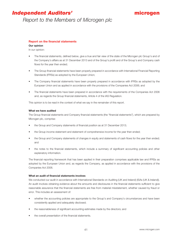# *Independent Auditors'*

# microgen

*Report to the Members of Microgen plc*

# **Report on the financial statements**

# **Our opinion**

In our opinion:

- The financial statements, defined below, give a true and fair view of the state of the Microgen plc Group's and of the Company's affairs as at 31 December 2013 and of the Group's profit and of the Group's and Company cash flows for the year then ended;
- The Group financial statements have been properly prepared in accordance with International Financial Reporting Standards (IFRSs) as adopted by the European Union;
- The Company financial statements have been properly prepared in accordance with IFRSs as adopted by the European Union and as applied in accordance with the provisions of the Companies Act 2006; and
- The financial statements have been prepared in accordance with the requirements of the Companies Act 2006 and, as regards the Group financial statements, Article 4 of the IAS Regulation.

This opinion is to be read in the context of what we say in the remainder of this report.

### **What we have audited**

The Group financial statements and Company financial statements (the "financial statements"), which are prepared by Microgen plc, comprise:

- the Group and Company statements of financial position as at 31 December 2013;
- the Group income statement and statement of comprehensive income for the year then ended;
- the Group and Company statements of changes in equity and statements of cash flows for the year then ended; and
- the notes to the financial statements, which include a summary of significant accounting policies and other explanatory information.

The financial reporting framework that has been applied in their preparation comprises applicable law and IFRSs as adopted by the European Union and, as regards the Company, as applied in accordance with the provisions of the Companies Act 2006.

### **What an audit of financial statements involves**

We conducted our audit in accordance with International Standards on Auditing (UK and Ireland) (ISAs (UK & Ireland)). An audit involves obtaining evidence about the amounts and disclosures in the financial statements sufficient to give reasonable assurance that the financial statements are free from material misstatement, whether caused by fraud or error. This includes an assessment of:

- whether the accounting policies are appropriate to the Group's and Company's circumstances and have been consistently applied and adequately disclosed;
- the reasonableness of significant accounting estimates made by the directors; and
- the overall presentation of the financial statements.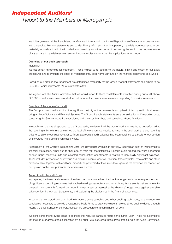# *Independent Auditors'*

# *Report to the Members of Microgen plc*

In addition, we read all the financial and non-financial information in the Annual Report to identify material inconsistencies with the audited financial statements and to identify any information that is apparently materially incorrect based on, or materially inconsistent with, the knowledge acquired by us in the course of performing the audit. If we become aware of any apparent material misstatements or inconsistencies we consider the implications for our report.

#### **Overview of our audit approach**

#### **Materiality**

We set certain thresholds for materiality. These helped us to determine the nature, timing and extent of our audit procedures and to evaluate the effect of misstatements, both individually and on the financial statements as a whole.

Based on our professional judgement, we determined materiality for the Group financial statements as a whole to be £432,000, which represents 5% of profit before tax.

We agreed with the Audit Committee that we would report to them misstatements identified during our audit above £22,000 as well as misstatements below that amount that, in our view, warranted reporting for qualitative reasons.

#### Overview of the scope of our audit

The Group is structured such that the significant majority of the business is comprised of two operating businesses being Aptitude Software and Financial Systems. The Group financial statements are a consolidation of 13 reporting units, comprising the Group's operating subsidiaries and overseas branches, and centralised Group functions.

In establishing the overall approach to the Group audit, we determined the type of work that needed to be performed at the reporting units. We also determined the level of involvement we needed to have in the audit work at those reporting units to be able to conclude whether sufficient appropriate audit evidence had been obtained as a basis for our opinion on the Group financial statements as a whole.

Accordingly, of the Group's 13 reporting units, we identified four which, in our view, required an audit of their complete financial information, either due to their size or their risk characteristics. Specific audit procedures were performed on four further reporting units and selected consolidation adjustments in relation to individually significant balances. These included procedures on revenue and deferred income, goodwill, taxation, trade payables, receivables and other payables. This, together with additional procedures performed at the Group level, gave us the evidence we needed for our opinion on the Group financial statements as a whole.

#### Areas of particular audit focus

In preparing the financial statements, the directors made a number of subjective judgements, for example in respect of significant accounting estimates that involved making assumptions and considering future events that are inherently uncertain. We primarily focused our work in these areas by assessing the directors' judgements against available evidence, forming our own judgements, and evaluating the disclosures in the financial statements.

In our audit, we tested and examined information, using sampling and other auditing techniques, to the extent we considered necessary to provide a reasonable basis for us to draw conclusions. We obtained audit evidence through testing the effectiveness of controls, substantive procedures or a combination of both.

We considered the following areas to be those that required particular focus in the current year. This is not a complete list of all risks or areas of focus identified by our audit. We discussed these areas of focus with the Audit Committee.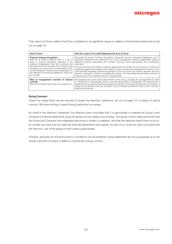Their report on those matters that they considered to be significant issues in relation to the financial statements is set out on page 18.

| Area of focus                                                                                                                                                                                                                                                                                                                                                                                                   | How the scope of our audit addressed the area of focus                                                                                                                                                                                                                                                                                                                                                                                                            |
|-----------------------------------------------------------------------------------------------------------------------------------------------------------------------------------------------------------------------------------------------------------------------------------------------------------------------------------------------------------------------------------------------------------------|-------------------------------------------------------------------------------------------------------------------------------------------------------------------------------------------------------------------------------------------------------------------------------------------------------------------------------------------------------------------------------------------------------------------------------------------------------------------|
| Fraud in revenue recognition<br>ISAs (UK & Ireland) presume there is a risk of<br>fraud in revenue recognition because of the<br>pressure management may feel to achieve the<br>planned results. We focused on the timing of the<br>recognition of revenue and its presentation in the<br>income statement, because this is dependent on<br>the fulfilment of contractual obligations, which can<br>be complex. | We tested the timing of revenue recognition, taking into account contractual obligations, and in<br>particular considered with operational and Group management whether judgemental revenue<br>deferral provisions associated with complex contracts were appropriately and consistently<br>calculated.                                                                                                                                                           |
|                                                                                                                                                                                                                                                                                                                                                                                                                 | We read extracts of the relevant customer agreements and tested the accounting for contractual<br>milestones against the analysis of the position of each contract that management maintains. Our<br>work included evaluating customer acceptance of the work done, any ongoing disputes, and the<br>directors' estimates of costs to complete the contract. We also tested journal entries posted to<br>revenue accounts to identify unusual or irregular items. |
| Risk of management override of internal<br>controls<br>ISAs (UK & Ireland) require that we consider this.                                                                                                                                                                                                                                                                                                       | We assessed the overall control environment of the Group, including the arrangements for staff<br>to "whistle-blow" inappropriate actions, and interviewed senior management. We examined the<br>significant accounting estimates and judgements relevant to the financial statements for evidence<br>of bias by the directors that may represent a risk of material misstatement due to fraud. We also<br>tested journal entries.                                |

### **Going Concern**

Under the Listing Rules we are required to review the directors' statement, set out on page 10, in relation to going concern. We have nothing to report having performed our review.

As noted in the directors' statement, the directors have concluded that it is appropriate to prepare the Group's and Company's financial statements using the going concern basis of accounting. The going concern basis presumes that the Group and Company have adequate resources to remain in operation, and that the directors intend them to do so, for at least one year from the date the financial statements were signed. As part of our audit we have concluded that the directors' use of the going concern basis is appropriate.

However, because not all future events or conditions can be predicted, these statements are not a guarantee as to the Group's and the Company's ability to continue as a going concern.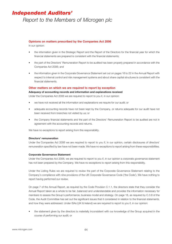# *Independent Auditors'*

*Report to the Members of Microgen plc*

## **Opinions on matters prescribed by the Companies Act 2006**

In our opinion:

- the information given in the Strategic Report and the Report of the Directors for the financial year for which the financial statements are prepared is consistent with the financial statements;
- the part of the Directors' Remuneration Report to be audited has been properly prepared in accordance with the Companies Act 2006; and
- the information given in the Corporate Governance Statement set out on pages 16 to 22 in the Annual Report with respect to internal control and risk management systems and about share capital structures is consistent with the financial statements.

### **Other matters on which we are required to report by exception**

#### **Adequacy of accounting records and information and explanations received**

Under the Companies Act 2006 we are required to report to you if, in our opinion:

- we have not received all the information and explanations we require for our audit; or
- adequate accounting records have not been kept by the Company, or returns adequate for our audit have not been received from branches not visited by us; or
- the Company financial statements and the part of the Directors' Remuneration Report to be audited are not in agreement with the accounting records and returns.

We have no exceptions to report arising from this responsibility.

### **Directors' remuneration**

Under the Companies Act 2006 we are required to report to you if, in our opinion, certain disclosures of directors' remuneration specified by law have not been made. We have no exceptions to report arising from these responsibilities.

### **Corporate Governance Statement**

Under the Companies Act 2006, we are required to report to you if, in our opinion a corporate governance statement has not been prepared by the Company. We have no exceptions to report arising from this responsibility.

Under the Listing Rules we are required to review the part of the Corporate Governance Statement relating to the Company's compliance with nine provisions of the UK Corporate Governance Code ('the Code'). We have nothing to report having performed our review.

On page 7 of the Annual Report, as required by the Code Provision C.1.1, the directors state that they consider the Annual Report taken as a whole to be fair, balanced and understandable and provides the information necessary for members to assess the Group's performance, business model and strategy. On page 18, as required by C.3.8 of the Code, the Audit Committee has set out the significant issues that it considered in relation to the financial statements, and how they were addressed. Under ISAs (UK & Ireland) we are required to report to you if, in our opinion:

• the statement given by the directors is materially inconsistent with our knowledge of the Group acquired in the course of performing our audit; or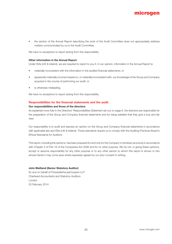

the section of the Annual Report describing the work of the Audit Committee does not appropriately address matters communicated by us to the Audit Committee.

We have no exceptions to report arising from this responsibility.

#### **Other information in the Annual Report**

Under ISAs (UK & Ireland), we are required to report to you if, in our opinion, information in the Annual Report is:

- materially inconsistent with the information in the audited financial statements; or
- apparently materially incorrect based on, or materially inconsistent with, our knowledge of the Group and Company acquired in the course of performing our audit; or
- is otherwise misleading.

We have no exceptions to report arising from this responsibility.

## **Responsibilities for the financial statements and the audit**

### **Our responsibilities and those of the directors**

As explained more fully in the Directors' Responsibilities Statement set out on page 6, the directors are responsible for the preparation of the Group and Company financial statements and for being satisfied that they give a true and fair view.

Our responsibility is to audit and express an opinion on the Group and Company financial statements in accordance with applicable law and ISAs (UK & Ireland). Those standards require us to comply with the Auditing Practices Board's Ethical Standards for Auditors.

This report, including the opinions, has been prepared for and only for the Company's members as a body in accordance with Chapter 3 of Part 16 of the Companies Act 2006 and for no other purpose. We do not, in giving these opinions, accept or assume responsibility for any other purpose or to any other person to whom this report is shown or into whose hands it may come save where expressly agreed by our prior consent in writing.

#### **John Maitland (Senior Statutory Auditor)**

for and on behalf of PricewaterhouseCoopers LLP Chartered Accountants and Statutory Auditors London 25 February 2014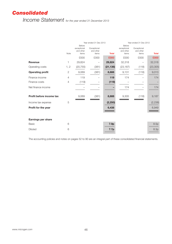# *Consolidated*

*Income Statement for the year ended 31 December 2013*

|                          |                | Before                            | Year ended 31 Dec 2013            |              | Year ended 31 Dec 2012<br>Before  |                                   |              |  |
|--------------------------|----------------|-----------------------------------|-----------------------------------|--------------|-----------------------------------|-----------------------------------|--------------|--|
|                          | Note           | exceptional<br>and other<br>items | Exceptional<br>and other<br>items | <b>Total</b> | exceptional<br>and other<br>items | Exceptional<br>and other<br>items | <b>Total</b> |  |
|                          |                | £000                              | £000                              | £000         | £000                              | £000                              | £000         |  |
| <b>Revenue</b>           |                | 29,824                            |                                   | 29,824       | 32,318                            |                                   | 32,318       |  |
| Operating costs          | 1, 2           | (20, 755)                         | (381)                             | (21, 136)    | (23, 187)                         | (118)                             | (23, 305)    |  |
| <b>Operating profit</b>  | $\mathbf{2}$   | 9,069                             | (381)                             | 8,688        | 9,131                             | (118)                             | 9,013        |  |
| Finance income           | $\overline{4}$ | 119                               |                                   | 119          | 174                               |                                   | 174          |  |
| Finance costs            | $\overline{4}$ | (119)                             |                                   | (119)        |                                   |                                   |              |  |
| Net finance income       |                |                                   |                                   |              | 174                               |                                   | 174          |  |
| Profit before income tax |                | 9,069                             | (381)                             | 8,688        | 9,305                             | (118)                             | 9,187        |  |
| Income tax expense       | 5              |                                   |                                   | (2, 250)     |                                   |                                   | (2, 238)     |  |
| Profit for the year      |                |                                   |                                   | 6,438        |                                   |                                   | 6,949        |  |
|                          |                |                                   |                                   |              |                                   |                                   |              |  |
| Earnings per share       |                |                                   |                                   |              |                                   |                                   |              |  |
| <b>Basic</b>             | 6              |                                   |                                   | 7.9p         |                                   |                                   | 8.5p         |  |
| <b>Diluted</b>           | 6              |                                   |                                   | 7.7p         |                                   |                                   | 8.3p         |  |

The accounting policies and notes on pages 52 to 90 are an integral part of these consolidated financial statements.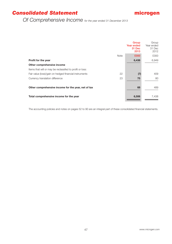# *Consolidated Statement*



*Of Comprehensive Income for the year ended 31 December 2013*

|                                                          |             | Group<br><b>Year ended</b><br>31 Dec<br>2013 | Group<br>Year ended<br>31 Dec<br>2012 |
|----------------------------------------------------------|-------------|----------------------------------------------|---------------------------------------|
|                                                          | <b>Note</b> | £000                                         | £000                                  |
| Profit for the year                                      |             | 6,438                                        | 6,949                                 |
| Other comprehensive income                               |             |                                              |                                       |
| Items that will or may be reclassifed to profit or loss: |             |                                              |                                       |
| Fair value (loss)/gain on hedged financial instruments   | 22          | (7)                                          | 409                                   |
| Currency translation difference                          | 23          | 75                                           | 80                                    |
|                                                          |             |                                              |                                       |
| Other comprehensive income for the year, net of tax      |             | 68                                           | 489                                   |
|                                                          |             |                                              |                                       |
| Total comprehensive income for the year                  |             | 6,506                                        | 7,438                                 |
|                                                          |             |                                              |                                       |

The accounting policies and notes on pages 52 to 90 are an integral part of these consolidated financial statements.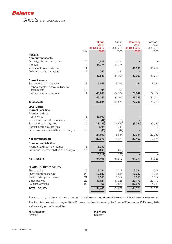

*Sheets at 31 December 2013*

|                                              |             | Group<br>As at | Group<br>As at | Company<br>As at | Company<br>As at |
|----------------------------------------------|-------------|----------------|----------------|------------------|------------------|
|                                              |             | 31 Dec 2013    | 31 Dec 2012    | 31 Dec 2013      | 31 Dec 2012      |
|                                              | <b>Note</b> | £000           | £000           | £000             | £000             |
| <b>ASSETS</b>                                |             |                |                |                  |                  |
| <b>Non-current assets</b>                    |             |                |                |                  |                  |
| Property, plant and equipment                | 10          | 5,022          | 5,391          |                  |                  |
| Goodwill                                     | 8           | 41,774         | 41,774         |                  |                  |
| Investments in subsidiaries                  | 11          |                |                | 40,909           | 40,752           |
| Deferred income tax assets                   | 12          | 752            | 1,041          |                  |                  |
|                                              |             | 47,548         | 48,206         | 40,909           | 40,752           |
| <b>Current assets</b>                        |             |                |                |                  |                  |
| Trade and other receivables                  | 13          | 5,049          | 3,163          | 154              | 8,722            |
| Financial assets - derivative financial      |             |                |                |                  |                  |
| instruments                                  | 18          | 94             | 69             |                  |                  |
| Cash and cash equivalents                    | 14          | 40,200         | 32,134         | 29,642           | 22,592           |
|                                              |             | 45,343         | 35,366         | 29,796           | 31,314           |
| <b>Total assets</b>                          |             | 92,891         | 83,572         | 70,705           | 72,066           |
| <b>LIABILITIES</b>                           |             |                |                |                  |                  |
| <b>Current liabilities</b>                   |             |                |                |                  |                  |
| <b>Financial liabilities</b>                 |             |                |                |                  |                  |
| - borrowings                                 | 16          | (3,000)        |                |                  |                  |
| - derivative financial instruments           | 18          | (47)           | (15)           |                  |                  |
| Trade and other payables                     | 15          | (18, 186)      | (17, 845)      | (9, 334)         | (20, 733)        |
| Current income tax liabilities               |             | (701)          | (742)          |                  | (10)             |
| Provisions for other liabilities and charges | 17          | (33)           | (42)           |                  |                  |
|                                              |             | (21, 967)      | (18, 644)      | (9, 334)         | (20, 743)        |
| Net current assets                           |             | 23,376         | 16,722         | 20,462           | 10,571           |
| <b>Non-current liabilities</b>               |             |                |                |                  |                  |
| Financial liabilities - borrowings           | 16          | (16, 250)      |                |                  |                  |
| Provisions for other liabilities and charges | 17          | (269)          | (256)          |                  |                  |
|                                              |             | (16, 519)      | (256)          |                  |                  |
| <b>NET ASSETS</b>                            |             | 54,405         | 64,672         | 61,371           | 51,323           |
|                                              |             |                |                |                  |                  |
| <b>SHAREHOLDERS' EQUITY</b>                  |             |                |                |                  |                  |
| Share capital                                | 19          | 3,724          | 4,078          | 3,724            | 4,078            |
| Share premium account                        | 20          | 12,037         | 11,885         | 12,037           | 11,885           |
| Capital redemption reserve                   | 21          | 1,558          | 1,152          | 1,558            | 1,152            |
| Other reserves                               | 22          | 37,021         | 37,028         | 20,177           | 20,177           |
| Retained earnings                            | 23          | 65             | 10,529         | 23,875           | 14,031           |
| <b>TOTAL EQUITY</b>                          |             | 54,405         | 64,672         | 61,371           | 51,323           |
|                                              |             |                |                |                  |                  |

The accounting policies and notes on pages 52 to 90 are an integral part of these consolidated financial statements. The financial statements on pages 46 to 90 were authorised for issue by the Board of Directors on 25 February 2014 and were signed on its behalf by:

**M R Ratcliffe P B Wood** 

Director Director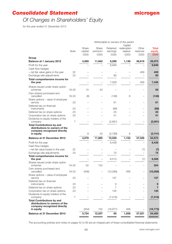# *Consolidated Statement*



# *Of Changes in Shareholders' Equity*

*for the year ended 31 December 2013*

|                                                                     |                |                  |                  |                      | Attributable to owners of the parent |                   |                        |
|---------------------------------------------------------------------|----------------|------------------|------------------|----------------------|--------------------------------------|-------------------|------------------------|
|                                                                     |                |                  |                  |                      | Capital                              |                   |                        |
|                                                                     | <b>Note</b>    | Share<br>capital | Share<br>premium | Retained<br>earnings | redemption<br>reserve                | Other<br>reserves | <b>Total</b><br>equity |
|                                                                     |                | £000             | £000             | £000                 | £000                                 | £000              | £000                   |
| Group                                                               |                |                  |                  |                      |                                      |                   |                        |
| <b>Balance at 1 January 2012</b>                                    |                | 4,069            | 11,842           | 6,299                | 1,146                                | 36,619            | 59,975                 |
| Profit for the year                                                 |                |                  |                  | 6,949                |                                      |                   | 6,949                  |
| Cash flow hedges                                                    |                |                  |                  |                      |                                      |                   |                        |
| - net fair value gains in the year                                  | 22             |                  |                  |                      |                                      | 409               | 409                    |
| Exchange rate adjustments                                           | 23             |                  |                  | 80                   |                                      |                   | 80                     |
| Total comprehensive income for                                      |                |                  |                  |                      |                                      |                   |                        |
| the year                                                            |                |                  |                  | 7,029                |                                      | 409               | 7,438                  |
| Shares issued under share option                                    |                |                  |                  |                      |                                      |                   |                        |
| schemes                                                             | 19-20          | 15               | 43               |                      |                                      |                   | 58                     |
| Own shares purchased and                                            |                |                  |                  |                      |                                      |                   |                        |
| cancelled                                                           | 19-23          | (6)              |                  | (146)                | 6                                    |                   | (146)                  |
| Share options - value of employee                                   |                |                  |                  |                      |                                      |                   |                        |
| service                                                             | 23             |                  |                  | 61                   |                                      |                   | 61                     |
| Deferred tax on financial<br>instruments                            | 23             |                  |                  | (89)                 |                                      |                   |                        |
| Deferred tax on share options                                       | 23             |                  |                  | 25                   |                                      |                   | (89)<br>25             |
| Corporation tax on share options                                    | 23             |                  |                  | 41                   |                                      |                   | 41                     |
| Dividends to equity holders of the                                  |                |                  |                  |                      |                                      |                   |                        |
| company                                                             | 7              |                  |                  | (2,691)              |                                      |                   | (2,691)                |
| <b>Total Contributions by and</b>                                   |                |                  |                  |                      |                                      |                   |                        |
| distributions to owners of the                                      |                |                  |                  |                      |                                      |                   |                        |
| company recognised directly                                         |                |                  |                  |                      |                                      |                   |                        |
| in equity                                                           |                | 9                | 43               | (2,799)              | 6                                    |                   | (2, 741)               |
| <b>Balance at 31 December 2012</b>                                  |                | 4,078            | 11,885           | 10,529               | 1,152                                | 37,028            | 64,672                 |
| Profit for the year                                                 |                |                  |                  | 6,438                |                                      |                   | 6,438                  |
| Cash flow hedges                                                    |                |                  |                  |                      |                                      |                   |                        |
| - net fair value losses in the year                                 | 22             |                  |                  |                      |                                      | (7)               | (7)                    |
| Exchange rate adjustments                                           | 23             |                  |                  | 75                   |                                      |                   | 75                     |
| Total comprehensive income for                                      |                |                  |                  |                      |                                      |                   |                        |
| the year                                                            |                |                  |                  | 6,513                |                                      | (7)               | 6,506                  |
| Shares issued under share option                                    |                |                  |                  |                      |                                      |                   |                        |
| schemes                                                             | 19-20          | 52               | 152              |                      |                                      |                   | 204                    |
| Own shares purchased and<br>cancelled                               | 19-23          | (406)            |                  | (10, 269)            | 406                                  |                   | (10, 269)              |
| Share options - value of employee                                   |                |                  |                  |                      |                                      |                   |                        |
| service                                                             | 23             |                  |                  | 157                  |                                      |                   | 157                    |
| Deferred tax on financial                                           |                |                  |                  |                      |                                      |                   |                        |
| instruments                                                         | 23             |                  |                  | 9                    |                                      |                   | 9                      |
| Deferred tax on share options                                       | 23             |                  |                  | 7                    |                                      |                   | 7                      |
| Corporation tax on share options                                    | 23             |                  |                  | 135                  |                                      |                   | 135                    |
| Dividends to equity holders of the                                  |                |                  |                  |                      |                                      |                   |                        |
| company                                                             | $\overline{7}$ |                  |                  | (7,016)              |                                      |                   | (7,016)                |
| <b>Total Contributions by and</b><br>distributions to owners of the |                |                  |                  |                      |                                      |                   |                        |
| company recognised directly                                         |                |                  |                  |                      |                                      |                   |                        |
| in equity                                                           |                | (354)            | 152              | (16, 977)            | 406                                  |                   | (16, 773)              |
| <b>Balance at 31 December 2013</b>                                  |                | 3,724            | 12,037           | 65                   | 1,558                                | 37,021            | 54,405                 |
|                                                                     |                |                  |                  |                      |                                      |                   |                        |

The accounting policies and notes on pages 52 to 90 are an integral part of these consolidated financial statements.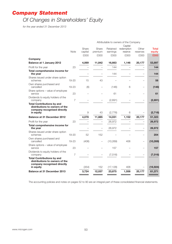# *Company Statement*

# *Of Changes in Shareholders' Equity*

*for the year ended 31 December 2013*

|                                                                                                                 |                | Attributable to owners of the Company |                          |                      |                       |                          |                        |
|-----------------------------------------------------------------------------------------------------------------|----------------|---------------------------------------|--------------------------|----------------------|-----------------------|--------------------------|------------------------|
|                                                                                                                 |                |                                       |                          |                      | Capital               |                          |                        |
|                                                                                                                 | Note           | Share<br>capital                      | Share<br>premium         | Retained<br>earnings | redemption<br>reserve | Other<br>reserves        | <b>Total</b><br>equity |
|                                                                                                                 |                | £000                                  | £000                     | £000                 | £000                  | £000                     | £000                   |
| Company                                                                                                         |                |                                       |                          |                      |                       |                          |                        |
| <b>Balance at 1 January 2012</b>                                                                                |                | 4,069                                 | 11,842                   | 16,663               | 1,146                 | 20,177                   | 53,897                 |
| Profit for the year                                                                                             | 23             |                                       |                          | 144                  |                       |                          | 144                    |
| Total comprehensive income for<br>the year                                                                      |                |                                       |                          | 144                  |                       |                          | 144                    |
| Shares issued under share option<br>schemes                                                                     | $19 - 20$      | 15                                    | 43                       |                      |                       |                          | 58                     |
| Own shares purchased and<br>cancelled                                                                           | 19-23          | (6)                                   |                          | (146)                | 6                     | $\equiv$                 | (146)                  |
| Share options - value of employee<br>service                                                                    | 23             |                                       |                          | 61                   |                       |                          | 61                     |
| Dividends to equity holders of the<br>company                                                                   | $\overline{7}$ |                                       |                          | (2,691)              |                       |                          | (2,691)                |
| <b>Total Contributions by and</b><br>distributions to owners of the<br>company recognised directly              |                |                                       |                          |                      |                       |                          |                        |
| in equity                                                                                                       |                | 9                                     | 43                       | (2,776)              | 6                     |                          | (2, 718)               |
| <b>Balance at 31 December 2012</b>                                                                              |                | 4,078                                 | 11,885                   | 14,031               | 1,152                 | 20,177                   | 51,323                 |
| Profit for the year                                                                                             | 23             |                                       | $\overline{\phantom{0}}$ | 26,972               |                       |                          | 26,972                 |
| Total comprehensive income for<br>the year                                                                      |                |                                       |                          | 26,972               |                       |                          | 26,972                 |
| Shares issued under share option<br>schemes                                                                     | 19-20          | 52                                    | 152                      |                      |                       |                          | 204                    |
| Own shares purchased and<br>cancelled                                                                           | 19-23          | (406)                                 | $\overline{\phantom{0}}$ | (10, 269)            | 406                   |                          | (10, 269)              |
| Share options - value of employee<br>service                                                                    | 23             |                                       |                          | 157                  |                       | $\overline{\phantom{0}}$ | 157                    |
| Dividends to equity holders of the<br>company                                                                   | $\overline{7}$ |                                       |                          | (7,016)              |                       |                          | (7,016)                |
| <b>Total Contributions by and</b><br>distributions to owners of the<br>company recognised directly<br>in equity |                | (354)                                 | 152                      | (17, 128)            | 406                   |                          | (16, 924)              |
| <b>Balance at 31 December 2013</b>                                                                              |                | 3,724                                 | 12,037                   | 23,875               | 1,558                 | 20,177                   | 61,371                 |
|                                                                                                                 |                |                                       |                          |                      |                       |                          |                        |

The accounting policies and notes on pages 52 to 90 are an integral part of these consolidated financial statements.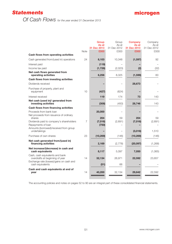# *Statements*

# *Of Cash Flows for the year ended 31 December 2013*

|                                                                                                          | <b>Note</b> | Group<br>As at<br>31 Dec 2013<br>£000 | Group<br>As at<br>31 Dec 2012<br>£000 | Company<br>As at<br>31 Dec 2013<br>£000 | Company<br>As at<br>31 Dec 2012<br>£00C |
|----------------------------------------------------------------------------------------------------------|-------------|---------------------------------------|---------------------------------------|-----------------------------------------|-----------------------------------------|
| Cash flows from operating activities                                                                     |             |                                       |                                       |                                         |                                         |
| Cash generated from/(used in) operations                                                                 | 24          | 8,103                                 | 10,348                                | (1, 597)                                | 92                                      |
| Interest paid                                                                                            |             | (119)                                 |                                       |                                         |                                         |
| Income tax paid                                                                                          |             | (1, 728)                              | (2,023)                               | (2)                                     | (32)                                    |
| Net cash flows generated from<br>operating activities                                                    |             | 6,256                                 | 8,325                                 | (1, 599)                                | 60                                      |
| Cash flows from investing activities                                                                     |             |                                       |                                       |                                         |                                         |
| Dividends received                                                                                       |             |                                       |                                       | 28,673                                  |                                         |
| Purchase of property, plant and<br>equipment                                                             | 10          | (427)                                 | (624)                                 |                                         |                                         |
| Interest received                                                                                        |             | 119                                   | 174                                   | 73                                      | 143                                     |
| Net cash (used in)/ generated from<br>investing activities                                               |             | (308)                                 | (450)                                 | 28,746                                  | 143                                     |
| Cash flows from financing activities                                                                     |             |                                       |                                       |                                         |                                         |
| Proceeds from bank loan<br>Net proceeds from issuance of ordinary<br>shares                              |             | 20,000<br>204                         | 59                                    | 204                                     | 59                                      |
| Dividends paid to company's shareholders<br>Repayments of loan<br>Amounts (borrowed)/received from group | 7           | (7,016)<br>(750)                      | (2,691)                               | (7,016)                                 | (2,691)                                 |
| undertakings                                                                                             |             |                                       |                                       | (3,016)                                 | 1,510                                   |
| Purchase of own shares                                                                                   | 23          | (10, 269)                             | (146)                                 | (10, 269)                               | (146)                                   |
| Net cash generated from/(used in)<br>financing activities                                                |             | 2,169                                 | (2,778)                               | (20, 097)                               | (1,268)                                 |
| Net increase/(decrease) in cash and<br>cash equivalents                                                  |             | 8,117                                 | 5,097                                 | 7,050                                   | (1,065)                                 |
| Cash, cash equivalents and bank<br>overdrafts at beginning of year                                       | 14          | 32,134                                | 26,971                                | 22,592                                  | 23,657                                  |
| Exchange rate (losses)/gains on cash and<br>cash equivalents                                             |             | (51)                                  | 66                                    |                                         |                                         |
| Cash and cash equivalents at end of<br>year                                                              | 14          | 40,200                                | 32,134                                | 29,642                                  | 22,592                                  |

The accounting policies and notes on pages 52 to 90 are an integral part of these consolidated financial statements.

51 *www.microgen.com*

×

microgen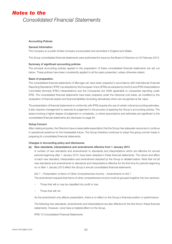#### Accounting Policies

#### General Information

The Company is a public limited company incorporated and domiciled in England and Wales.

The Group consolidated financial statements were authorised for issue by the Board of Directors on 25 February 2014.

#### Summary of significant accounting policies

The principal accounting policies applied in the preparation of these consolidated financial statements are set out below. These policies have been consistently applied to all the years presented, unless otherwise stated.

#### Basis of preparation

The consolidated financial statements of Microgen plc have been prepared in accordance with International Financial Reporting Standards ("IFRS") as adopted by the European Union (IFRSs as adopted by the EU) and IFRS Interpretations Committee (formerly IFRIC) interpretations and the Companies Act 2006 applicable to companies reporting under IFRS. The consolidated financial statements have been prepared under the historical cost basis, as modified by the revaluation of financial assets and financial liabilities (including derivatives) which are recognised at fair value.

The presentation of financial statements in conformity with IFRS requires the use of certain critical accounting estimates. It also requires management to exercise its judgement in the process of applying the Group's accounting policies. The areas involving a higher degree of judgement or complexity, or where assumptions and estimates are significant to the consolidated financial statements are disclosed on page 64.

#### Going Concern

After making enquiries, the Directors have a reasonable expectation that the Group has adequate resources to continue in operational existence for the foreseeable future. The Group therefore continues to adopt the going concern basis in preparing its consolidated financial statements.

#### Changes in Accounting policy and disclosures

#### (a) New standards, interpretations and amendments effective from 1 January 2013

A number of new standards and amendments to standards and interpretations which are effective for annual periods beginning after 1 January 2013, have been adopted in these financial statements. The nature and effect of each new standard, interpretation and amendment adopted by the Group is detailed below. Note that not all new standards and amendments to standards and interpretations effective for the first time for periods beginning on or after 1 January 2013 effect the Group's annual consolidated financial statements.

*IAS 1 – Presentation of Items of Other Comprehensive Income – Amendments to IAS 1*

The amendment required that items of other comprehensive income must be grouped together into two sections:

- Those that will or may be classified into profit or loss
- Those that will not.

As the amendment only affects presentation, there is no effect on the Group's financial position or performance.

The following new standards, amendments and interpretations are also effective for the first time in these financial statements. However, none have a material effect on the Group.

IFRS 10 Consolidated Financial Statements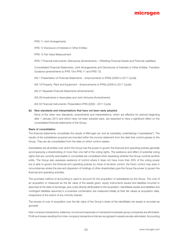IFRS 11 Joint Arrangements

IFRS 12 Disclosure of Interests in Other Entities

IFRS 13 Fair Value Measurement

IFRS 7 Financial Instruments: Dislcosures (Amendments – Offsetting Financial Assets and Financial Liabilities)

Consolidated Financial Statements, Joint Arrangements and Disclosures of Interests in Other Entities: Transition Guidance (amendments to IFRS 10m IFRS 11 and IFRS 12).

IAS 1 Presentation of Financial Statements – (improvements to IFRSs (2009 to 2011 Cycle))

IAS 16 Property, Plant and Equipment – (Improvements to IFRSs (2009 to 2011 Cycle))

IAS 27 Separate Financial Statements (Amendments)

IAS 28 Investments in Associates and Joint Ventures (Amendments)

IAS 32 Financial Instruments: Presentation IFRS (2009 – 2011 Cycle)

#### (b) New standards and interpretations that have not been early adopted.

None of the other new standards, amendments and interpretations, which are effective for periods beginning after 1 January 2013 and which have not been adopted early, are expected to have a significant effect on the consolidated financial statements of the Group.

#### Basis of consolidation

The financial statements consolidate the results of Microgen plc and its subsidiary undertakings ("subsidiaries"). The results of the subsidiaries acquired are included within the income statement from the date that control passes to the Group. They are de-consolidated from the date on which control ceases.

Subsidiaries are all entities over which the Group has the power to govern the financial and operating policies generally accompanying a shareholding of more than one half of the voting rights. The existence and effect of potential voting rights that are currently exercisable or convertible are considered when assessing whether the Group controls another entity. The Group also assesses existence of control where it does not have more than 50% of the voting power but is able to govern the financial and operating policies by virtue of de-facto control. De-Facto control may arise in circumstances where the size and dispersion of holdings of other shareholders give the Group the power to govern the financial and operating activities.

The purchase method of accounting is used to account for the acquisition of subsidiaries by the Group. The cost of an acquisition is measured as the fair value of the assets given, equity instruments issued and liabilities incurred or assumed at the date of exchange, plus costs directly attributable to the acquisition. Identifiable assets and liabilities and contingent liabilities assumed in a business combination are measured initially at their fair values at acquisition date, irrespective of the extent of any minority interest.

The excess of cost of acquisition over the fair value of the Group's share of the identifiable net assets is recorded as goodwill.

Inter-company transactions, balances, income and expenses on transactions between group companies are eliminated. Profit and losses resulting from inter-company transactions that are recognised in assets are also eliminated. Accounting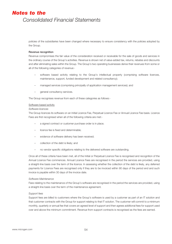policies of the subsidiaries have been changed where necessary to ensure consistency with the policies adopted by the Group.

### Revenue recognition

Revenue compromises the fair value of the consideration received or receivable for the sale of goods and services in the ordinary course of the Group's activities. Revenue is shown net of value-added tax, returns, rebates and discounts and after eliminating sales within the Group. The Group's two operating businesses derive their revenues from some or all of the following categories of revenue:-

- software based activity relating to the Group's intellectual property (comprising software licences, maintenance, support, funded development and related consultancy);
- managed services (comprising principally of application management services); and
- general consultancy services.

The Group recognises revenue from each of these categories as follows:-

#### Software based activity

### *Software licences*

The Group licences its software on an Initial Licence Fee, Perpetual Licence Fee or Annual Licence Fee basis. Licence Fees are first recognised when all of the following criteria are met:-

- a signed contract or customer purchase order is in place;
- licence fee is fixed and determinable;
- evidence of software delivery has been received;
- collection of the debt is likely; and
- no vendor specific obligations relating to the delivered software are outstanding.

Once all of these criteria have been met, all of the Initial or Perpetual Licence Fee is recognised and recognition of the Annual Licence Fee commences. Annual Licence Fees are recognised in the period the services are provided, using a straight-line basis over the term of the licence. In assessing whether the collection of the debt is likely, any deferred payments for Licence Fees are recognised only if they are to be invoiced within 90 days of the period end and such invoice is payable within 30 days of the invoice date.

### *Software Maintenance*

Fees relating to the maintenance of the Group's software are recognised in the period the services are provided, using a straight-line basis over the term of the maintenance agreement.

#### *Support fees*

Support fees are billed to customers where the Group's software is used by a customer as part of an IT solution and that customer contracts with the Group for support relating to that IT solution. The customer will commit to a minimum monthly, quarterly or annual fee that covers an agreed level of support and then agrees additional fees for support used over and above the minimum commitment. Revenue from support contracts is recognised as the fees are earned.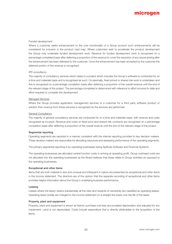### *Funded development*

Where a customer seeks enhancement to the core functionality of a Group product such enhancements will be considered for inclusion in the product road map. Where customers wish to accelerate the product development the Group may undertake funded development work. Revenue for funded development work is recognised on a percentage completed basis after deferring a proportion of the revenue to cover the resolution of any issues arising after the enhancement has been delivered to the customer. Once the enhancement has been accepted by the customer the deferred portion of the revenue is recognised.

#### *IPR consultancy*

The majority of consultancy services which relate to a project which includes the Group's software is contracted for on a time and materials basis and is recognised as such. Occasionally, fixed priced or shared risk work is undertaken and this is recognised on a percentage completion basis after deferring a proportion of the overall revenue until the end of the relevant stage of the project. The percentage completed is determined with reference to effort incurred to date and effort required to complete the development.

#### Managed Services

Where the Group provides application management services to a customer for a third party software product or solution then revenue from these services is recognised as the services are performed.

### General Consultancy

The majority of general consultancy services are contracted for on a time and materials basis, with revenue and costs recognised as incurred. Revenue and costs on fixed price and shared risk contracts are recognised on a percentage completion basis after deferring a proportion of the overall revenue until the end of the relevant stage of the project.

#### Segmental reporting

Operating segments are reported in a manner consistent with the internal reporting provided to key decision makers. These decision makers are responsible for allocating resources and assessing performance of the operating segments.

The primary segmental reporting is by operating businesses being Aptitude Software and Financial Systems.

The operating businesses are allocated central function costs in arriving at operating profit. Group overhead costs are not allocated into the operating businesses as the Board believes that these relate to Group activities as opposed to the operating businesses.

#### Exceptional and other items

Items that are both material in size and unusual and infrequent in nature are presented as exceptional and other items in the income statement. The directors are of the opinion that the separate recording of exceptional and other items provides helpful information about the Group's underlying business performance.

#### Leasing

Leases where the lessor retains substantially all the risks and rewards of ownership are classified as operating leases. Operating lease rentals are charged to the income statement on a straight line basis over the life of the lease.

#### Property, plant and equipment

Property, plant and equipment is shown at historic purchase cost less accumulated depreciation and adjusted for any impairment. Land is not depreciated. Costs include expenditure that is directly attributable to the acquisition of the items.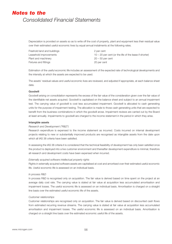Depreciation is provided on assets so as to write off the cost of property, plant and equipment less their residual value over their estimated useful economic lives by equal annual instalments at the following rates.

Freehold land and buildings **2** per cent Plant and machinery 20 – 50 per cent Fixtures and fittings **20 per cent** 

Leasehold improvements 10 – 20 per cent (or the life of the lease if shorter)

Estimation of the useful economic life includes an assessment of the expected rate of technological developments and the intensity at which the assets are expected to be used.

The assets' residual values and useful economic lives are reviewed, and adjusted if appropriate, at each balance sheet date.

# Goodwill

Goodwill arising on consolidation represents the excess of the fair value of the consideration given over the fair value of the identifiable net assets acquired. Goodwill is capitalised on the balance sheet and subject to an annual impairment test. The carrying value of goodwill is cost less accumulated impairment. Goodwill is allocated to cash generating units for the purpose of impairment testing. The allocation is made to those cash generating units that are expected to benefit from the business combinations in which the goodwill arose. Impairment reviews are carried out by the Board at least annually. Impairments to goodwill are charged to the income statement in the period in which they arise.

#### Intangible assets

#### *Research and Development ("R&D")*

Research expenditure is expensed to the income statement as incurred. Costs incurred on internal development projects relating to new or substantially improved products are recognised as intangible assets from the date upon which all IAS 38 criteria have been satisfied.

In assessing the IAS 38 criteria it is considered that the technical feasibility of development has only been satisfied once the product is deployed into a live customer environment and thereafter development expenditure is minimal, therefore all research and development costs have been expensed when incurred.

### *Externally acquired software intellectual property rights*

Rights in externally acquired software assets are capitalised at cost and amortised over their estimated useful economic life. Useful economic life is assessed on an individual basis.

#### *In process R&D*

In process R&D is recognised only on acquisition. The fair value is derived based on time spent on the project at an average daily cost rate. The carrying value is stated at fair value at acquisition less accumulated amortisation and impairment losses. The useful economic life is assessed on an individual basis. Amortisation is charged on a straight line basis over the estimated useful economic life of the assets.

#### *Customer relationships*

Customer relationships are recognised only on acquisition. The fair value is derived based on discounted cash flows from estimated recurring revenue streams. The carrying value is stated at fair value at acquisition less accumulated amortisation and impairment losses. The useful economic life is assessed on an individual basis. Amortisation is charged on a straight line basis over the estimated economic useful life of the assets.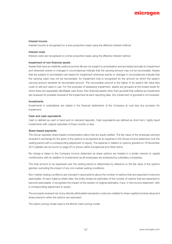#### Interest income

Interest income is recognised on a time-proportion basis using the effective interest method.

#### Interest costs

Interest costs are recognised on a time-proportion basis using the effective interest method.

#### Impairment of non-financial assets

Assets that have an indefinite useful economic life are not subject to amortisation and are tested annually for impairment and whenever events or changes in circumstances indicate that the carrying amount may not be recoverable. Assets that are subject to amortisation are tested for impairment whenever events or changes in circumstances indicate that the carrying value may not be recoverable. An impairment loss is recognised for the amount by which the asset's carrying amount exceeds its recoverable amount. The recoverable amount is the higher of an asset's fair value less costs to sell and value in use. For the purposes of assessing impairment, assets are grouped at the lowest levels for which there are separately identifiable cash flows. Non-financial assets other than goodwill that suffered an impairment are reviewed for possible reversal of the impairment at each reporting date. Any impairment of goodwill is not reversed.

#### Investments

Investments in subsidiaries are stated in the financial statements of the Company at cost less any provision for impairment.

#### Cash and cash equivalents

Cash is defined as cash in hand and on demand deposits. Cash equivalents are defined as short term, highly liquid investments with original maturities of three months or less.

#### Share-based payments

The Group operates share-based compensation plans that are equity settled. The fair value of the employee services received in exchange for the grant of the options is recognised as an expense in the Group income statement over the vesting period with a corresponding adjustment to equity. The expense in relation to options granted on 18 November 2013 (details can be found on page 67) is shown within Exceptional and Other Items.

No charge is taken to the Company income statement as share options are treated in a similar manner to capital contributions with an addition to investments as all employees are employed by subsidiary companies.

The total amount to be expensed over the vesting period is determined by reference to the fair value of the options granted, excluding the impact of any non-market vesting conditions.

Non-market vesting conditions are included in assumptions about the number of options that are expected to become exercisable. At each balance sheet date, the entity revises its estimates of the number of options that are expected to become exercisable. It recognises the impact of the revision of original estimates, if any, in the income statement, with a corresponding adjustment to equity.

The proceeds received net of any directly attributable transaction costs are credited to share capital (nominal value) and share premium when the options are exercised.

The option pricing model used is the Monte Carlo pricing model.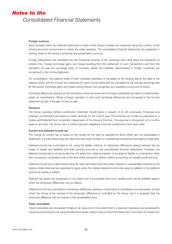#### Foreign currency

Items included within the financial statements of each of the Group's entities are measured using the currency of the primary economic environment in which the entity operates. The consolidated financial statements are presented in sterling, which is the Group's functional and presentation currency.

Foreign transactions are translated into the functional currency at the exchange rate ruling when the transaction is entered into. Foreign exchange gains and losses resulting from the settlement of such transactions and from the translation at year-end exchange rates of monetary assets and liabilities denominated in foreign currencies are recognised in the income statement.

On consolidation, the balance sheet of each overseas subsidiary is translated at the closing rate at the date of the balance sheet, and the income and expenses for each income statement are translated at the average exchange rate for the period. Exchange gains and losses arising thereon are recognised as a separate component of equity.

Exchange differences arising from the translation of the net investment in foreign subsidiaries are taken to shareholders' equity on consolidation. When a foreign operation is sold, such exchange differences are recognised in the income statement as part of the gain or loss on sale.

#### Pensions

The Group operates defined contribution retirement benefit plans in respect of its UK employees. Employee and employer contributions are based on basic earnings for the current year. The schemes are funded by payments to a trustee-administered fund completely independent of the Group's finances. The expense is recognised on a monthly basis as accrued. The Group has no further payment obligations once the contributions have been paid.

#### Current and deferred income tax

The charge for current tax is based on the results for the year as adjusted for items which are non-assessable or disallowed. It is calculated using tax rates that have been enacted or substantively enacted by the balance sheet date.

Deferred income tax is provided in full, using the liability method, on temporary differences arising between the tax bases of assets and liabilities and their carrying amounts in the consolidated financial statements. However, the deferred income tax is not accounted for, if it arises from initial recognition of an asset or liability in a transaction other than a business combination that at the time of the transaction affects neither accounting nor taxable profit and loss.

Deferred income tax is determined using tax rates (and laws) that have been enacted or substantially enacted by the balance sheet date and are expected to apply when the related deferred income tax asset is realised or the deferred income tax liability is settled.

Deferred tax assets are recognised to the extent that it is probable that future taxable profit will be available against which the temporary differences can be utilised.

Deferred income tax is provided on temporary differences arising on investments in subsidiaries and associates, except where the timing of the reversal of the temporary difference is controlled by the Group and it is probable that the temporary difference will not reverse in the foreseeable future.

#### Trade receivables

Trade receivables are recognised initially at fair value and to the extent that it is deemed necessary are subsequently measured at amortised cost using the effective interest method, less provision for impairment. A provision for impairment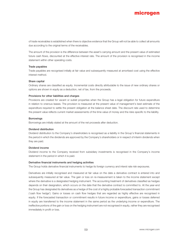of trade receivables is established when there is objective evidence that the Group will not be able to collect all amounts due according to the original terms of the receivables.

The amount of the provision is the difference between the asset's carrying amount and the present value of estimated future cash flows, discounted at the effective interest rate. The amount of the provision is recognised in the income statement within other operating costs.

#### Trade payables

Trade payables are recognised initially at fair value and subsequently measured at amortised cost using the effective interest method.

#### Share capital

Ordinary shares are classified as equity. Incremental costs directly attributable to the issue of new ordinary shares or options are shown in equity as a deduction, net of tax, from the proceeds.

#### Provisions for other liabilities and charges

Provisions are created for vacant or sublet properties when the Group has a legal obligation for future expenditure in relation to onerous leases. The provision is measured at the present value of management's best estimate of the expenditure required to settle the present obligation at the balance sheet date. The discount rate used to determine the present value reflects current market assessments of the time value of money and the risks specific to the liability.

#### **Borrowings**

Borrowings are initially stated at the amount of the net proceeds after deduction.

#### Dividend distribution

Dividend distribution to the Company's shareholders is recognised as a liability in the Group's financial statements in the period in which the dividends are approved by the Company's shareholders or in respect of interim dividends when they are paid.

#### Dividend income

Dividend income to the Company received from subsidiary investments is recognised in the Company's income statement in the period in which it is paid.

#### Derivative financial instruments and hedging activities

The Group holds derivative financial instruments to hedge its foreign currency and interst rate risk exposures.

Derivatives are initially recognised and measured at fair value on the date a derivative contract is entered into and subsequently measured at fair value. The gain or loss on re-measurement is taken to the income statement except where the derivative is a designated hedging instrument. The accounting treatment of derivatives classified as hedges depends on their designation, which occurs on the date that the derivative contract is committed to. At the year-end the Group has designated its derivatives as a hedge of the cost of a highly probable forecasted transaction commitment ('cash flow hedge'). Gains or losses on cash flow hedges that are regarded as highly effective are recognised in equity. If the forecasted transaction or commitment results in future income or expenditure, gains or losses deferred in equity are transferred to the income statement in the same period as the underlying income or expenditure. The ineffective portions of the gain or loss on the hedging instrument are not recognised in equity, rather they are recognised immediately in profit or loss.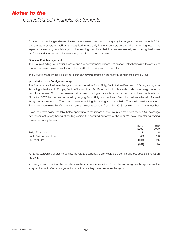For the portion of hedges deemed ineffective or transactions that do not qualify for hedge accounting under IAS 39, any change in assets or liabilities is recognised immediately in the income statement. When a hedging instrument expires or is sold, any cumulative gain or loss existing in equity at that time remains in equity and is recognised when the forecasted transaction is ultimately recognised in the income statement.

### Financial Risk Management

The Group's trading, multi-national operations and debt financing expose it to financial risks that include the effects of changes in foreign currency exchange rates, credit risk, liquidity and interest rates.

The Group manages these risks so as to limit any adverse effects on the financial performance of the Group.

## (a) Market risk – Foreign exchange

The Group's major foreign exchange exposures are to the Polish Zloty, South African Rand and US Dollar, arising from its trading subsidiaries in Europe, South Africa and the USA. Group policy in this area is to eliminate foreign currency cash flows between Group companies once the size and timing of transactions can be predicted with sufficient certainty. Since April 2007 this has been achieved by hedging Polish Zloty cash outflows 12 months in advance by using forward foreign currency contracts. These have the effect of fixing the sterling amount of Polish Zlotys to be paid in the future. The average remaining life of the forward exchange contracts at 31 December 2013 was 6 months (2012: 6 months).

Given the above policy, the table below approximates the impact on the Group's profit before tax of a 5% exchange rate movement (strengthening of sterling against the specified currency) of the Group's major non sterling trading currencies during the year.

|                         | 2013  | 2012  |
|-------------------------|-------|-------|
|                         | £000  | £000  |
| Polish Zloty gain       | 11    | 5     |
| South African Rand loss | (53)  | (66)  |
| US Dollar loss          | (125) | (55)  |
|                         | (167) | (116) |
|                         |       |       |

For a 5% weakening of sterling against the relevant currency, there would be a comparable but opposite impact on the profit.

In management's opinion, the sensitivity analysis is unrepresentative of the inherent foreign exchange risk as the analysis does not reflect management's proactive monitary measures for exchange risk.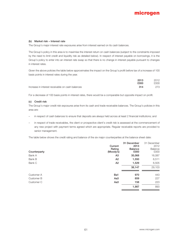## (b) Market risk – Interest rate

The Group's major interest rate exposures arise from interest earned on its cash balances.

The Group's policy in this area is to maximise the interest return on cash balances (subject to the constraints imposed by the need to limit credit and liquidity risk as detailed below). In respect of interest payable on borrowings, it is the Group's policy to enter into an interest rate swap so that there is no change in interest payable pursuant to changes in interest rates.

Given the above policies the table below approximates the impact on the Group's profit before tax of a increase of 100 basis points in interest rates during the year.

|                                                  | 2013 | 2012 |
|--------------------------------------------------|------|------|
|                                                  | £000 | £000 |
| Increase in interest receivable on cash balances | 314  | 273  |

For a decrease of 100 basis points in interest rates, there would be a comparable but opposite impact on profit.

### (c) Credit risk

The Group's major credit risk exposures arise from its cash and trade receivable balances. The Group's policies in this area are:

- in respect of cash balances to ensure that deposits are always held across at least 2 financial institutions; and
- in respect of trade receivables, the client or prospective client's credit risk is assessed at the commencement of any new project with payment terms agreed which are appropriate. Regular receivable reports are provided to senior management.

The table below shows the credit rating and balance of the six major counterparties at the balance sheet date:

| Current<br>Rating<br>(Moody's)<br>Counterparty | 31 December<br>2013<br><b>Balance</b><br>£000 | 31 December<br>2012<br>Balance<br>£000 |
|------------------------------------------------|-----------------------------------------------|----------------------------------------|
| Bank A<br>A3                                   | 35,068                                        | 16,087                                 |
| Bank B<br>A <sub>2</sub>                       | 1,550                                         | 6,511                                  |
| Bank C<br>A <sub>2</sub>                       | 1,529                                         | 6,505                                  |
|                                                | 38,147                                        | 29,103                                 |
| Customer A<br>Ba1                              | 970                                           | 443                                    |
| Customer B<br>Aa <sub>3</sub>                  | 859                                           | 227                                    |
| Aa <sub>3</sub><br>Customer C                  | 158                                           | 223                                    |
|                                                | 1,987                                         | 893                                    |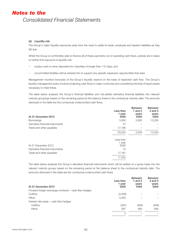# (d) Liquidity risk

The Group's major liquidity exposures arise from the need to settle its trade, employee and taxation liabilities as they fall due.

Whilst the Group is comfortably able to finance all of these payments out of operating cash flows, policies are in place to further limit exposure to liquidity risk:

- surplus cash is never deposited for maturities of longer than 110 days; and
- uncommitted facilities will be entered into to support any specific expansion opportunities that arise.

Management monitors forecasts of the Group's liquidity reserve on the basis of expected cash flow. The Group's liquidity management policy involves projecting cash flows in major currencies and considering the level of liquid assets necessary to meet these.

The table below analyses the Group's financial liabilities and net-settled derivative financial liabilities into relevant maturity groupings based on the remaining period at the balance sheet to the contractual maturity date. The amounts disclosed in the table are the contractual undiscounted cash flows.

| At 31 December 2013              | Less than<br>1 year<br>£000 | <b>Between</b><br>1 and $2$<br>years<br>£000 | <b>Between</b><br>$2$ and $5$<br>years<br>£000 |
|----------------------------------|-----------------------------|----------------------------------------------|------------------------------------------------|
| <b>Borrowings</b>                | 3,000                       | 3,000                                        | 13,250                                         |
| Derivative financial instruments | 47                          |                                              |                                                |
| Trade and other payables         | 17,195                      |                                              |                                                |
|                                  | 20,242                      | 3,000                                        | 13,250                                         |
| At 31 December 2012              | Less than<br>1 year<br>£000 |                                              |                                                |
| Derivative financial instruments | 15                          |                                              |                                                |
| Trade and other payables         | 17,187                      |                                              |                                                |
|                                  | 17,202                      |                                              |                                                |
|                                  |                             |                                              |                                                |

The table below analyses the Group's derivative financial instruments which will be settled on a gross basis into the relevant maturity groups based on the remaining period at the balance sheet to the contractual maturity date. The amounts disclosed in the table are the contractual undiscounted cash flows.

| At 31 December 2013                                   | Less than<br>1 year<br>£000 | <b>Between</b><br>1 and $2$<br>years<br>£000 | <b>Between</b><br>2 and $5$<br>years<br>£000 |
|-------------------------------------------------------|-----------------------------|----------------------------------------------|----------------------------------------------|
| Forward foreign exchange contracts – cash flow hedges |                             |                                              |                                              |
| Outflow                                               | (3,259)                     |                                              |                                              |
| <b>Inflow</b>                                         | 3,263                       |                                              |                                              |
| Interest rate swap – cash flow hedges                 |                             |                                              |                                              |
| Outflow                                               | (587)                       | (490)                                        | (846)                                        |
| <b>Inflow</b>                                         | 587                         | 490                                          | 846                                          |
|                                                       | 4                           |                                              |                                              |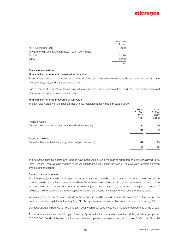|                                                       | Less than |
|-------------------------------------------------------|-----------|
|                                                       | 1 year    |
| At 31 December 2012                                   | £000      |
| Forward foreign exchange contracts – cash flow hedges |           |
| Outflow                                               | (3, 126)  |
| Inflow                                                | 3,260     |
|                                                       | 134       |

#### Fair value estimation

# Financial instruments not measured at fair value

Financial instruments not measured at fair value includes cash and cash equivalents, trade and other receivables, trade and other payables, and loans and borrowings.

Due to their short term nature, the carrying value of cash and cash equivalents, trade and other receivables, trade and other payables approximates their fair value.

#### Financial instruments measured at fair value

The fair value hierachy of the financial instruments measures at fair value is provided below.

|                                                                 | As at  | As at  |
|-----------------------------------------------------------------|--------|--------|
|                                                                 | 31 Dec | 31 Dec |
|                                                                 | 2013   | 2012   |
|                                                                 | £'000  | £'000  |
| <b>Financial Assets</b>                                         |        |        |
| Derivative financial assets (designated hedge instruments)      | 94     | 69     |
|                                                                 | 94     | 69     |
| <b>Financial Liabilities</b>                                    |        |        |
| Derivative financial liabitities (designated hedge instruments) | 47     | 15     |
|                                                                 | 47     | 15     |

The derivative financial assets and liabilites have been valued using the market approach and are considered to be Level 2 inputs. There were no changes to the valuation techniques used in the period. There were no transfers between levels during the period.

#### Capital risk management

The Group's objectives when managing capital are to safeguard the Group's ability to continue as a going concern in order to provide returns for shareholders and benefits for other stakeholders and to maintain an optimal capital structure to reduce the cost of capital. In order to maintain or adjust the capital structure, the Group may adjust the amount of dividends paid to shareholders, return capital to shareholders, issue new shares or sell assets to reduce debt.

We manage the capital structure based on the economic conditions and the risk characteristics of the Group. The Board reviews the capital structure regularly. No changes were made to our objectives and processes during 2013.

Our general funding policy is to raise long term debt when required to meet the anticipated requirements of the Group.

A loan was entered into by Microgen Financial Systems Limited, a wholly owned subsidiary of Microgen plc for £20,000,000. Details of the loan, the loan securities and operating covenants are given in note 16. Microgen Financial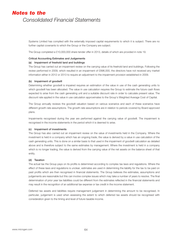Systems Limited has complied with the externally imposed capital requirements to which it is subject. There are no further capital covenants to which the Group or the Company are subject.

The Group completed a £10,000,000 share tender offer in 2013, details of which are provided in note 19.

### Critical Accounting Estimates and Judgements

### (a) Impairment of freehold land and buildings

The Group has carried out an impairment review on the carrying value of its freehold land and buildings. Following the review performed in 2009, which resulted in an impairment of £896,000, the directors have not received any market information either in 2012 or 2013 to require an adjustment to the impairment provision established in 2009.

### (b) Impairment of goodwill

Determining whether goodwill is impaired requires an estimation of the value in use of the cash generating units to which goodwill has been allocated. The value in use calculation requires the Group to estimate the future cash flows expected to arise from the cash generating unit and a suitable discount rate in order to calculate present value. The discount rate applied in the value in use calculation approximates to the Group's Weighted Average Cost of Capital.

The Group annually reviews the goodwill valuation based on various scenarios and each of these scenarios have different growth rate assumptions. The growth rate assumptions are in relation to periods covered by Board approved plans.

Impairments recognised during the year are performed against the carrying value of goodwill. The impairment is recognised in the income statements in the period which it is deemed to arise.

#### (c) Impairment of investments

The Group has also carried out an impairment review on the value of investments held in the Company. Where the investment is held in a company which has an ongoing trade, the value is derived by a value in use calculation of the cash generating units. This is done on a similar basis to that used in the impairment of goodwill calculation as detailed above and is therefore subject to the same estimates by management. Where the investment is held in a company which is no longer trading, the value is derived from the carrying value of the net assets on the balance sheet of that entity.

## (d) Taxation

The actual tax the Group pays on its profits is determined according to complex tax laws and regulations. Where the effect of these laws and regulations is unclear, estimates are used in determining the liability for the tax to be paid on past profits which are then recognised in financial statements. The Group believes the estimates, assumptions and judgements are reasonable but this can involve complex issues which may take a number of years to resolve. The final determination of prior year tax liabilities could be different from the estimates reflected in the financial statements and may result in the recognition of an additional tax expense or tax credit in the income statement.

Deferred tax assets and liabilities require management judgement in determining the amount to be recognised. In particular, judgement is used when assessing the extent to which deferred tax assets should be recognised with consideration given to the timing and level of future taxable income.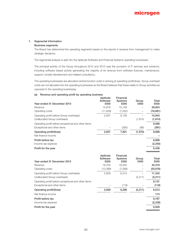# 1. Segmental Information

### Business segments

The Board has determined the operating segments based on the reports it receives from management to make strategic decisions.

The segmental analysis is split into the Aptitude Software and Financial Systems operating businesses.

The principal activity of the Group throughout 2012 and 2013 was the provision of IT services and solutions, including software based activity generating the majority of its revenue from software licences, maintenance, support, funded development and related consultancy.

The operating businesses are allocated central function costs in arriving at operating profit/(loss). Group overhead costs are not allocated into the operating businesses as the Board believes that these relate to Group activities as opposed to the operating businesses.

### (a) Revenue and operating profit by operating business

| Aptitude<br>Software<br>£000 | Financial<br><b>Systems</b><br>£000 | Group<br>£000 | Total<br>£000 |
|------------------------------|-------------------------------------|---------------|---------------|
| 14,676                       | 15,148                              |               | 29,824        |
| (11, 839)                    | (7,042)                             |               | (18, 881)     |
| 2,837                        | 8,106                               |               | 10,943        |
|                              |                                     | (1, 874)      | (1, 874)      |
|                              |                                     |               | 9,069         |
|                              | (285)                               | (96)          | (381)         |
| 2,837                        | 7,821                               | (1,970)       | 8,688         |
|                              |                                     |               | 8,688         |
|                              |                                     |               | (2, 250)      |
|                              |                                     |               | 6,438         |
| Aptitude<br>Software<br>£000 | Financial<br><b>Systems</b><br>£000 | Group         | Total<br>£000 |
|                              |                                     |               |               |
| 16,316                       | 16,002                              |               | 32,318        |
| (13, 388)                    | (7,588)                             |               | (20, 976)     |
| 2,928                        | 8,414                               |               | 11,342        |
|                              |                                     | (2, 211)      | (2, 211)      |
|                              |                                     |               | 9,131         |
|                              | (118)                               |               | (118)         |
| 2,928                        | 8,296                               | (2, 211)      | 9,013         |
|                              |                                     |               | 174           |
|                              |                                     |               | 9,187         |
|                              |                                     |               | (2, 238)      |
|                              |                                     |               | £000          |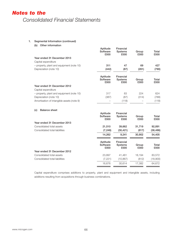# 1. Segmental Information (continued)

(b) Other information

|                                            | Aptitude<br>Software<br>£000 | Financial<br><b>Systems</b><br>£000 | Group<br>£000 | Total<br>£000 |
|--------------------------------------------|------------------------------|-------------------------------------|---------------|---------------|
| Year ended 31 December 2013                |                              |                                     |               |               |
| Capital expenditure                        |                              |                                     |               |               |
| - property, plant and equipment (note 10)  | 311                          | 47                                  | 69            | 427           |
| Depreciation (note 10)                     | (442)                        | (87)                                | (261)         | (790)         |
|                                            | Aptitude<br>Software<br>£000 | Financial<br><b>Systems</b><br>£000 | Group<br>£000 | Total<br>£000 |
| Year ended 31 December 2012                |                              |                                     |               |               |
| Capital expenditure                        |                              |                                     |               |               |
| - property, plant and equipment (note 10)  | 317                          | 83                                  | 224           | 624           |
| Depreciation (note 10)                     | (387)                        | (87)                                | (314)         | (788)         |
| Amortisation of intangible assets (note 9) |                              | (118)                               |               | (118)         |
| <b>Balance sheet</b><br>(c)                |                              |                                     |               |               |
|                                            | Aptitude<br>Software<br>£000 | Financial<br><b>Systems</b><br>£000 | Group<br>£000 | Total<br>£000 |
| Year ended 31 December 2013                |                              |                                     |               |               |
| Consolidated total assets                  | 21,510                       | 39,662                              | 31,719        | 92,891        |
| Consolidated total liabilities             | (7, 248)                     | (30, 421)                           | (817)         | (38, 486)     |
|                                            | 14,262                       | 9,241                               | 30,902        | 54,405        |
|                                            | Aptitude<br>Software<br>£000 | Financial<br><b>Systems</b><br>£000 | Group<br>£000 | Total<br>£000 |
| Year ended 31 December 2012                |                              |                                     |               |               |
| Consolidated total assets                  | 23,897                       | 41,481                              | 18,194        | 83,572        |
| Consolidated total liabilities             | (7, 221)                     | (10, 867)                           | (812)         | (18,900)      |
|                                            | 16,676                       | 30,614                              | 17,382        | 64,672        |

Capital expenditure comprises additions to property, plant and equipment and intangible assets, including additions resulting from acquisitions through business combinations.

 $=$ 

 $\overline{a}$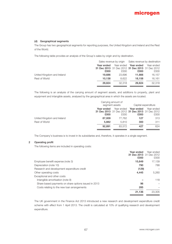## (d) Geographical segments

The Group has two geographical segments for reporting purposes, the United Kingdom and Ireland and the Rest of the World.

The following table provides an analysis of the Group's sales by origin and by destination.

|                            | Sales revenue by origin Sales revenue by destination |        |                                                 |            |
|----------------------------|------------------------------------------------------|--------|-------------------------------------------------|------------|
|                            | Year ended                                           |        | Year ended Year ended                           | Year ended |
|                            |                                                      |        | 31 Dec 2013 31 Dec 2012 31 Dec 2013 31 Dec 2012 |            |
|                            | £000                                                 | £000   | £000                                            | £000       |
| United Kingdom and Ireland | 19.686                                               | 23.696 | 11.666                                          | 16.157     |
| Rest of World              | 10.138                                               | 8.622  | 18.158                                          | 16.161     |
|                            | 29,824                                               | 32.318 | 29,824                                          | 32,318     |

The following is an analysis of the carrying amount of segment assets, and additions to property, plant and equipment and intangible assets, analysed by the geographical area in which the assets are located.

|                            |            | Carrying amount of<br>segment assets |                                                         | Capital expenditure |  |
|----------------------------|------------|--------------------------------------|---------------------------------------------------------|---------------------|--|
|                            | Year ended |                                      | Year ended Year ended                                   | Year ended          |  |
|                            | £000       | £000                                 | 31 Dec 2013 31 Dec 2012 31 Dec 2013 31 Dec 2012<br>£000 | £000                |  |
| United Kingdom and Ireland | 87,009     | 77.762                               | 127                                                     | 313                 |  |
| Rest of World              | 5.882      | 5.810                                | 300                                                     | 311                 |  |
|                            | 92.891     | 83.572                               | 427                                                     | 624                 |  |

The Company's business is to invest in its subsidiaries and, therefore, it operates in a single segment.

# 2 Operating profit

The following items are included in operating costs:

|                                                      | Year ended | Year ended              |
|------------------------------------------------------|------------|-------------------------|
|                                                      |            | 31 Dec 2013 31 Dec 2012 |
|                                                      | £000       | £000                    |
| Employee benefit expense (note 3)                    | 15,649     | 17.139                  |
| Depreciation (note 10)                               | 790        | 788                     |
| Research and development expenditure credit          | (129)      |                         |
| Other operating costs                                | 4,445      | 5.260                   |
| Exceptional and other costs                          |            |                         |
| Intangible amortisation (note 9)                     |            | 118                     |
| Share based payments on share options issued in 2013 | 96         |                         |
| Costs relating to the new loan arrangements          | 285        |                         |
|                                                      | 21,136     | 23,305                  |

The UK government in the Finance Act 2013 introduced a new research and development expenditure credit scheme with effect from 1 April 2013. The credit is calculated at 10% of qualifying research and development expenditure.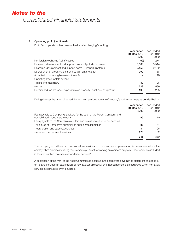## 2 Operating profit (continued)

Profit from operations has been arrived at after charging/(crediting):

|                                                                      | Year ended              | Year ended |
|----------------------------------------------------------------------|-------------------------|------------|
|                                                                      | 31 Dec 2013 31 Dec 2012 |            |
|                                                                      | £000                    | £000       |
| Net foreign exchange (gains)/losses                                  | (69)                    | 274        |
| Research, development and support costs – Aptitude Software          | 3.539                   | 3.514      |
| Research, development and support costs – Financial Systems          | 2.156                   | 2.172      |
| Depreciation of property, plant and equipment (note 10)              | 790                     | 788        |
| Amortisation of intangible assets (note 9)                           |                         | 118        |
| Operating lease rentals payable:                                     |                         |            |
| - plant and machinery                                                | 30                      | 26         |
| $-$ other                                                            | 629                     | 599        |
| Repairs and maintenance expenditure on property, plant and equipment | 198                     | 205        |
|                                                                      |                         |            |

During the year the group obtained the following services from the Company's auditors at costs as detailed below:

|                                                                                                                 | Year ended<br>£000 | Year ended<br>31 Dec 2013 31 Dec 2012<br>£000 |
|-----------------------------------------------------------------------------------------------------------------|--------------------|-----------------------------------------------|
| Fees payable to Company's auditors for the audit of the Parent Company and<br>consolidated financial statements | 95                 | 110                                           |
| Fees payable to the Company's auditors and its associates for other services:                                   |                    |                                               |
| - the audit of Company's subsidiaries pursuant to legislation                                                   | 37                 | 41                                            |
| - corporation and sales tax services                                                                            | 84                 | 106                                           |
| - overseas secondment services                                                                                  | 129                | 132                                           |
|                                                                                                                 | 345                | 389                                           |

The Company's auditors perform tax return services for the Group's employees in circumstances where the employer has overseas tax filing requirements pursuant to working on overseas projects. These costs are included in the row entitled 'overseas secondment services'.

A description of the work of the Audit Committee is included in the corporate governance statement on pages 17 to 18 and includes an explanation of how auditor objectivity and independence is safeguarded when non-audit services are provided by the auditors.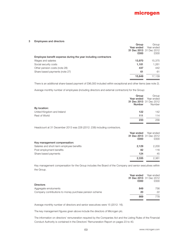

#### 3 Employees and directors

|                                                                | Group                   | Group      |
|----------------------------------------------------------------|-------------------------|------------|
|                                                                | Year ended              | Year ended |
|                                                                | 31 Dec 2013 31 Dec 2012 |            |
|                                                                | £000                    | £000       |
| Employee benefit expense during the year including contractors |                         |            |
| Wages and salaries                                             | 13,970                  | 15,375     |
| Social security costs                                          | 1,181                   | 1.261      |
| Other pension costs (note 28)                                  | 437                     | 442        |
| Share based payments (note 27)                                 | 61                      | 61         |
|                                                                | 15,649                  | 17.139     |
|                                                                |                         |            |

There is an additional share-based payment of £96,000 included within exceptional and other items (see note 2).

Average monthly number of employees (including directors and external contractors) for the Group:

|                            | Group<br>Year ended<br><b>Number</b> | Group<br>Year ended<br>31 Dec 2013 31 Dec 2012<br>Number |
|----------------------------|--------------------------------------|----------------------------------------------------------|
| By location:               |                                      |                                                          |
| United Kingdom and Ireland | 122                                  | 142                                                      |
| <b>Rest of World</b>       | 111                                  | 114                                                      |
|                            | 233                                  | 256                                                      |

Headcount at 31 December 2013 was 228 (2012: 238) including contractors.

|                                           | Year ended              | Year ended |
|-------------------------------------------|-------------------------|------------|
|                                           | 31 Dec 2013 31 Dec 2012 |            |
|                                           | £000                    | £000       |
| Key management compensation:              |                         |            |
| Salaries and short-term employee benefits | 2.129                   | 2.200      |
| Post employment benefits                  | 82                      | 116        |
| Share based payments                      | 124                     | 45         |
|                                           | 2,335                   | 2.361      |
|                                           |                         |            |

Key management compensation for the Group includes the Board of the Company and senior executives within the Group.

|                                                        | Year ended<br>£000 | Year ended<br>31 Dec 2013 31 Dec 2012<br>£000 |
|--------------------------------------------------------|--------------------|-----------------------------------------------|
| <b>Directors</b>                                       |                    |                                               |
| Aggregate emoluments                                   | 849                | 756                                           |
| Company contributions to money purchase pension scheme | 20                 | 22                                            |
|                                                        | 869                | 778                                           |

Average monthly number of directors and senior executives were 15 (2012: 16).

The key management figures given above include the directors of Microgen plc.

The information on directors' remuneration required by the Companies Act and the Listing Rules of the Financial Conduct Authority is contained in the Directors' Remuneration Report on pages 23 to 40.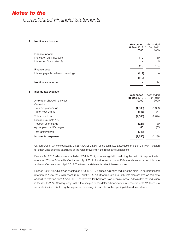4 Net finance income

Deferred tax (note 12):

|   |                                     | Year ended<br>31 Dec 2013 31 Dec 2012<br>£000 | Year ended<br>£000 |
|---|-------------------------------------|-----------------------------------------------|--------------------|
|   | Finance income                      |                                               |                    |
|   | Interest on bank deposits           | 119                                           | 169                |
|   | Interest on Corporation Tax         |                                               | 5                  |
|   |                                     | 119                                           | 174                |
|   | Finance cost                        |                                               |                    |
|   | Interest payable on bank borrowings | (119)                                         |                    |
|   |                                     | (119)                                         |                    |
|   | Net finance income                  |                                               | 174                |
| 5 | Income tax expense                  |                                               |                    |
|   |                                     | Year ended                                    | Year ended         |
|   | Analysis of charge in the year      | 31 Dec 2013 31 Dec 2012<br>£000               | £000               |
|   | Current tax:                        |                                               |                    |

– current year charge (1,860) (1,973) – prior year charge (143) (71) Total current tax (2,003) (2,044)

– current year charge (327) (139) – prior year credit/(charge) 80 (55) Total deferred tax (247) (194) Income tax expense (2,250) (2,238)

UK corporation tax is calculated at 23.25% (2012: 24.5%) of the estimated assessable profit for the year. Taxation for other jurisdictions is calculated at the rates prevailing in the respective jurisdictions.

Finance Act 2012, which was enacted on 17 July 2012, includes legislation reducing the main UK corporation tax rate from 26% to 24%, with effect from 1 April 2012. A further reduction to 23% was also enacted on this date and was effective from 1 April 2013. The financial statements reflect these changes.

Finance Act 2013, which was enacted on 17 July 2013, includes legislation reducing the main UK corporation tax rate from 23% to 21%, with effect from 1 April 2014. A further reduction to 20% was also enacted on this date and will be effective from 1 April 2015.The deferred tax balances have been re-measured to reflect the reduction in tax rate to 20%. Consequently, within the analysis of the deferred income tax rate asset in note 12, there is a separate line item disclosing the impact of the change in tax rate on the opening deferred tax balance.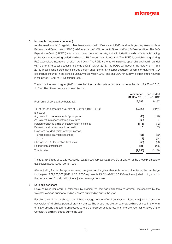#### 5 Income tax expense (continued)

As disclosed in note 2, legislation has been introduced in Finance Act 2013 to allow large companies to claim Research and Development ("R&D") relief as a credit of 10% per cent of their qualifying R&D expenditure. The R&D Expenditure Credit ("RDEC") is taxable at the corporation tax rate, and is included in the Group's taxable trading profits for the accounting period in which the R&D expenditure is incurred. The RDEC is available for qualifying R&D expenditure incurred on or after 1 April 2013. The RDEC scheme will initially be optional and will run in parallel with the existing super-deduction scheme until 31 March 2016. The RDEC will become mandatory on 1 April 2016. These financial statements include a claim under the existing super-deduction scheme for qualifying R&D expenditure incurred in the period 1 January to 31 March 2013, and an RDEC for qualifying expenditure incurred in the period 1 April to 31 December 2013.

The tax for the year is higher (2012: lower) than the standard rate of corporation tax in the UK of 23.25% (2012: 24.5%). The differences are explained below:

| Year ended                                                                              |       | Year ended<br>31 Dec 2013 31 Dec 2012 |
|-----------------------------------------------------------------------------------------|-------|---------------------------------------|
| Profit on ordinary activities before tax<br>8,688                                       |       | 9,187                                 |
| Tax at the UK corporation tax rate of $23.25\%$ (2012: 24.5%)<br>(2,020)<br>Effects of: |       | (2,251)                               |
| Adjustment to tax in respect of prior period                                            | (63)  | (126)                                 |
| Adjustment in respect of foreign tax rates                                              | (63)  | 7                                     |
| Foreign exchange gains on intercompany balances                                         | (111) | (42)                                  |
| Research and development tax credit                                                     | 10    | 135                                   |
| Expenses not deductible for tax purposes                                                |       |                                       |
| Share based payment expenses                                                            | (51)  | (89)                                  |
| Other                                                                                   | (18)  | (58)                                  |
| Changes in UK Corporation Tax Rates                                                     | (55)  | (20)                                  |
| Recognition of tax losses                                                               | 121   | 206                                   |
| (2, 250)<br>Total taxation                                                              |       | (2,238)                               |

The total tax charge of £2,250,000 (2012: £2,238,000) represents 25.9% (2012: 24.4%) of the Group profit before tax of £8,688,000 (2012: £9,187,000).

After adjusting for the change in tax rates, prior year tax charges and exceptional and other items, the tax charge for the year of £2,286,000 (2012: £2,319,000) represents 25.21% (2012: 25.23%) of the adjusted profit, which is the tax rate used for calculating the adjusted earnings per share.

## 6 Earnings per share

Basic earnings per share is calculated by dividing the earnings attributable to ordinary shareholders by the weighted average number of ordinary shares outstanding during the year.

For diluted earnings per share, the weighted average number of ordinary shares in issue is adjusted to assume conversion of all dilutive potential ordinary shares. The Group has dilutive potential ordinary shares in the form of share options granted to employees where the exercise price is less than the average market price of the Company's ordinary shares during the year.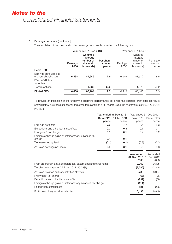# 6 Earnings per share (continued)

The calculation of the basic and diluted earnings per share is based on the following data:

| Earnings<br>£000 | Weighted<br>average<br>number of<br>shares (in<br>thousands) | Per-share<br>amount<br>pence | Earnings<br>£000       | Weighted<br>average<br>number of<br>shares (in<br>thousands) | Per-share<br>amount<br>pence |
|------------------|--------------------------------------------------------------|------------------------------|------------------------|--------------------------------------------------------------|------------------------------|
|                  |                                                              |                              |                        |                                                              |                              |
| 6.438            | 81.649                                                       | 7.9                          | 6.949                  | 81.572                                                       | 8.5                          |
|                  |                                                              |                              |                        |                                                              |                              |
|                  | 1,535                                                        | (0.2)                        |                        | 1,873                                                        | (0.2)                        |
| 6,438            | 83.184                                                       | 7.7                          | 6.949                  | 83,445                                                       | 8.3                          |
|                  |                                                              |                              | Year ended 31 Dec 2013 |                                                              | Year ended 31 Dec 2012       |

To provide an indication of the underlying operating performance per share the adjusted profit after tax figure shown below excludes exceptional and other items and has a tax charge using the effective rate of 25.21% (2012: 25.23%).

|                                                     | Year ended 31 Dec 2013 |                    | Year ended 31 Dec 2012 |                    |
|-----------------------------------------------------|------------------------|--------------------|------------------------|--------------------|
|                                                     | <b>Basic EPS</b>       | <b>Diluted EPS</b> | Basic EPS              | <b>Diluted EPS</b> |
|                                                     | pence                  | pence              | pence                  | pence              |
| Earnings per share                                  | 7.9                    | 7.7                | 8.5                    | 8.3                |
| Exceptional and other items net of tax              | 0.3                    | 0.3                | 0.1                    | 0.1                |
| Prior years' tax charge                             | 0.1                    | 0.1                | 0.2                    | $0.2^{\circ}$      |
| Foreign exchange gains on intercompany balances tax |                        |                    |                        |                    |
| charge                                              | 0.1                    | 0.1                |                        |                    |
| Tax losses recognised                               | (0.1)                  | (0.1)              | (0.3)                  | (0.3)              |
| Adjusted earnings per share                         | 8.3                    | 8.1                | 8.5                    | 8.3                |

|                                                                       | Year ended<br>£000 | Year ended<br>31 Dec 2013 31 Dec 2012<br>£000 |
|-----------------------------------------------------------------------|--------------------|-----------------------------------------------|
| Profit on ordinary activities before tax, exceptional and other items | 9.069              | 9,305                                         |
| Tax charge at a rate of 25.21% (2012: 25.23%)                         | (2, 286)           | (2,348)                                       |
| Adjusted profit on ordinary activities after tax                      | 6,783              | 6,957                                         |
| Prior years' tax charge                                               | (63)               | (126)                                         |
| Exceptional and other items net of tax                                | (292)              | (88)                                          |
| Foreign exchange gains on intercompany balances tax charge            | (111)              |                                               |
| Recognition of tax losses                                             | 121                | 206                                           |
| Profit on ordinary activities after tax                               | 6,438              | 6.949                                         |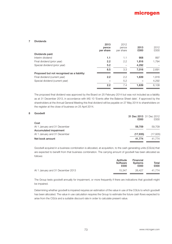#### 7 Dividends

|                                             | 2013<br>pence<br>per share | 2012<br>pence<br>per share | 2013<br>£000 | 2012<br>£000 |
|---------------------------------------------|----------------------------|----------------------------|--------------|--------------|
| Dividends paid:                             |                            |                            |              |              |
| Interim dividend                            | 1.1                        | 1.1                        | 908          | 897          |
| Final dividend (prior year)                 | 2.2                        | 2.2                        | 1,816        | 1.794        |
| Special dividend (prior year)               | 5.2                        |                            | 4,292        |              |
|                                             | 8.5                        | 3.3                        | 7.016        | 2,691        |
| Proposed but not recognised as a liability: |                            |                            |              |              |
| Final dividend (current year)               | 2.2                        | 2.2                        | 1.639        | 1,816        |
| Special dividend (current year)             |                            | 5.2                        |              | 4,292        |
|                                             | 2.2                        | 7.4                        | 1.639        | 6,108        |

The proposed final dividend was approved by the Board on 25 February 2014 but was not included as a liability as at 31 December 2013, in accordance with IAS 10 'Events after the Balance Sheet date'. If approved by the shareholders at the Annual General Meeting this final dividend will be payable on 27 May 2014 to shareholders on the register at the close of business on 25 April 2014.

# 8 Goodwill

|                              | £000      | 31 Dec 2013 31 Dec 2012<br>£000 |
|------------------------------|-----------|---------------------------------|
| Cost                         |           |                                 |
| At 1 January and 31 December | 59.709    | 59.709                          |
| Accumulated impairment       |           |                                 |
| At 1 January and 31 December | (17, 935) | (17,935)                        |
| Net book amount              | 41.774    | 41.774                          |

Goodwill acquired in a business combination is allocated, at acquisition, to the cash generating units (CGUs) that are expected to benefit from that business combination. The carrying amount of goodwill has been allocated as follows:

| Aptitude<br>Software<br>£000 | Financial<br><b>Systems</b><br>£000 | Total<br>£000 |
|------------------------------|-------------------------------------|---------------|
| 15.347                       | 26.427                              | 41.774        |
|                              |                                     |               |

The Group tests goodwill annually for impairment, or more frequently if there are indications that goodwill might be impaired.

Determining whether goodwill is impaired requires an estimation of the value in use of the CGUs to which goodwill has been allocated. The value in use calculation requires the Group to estimate the future cash flows expected to arise from the CGUs and a suitable discount rate in order to calculate present value.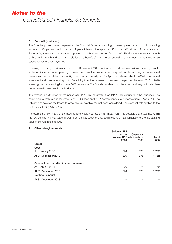# 8 Goodwill (continued)

The Board-approved plans, prepared for the Financial Systems operating business, project a reduction in operating income of 5% per annum for the next 4 years following the approved 2014 plan. Whilst part of the strategy for Financial Systems is to increase the proportion of the business derived from the Wealth Management sector through both organic growth and add-on acquisitions, no benefit of any potential acquisitions is included in the value in use calculation for Financial Systems.

Following the strategic review announced on 29 October 2013, a decision was made to increase investment significantly in the Aptitude Software operating business to focus the business on the growth of its recurring software-based revenues and not short-term profitability. The Board approved plans for Aptitude Software reflect in 2014 this increased investment and lower operating profit. Benefitting from the increase in investment the plan for the years 2015 to 2018 show a growth in operating income of 50% per annum. The Board considers this to be an achievable growth rate given the increased investment in the business.

The terminal growth rates for the period after 2018 are no greater than 2.25% per annum for either business. The conversion to cash ratio is assumed to be 79% based on the UK corporation tax rate effective from 1 April 2014. The utilisation of deferred tax losses to offset the tax payable has not been considered. The discount rate applied to the CGUs was 9.8% (2012: 9.8%).

A movement of 5% in any of the assumptions would not result in an impairment. It is possible that outcomes within the forthcoming financial years different from the key assumptions, could require a material adjustment to the carrying value of the Group's goodwill.

## 9 Other intangible assets

|                                         | Software IPR              |          |       |
|-----------------------------------------|---------------------------|----------|-------|
|                                         | and in                    | Customer |       |
|                                         | process R&D relationships |          | Total |
|                                         | £000                      | £000     | £000  |
| Group                                   |                           |          |       |
| Cost                                    |                           |          |       |
| At 1 January 2013                       | 876                       | 876      | 1,752 |
| At 31 December 2013                     | 876                       | 876      | 1,752 |
| Accumulated amortisation and impairment |                           |          |       |
| At 1 January 2013                       | 876                       | 876      | 1,752 |
| At 31 December 2013                     | 876                       | 876      | 1,752 |
| Net book amount                         |                           |          |       |
| At 31 December 2013                     |                           |          |       |
|                                         |                           |          |       |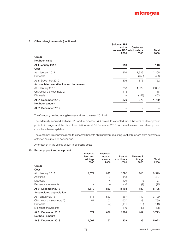# 9 Other intangible assets (continued)

|                                         | Software IPR<br>and in<br>process R&D relationships<br>£000 | Customer<br>£000 | Total<br>£000 |
|-----------------------------------------|-------------------------------------------------------------|------------------|---------------|
| Group                                   |                                                             |                  |               |
| Net book value                          |                                                             |                  |               |
| At 1 January 2012                       | 118                                                         |                  | 118           |
| Cost                                    |                                                             |                  |               |
| At 1 January 2012                       | 876                                                         | 1,329            | 2,205         |
| Disposals                               |                                                             | (453)            | (453)         |
| At 31 December 2012                     | 876                                                         | 876              | 1,752         |
| Accumulated amortisation and impairment |                                                             |                  |               |
| At 1 January 2012                       | 758                                                         | 1,329            | 2,087         |
| Charge for the year (note 2)            | 118                                                         |                  | 118           |
| <b>Disposals</b>                        |                                                             | (453)            | (453)         |
| At 31 December 2012                     | 876                                                         | 876              | 1,752         |
| Net book amount                         |                                                             |                  |               |
| At 31 December 2012                     |                                                             |                  |               |
|                                         |                                                             |                  |               |

The Company held no intangible assets during the year (2012: nil).

The externally acquired software IPR and in process R&D relates to expected future benefits of development projects in progress at the date of acquisition. As at 31 December 2013 no internal research and development costs have been capitalised.

The customer relationships relate to expected benefits obtained from recurring level of business from customers obtained as a result of acquisitions.

Amortisation in the year is shown in operating costs.

# 10 Property, plant and equipment

|                                        | Freehold<br>land and<br>buildings<br>£000 | Leasehold<br>improv-<br>ements<br>£000 | Plant &<br>machinery<br>£000 | <b>Fixtures &amp;</b><br>fittings<br>£000 | Total<br>£000 |
|----------------------------------------|-------------------------------------------|----------------------------------------|------------------------------|-------------------------------------------|---------------|
| Group                                  |                                           |                                        |                              |                                           |               |
| Cost                                   |                                           |                                        |                              |                                           |               |
| At 1 January 2013                      | 4,579                                     | 848                                    | 2,890                        | 203                                       | 8,520         |
| <b>Additions</b>                       |                                           | 9                                      | 418                          |                                           | 427           |
| <b>Disposals</b>                       |                                           | (4)                                    | (109)                        | (14)                                      | (127)         |
| Exchange movements                     |                                           |                                        | (16)                         | (9)                                       | (25)          |
| At 31 December 2013                    | 4,579                                     | 853                                    | 3,183                        | 180                                       | 8,795         |
| Accumulated depreciation               |                                           |                                        |                              |                                           |               |
| At 1 January 2013                      | 515                                       | 587                                    | 1,887                        | 140                                       | 3,129         |
| Charge for the year (note 2)           | 57                                        | 103                                    | 607                          | 23                                        | 790           |
| <b>Disposals</b>                       |                                           | (4)                                    | (101)                        | (13)                                      | (118)         |
| Exchange movements                     |                                           |                                        | (19)                         | (9)                                       | (28)          |
| At 31 December 2013<br>Net book amount | 572                                       | 686                                    | 2,374                        | 141                                       | 3,773         |
| At 31 December 2013                    | 4,007                                     | 167                                    | 809                          | 39                                        | 5,022         |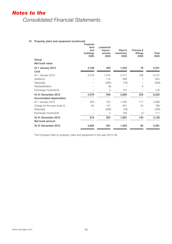# *Notes to the*

*Consolidated Financial Statements*

# 10 Property, plant and equipment (continued)

|                              | Freehold<br>land<br>and<br>buildings<br>£000 | Leasehold<br>improv-<br>ements<br>£000 | Plant &<br>machinery<br>£000 | Fixtures &<br>fittings<br>£000 | Total<br>£000 |
|------------------------------|----------------------------------------------|----------------------------------------|------------------------------|--------------------------------|---------------|
| Group                        |                                              |                                        |                              |                                |               |
| Net book value               |                                              |                                        |                              |                                |               |
| At 1 January 2012            | 4,126                                        | 293                                    | 1,023                        | 79                             | 5,521         |
| Cost                         |                                              |                                        |                              |                                |               |
| At 1 January 2012            | 4,579                                        | 1,015                                  | 2,317                        | 196                            | 8,107         |
| <b>Additions</b>             |                                              | 115                                    | 508                          |                                | 624           |
| <b>Disposals</b>             |                                              | (280)                                  | (76)                         |                                | (356)         |
| Reclassification             |                                              | (6)                                    |                              | 6                              |               |
| Exchange movements           |                                              | 4                                      | 141                          |                                | 145           |
| At 31 December 2012          | 4,579                                        | 848                                    | 2,890                        | 203                            | 8,520         |
| Accumulated depreciation     |                                              |                                        |                              |                                |               |
| At 1 January 2012            | 453                                          | 722                                    | 1,294                        | 117                            | 2,586         |
| Charge for the year (note 2) | 62                                           | 141                                    | 561                          | 24                             | 788           |
| Disposals                    |                                              | (280)                                  | (76)                         |                                | (356)         |
| Exchange movements           |                                              | 4                                      | 108                          | (1)                            | 111           |
| At 31 December 2012          | 515                                          | 587                                    | 1,887                        | 140                            | 3,129         |
| Net book amount              |                                              |                                        |                              |                                |               |
| At 31 December 2012          | 4,064                                        | 261                                    | 1,003                        | 63                             | 5,391         |

The Company held no property, plant and equipment in the year (2012 nil).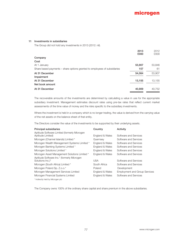## 11 Investments in subsidiaries

The Group did not hold any investments in 2013 (2012: nil).

|                                                                           | 2013<br>£000 | 2012<br>£000 |
|---------------------------------------------------------------------------|--------------|--------------|
| Company                                                                   |              |              |
| Cost                                                                      |              |              |
| At 1 January                                                              | 53,907       | 53,846       |
| Share based payments – share options granted to employees of subsidiaries | 157          | 61           |
| At 31 December                                                            | 54,064       | 53,907       |
| Impairment                                                                |              |              |
| At 31 December                                                            | 13,155       | 13,155       |
| Net book amount                                                           |              |              |
| At 31 December                                                            | 40,909       | 40.752       |

The recoverable amounts of the investments are determined by calculating a value in use for the appropriate subsidiary investment. Management estimates discount rates using pre-tax rates that reflect current market assessments of the time value of money and the risks specific to the subsidiary investments.

Where the investment is held in a company which is no longer trading, the value is derived from the carrying value of the net assets on the balance sheet of that entity.

The Directors consider the value of the investments to be supported by their underlying assets.

| <b>Principal subsidiaries</b>                                     | Country         | Activity                             |
|-------------------------------------------------------------------|-----------------|--------------------------------------|
| Aptitude Software Limited (formerly Microgen<br>Aptitude Limited) | England & Wales | Software and Services                |
| Microgen (Channel Islands) Limited *                              | Guernsey        | Software and Services                |
| Microgen Wealth Management Systems Limited *                      | England & Wales | Software and Services                |
| Microgen Banking Systems Limited *                                | England & Wales | Software and Services                |
| Microgen Solutions Limited *                                      | England & Wales | Software and Services                |
| Microgen Asset Management Solutions Limited *                     | England & Wales | Software and Services                |
| Aptitude Software Inc.* (formerly Microgen<br>Solutions Inc.)*    | USA             | Software and Services                |
| Microgen (South Africa) Limited *                                 | South Africa    | Software and Services                |
| Microgen Poland Sp. Z.o.o.*                                       | Poland          | Development                          |
| Microgen Management Services Limited                              | England & Wales | <b>Employment and Group Services</b> |
| Microgen Financial Systems Limited                                | England & Wales | Software and Services                |
| * Indirectly held by Microgen plc                                 |                 |                                      |

The Company owns 100% of the ordinary share capital and share premium in the above subsidiaries.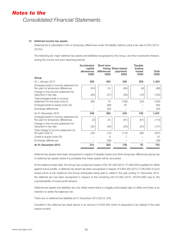# 12 Deferred income tax assets

Deferred tax is calculated in full on temporary differences under the liability method using a tax rate of 20% (2012: 23.0%).

The following are major deferred tax assets and liabilities recognised by the Group, and the movements thereon, during the current and prior reporting periods.

|                                                                               | Accelerated<br>capital<br>allowances<br>£000 | Short term<br>differences<br>£000 | timing Share-based<br>payments<br>£000 | <b>Taxable</b><br>trading<br>losses<br>£000 | Total<br>£000 |
|-------------------------------------------------------------------------------|----------------------------------------------|-----------------------------------|----------------------------------------|---------------------------------------------|---------------|
| Group                                                                         |                                              |                                   |                                        |                                             |               |
| At 1 January 2012                                                             | 329                                          | 463                               | 326                                    | 206                                         | 1,324         |
| (Charge)/credit to income statement for<br>the year for temporary differences | (54)                                         | 53                                | (80)                                   | (8)                                         | (89)          |
| Charge to the income statement for<br>reduction in tax rate                   | (26)                                         | (37)                              | (26)                                   | (16)                                        | (105)         |
| Total (charge)/credit to income<br>statement for the year (note 5)            | (80)                                         | 16                                | (106)                                  | (24)                                        | (194)         |
| (Charge)/credit to equity (note 23)                                           |                                              | (89)                              | 25                                     |                                             | (64)          |
| Exchange differences                                                          |                                              | (25)                              |                                        |                                             | (25)          |
| At 31 December 2012                                                           | 249                                          | 365                               | 245                                    | 182                                         | 1,041         |
| (Charge)/credit to income statement for<br>the year for temporary differences | (3)                                          | 35                                | (81)                                   | (61)                                        | (110)         |
| Charge to the income statement for<br>reduction in tax rate                   | (32)                                         | (48)                              | (33)                                   | (24)                                        | (137)         |
| Total charge to income statement for<br>the year (note 5)                     | (35)                                         | (13)                              | (114)                                  | (85)                                        | (247)         |
| Credit to equity (note 23)                                                    |                                              | 9                                 | 7                                      |                                             | 16            |
| Exchange differences                                                          |                                              | (58)                              |                                        |                                             | (58)          |
| At 31 December 2013                                                           | 214                                          | 303                               | 138                                    | 97                                          | 752           |

Deferred tax assets have been recognised in respect of taxable losses and other temporary differences giving rise to deferred tax assets where it is probable that these assets will be recovered.

At the balance sheet date, the Group has unused tax losses of £6,797,000 (2012: £7,606,000) available for offset against future profits. A deferred tax asset has been recognised in respect of £484,000 (2012: £790,000) of such losses which is the maximum the Group anticipates being able to utilise in the year ending 31 December 2014. No deferred tax has been recognised in respect of the remaining £6,313,000 (2012: £6,816,000) due to the unpredictability of future profit streams.

Deferred tax assets and liabilities are only offset where there is a legally enforceable right of offset and there is an intention to settle the balances net.

There are no deferred tax liabilities at 31 December 2013 (2012: £nil).

Included in the deferred tax asset above is an amount of £432,000 which is expected to be utilised in the next twelve months.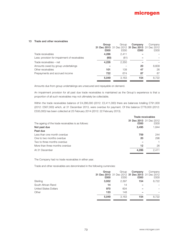# 13 Trade and other receivables

|                                               | Group<br>£000 | Group<br>31 Dec 2013 31 Dec 2012 31 Dec 2013 31 Dec 2012<br>£000 | Company<br>£000 | Company<br>£000 |
|-----------------------------------------------|---------------|------------------------------------------------------------------|-----------------|-----------------|
| Trade receivables                             | 4,286         | 2,411                                                            |                 |                 |
| Less: provision for impairment of receivables | (60)          | (61)                                                             |                 |                 |
| Trade receivables – net                       | 4,226         | 2,350                                                            |                 |                 |
| Amounts owed by group undertakings            |               |                                                                  | 20              | 8,609           |
| Other receivables                             | 101           | 139                                                              | 47              | 26              |
| Prepayments and accrued income                | 722           | 674                                                              | 87              | 87              |
|                                               | 5.049         | 3.163                                                            | 154             | 8.722           |

Amounts due from group undertakings are unsecured and repayable on demand.

An impairment provision for all past due trade receivables is maintained as the Group's experience is that a proportion of all such receivables may not ultimately be collectable.

Within the trade receivables balance of £4,286,000 (2012: £2,411,000) there are balances totalling £791,000 (2012: £567,000) which, at 31 December 2013, were overdue for payment. Of this balance £778,000 (2012: £535,000) has been collected at 25 February 2014 (2012: 22 February 2013).

|                                                    | Trade receivables |                                        |  |
|----------------------------------------------------|-------------------|----------------------------------------|--|
| The ageing of the trade receivables is as follows: | £000              | <b>31 Dec 2013</b> 31 Dec 2012<br>£000 |  |
| Not past due                                       | 3,495             | 1.844                                  |  |
| Past due                                           |                   |                                        |  |
| Less than one month overdue                        | 759               | 244                                    |  |
| One to two months overdue                          | 20                | 296                                    |  |
| Two to three months overdue                        |                   |                                        |  |
| More than three months overdue                     | 12                | 26                                     |  |
| At 31 December                                     | 4,286             | 2,411                                  |  |

The Company had no trade receivables in either year.

Trade and other receivables are denominated in the following currencies:

|                              | Group | Group | Company                                         | Company |
|------------------------------|-------|-------|-------------------------------------------------|---------|
|                              |       |       | 31 Dec 2013 31 Dec 2012 31 Dec 2013 31 Dec 2012 |         |
|                              | £000  | £000  | £000                                            | £000    |
| Sterling                     | 3,932 | 2,397 | 154                                             | 8,722   |
| South African Rand           | 14    | 14    |                                                 |         |
| <b>United States Dollars</b> | 970   | 604   |                                                 |         |
| Other                        | 133   | 148   |                                                 |         |
|                              | 5.049 | 3.163 | 154                                             | 8,722   |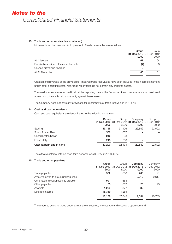## 13 Trade and other receivables (continued)

Movements on the provision for impairment of trade receivables are as follows:

|                                          | Group | Group                   |
|------------------------------------------|-------|-------------------------|
|                                          |       | 31 Dec 2013 31 Dec 2012 |
|                                          | £000  | £000                    |
| At 1 January                             | 61    | 64                      |
| Receivables written off as uncollectable | (4)   | (3)                     |
| Unused provisions reversed               | 3     |                         |
| At 31 December                           | 60    | 61                      |

Creation and reversals of the provision for impaired trade receivables have been included in the income statement under other operating costs. Non-trade receivables do not contain any impaired assets.

The maximum exposure to credit risk at the reporting date is the fair value of each receivable class mentioned above. No collateral is held as security against these assets.

The Company does not have any provisions for impairments of trade receivables (2012: nil).

### 14 Cash and cash equivalents

Cash and cash equivalents are denominated in the following currencies:

|                             | Group  | Group  | Company                                         | Company |
|-----------------------------|--------|--------|-------------------------------------------------|---------|
|                             |        |        | 31 Dec 2013 31 Dec 2012 31 Dec 2013 31 Dec 2012 |         |
|                             | £000   | £000   | £000                                            | £000    |
| Sterling                    | 39.155 | 31.106 | 29.642                                          | 22,592  |
| South African Rand          | 560    | 667    |                                                 |         |
| <b>United States Dollar</b> | 242    | 98     |                                                 |         |
| Polish Zloty                | 243    | 263    |                                                 |         |
| Cash at bank and in hand    | 40.200 | 32.134 | 29.642                                          | 22,592  |

The effective interest rate on short term deposits was 0.38% (2012: 0.46%).

# 15 Trade and other payables

|                                       | Group  | Group  | Company                                         | Company |
|---------------------------------------|--------|--------|-------------------------------------------------|---------|
|                                       |        |        | 31 Dec 2013 31 Dec 2012 31 Dec 2013 31 Dec 2012 |         |
|                                       | £000   | £000   | £000                                            | £000    |
| Trade payables                        | 532    | 368    | 265                                             | 91      |
| Amounts owed to group undertakings    |        |        | 9.012                                           | 20,617  |
| Other tax and social security payable | 991    | 658    |                                                 |         |
| Other payables                        | 55     | 657    | 25                                              | 25      |
| Accruals                              | 1,259  | 1,877  | 32                                              |         |
| Deferred income                       | 15,349 | 14,285 |                                                 |         |
|                                       | 18,186 | 17.845 | 9.334                                           | 20,733  |

The amounts owed to group undertakings are unsecured, interest free and repayable upon demand.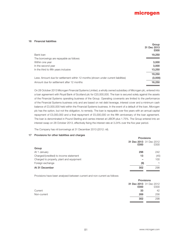

### 16 Financial liabilities

|                                                                                    | Group<br>31 Dec 2013<br>£000 |
|------------------------------------------------------------------------------------|------------------------------|
| Bank Ioan                                                                          | 19,250                       |
| The borrowings are repayable as follows:                                           |                              |
| Within one year                                                                    | 3,000                        |
| In the second year                                                                 | 3,000                        |
| In the third to fifth years inclusive                                              | 13,250                       |
|                                                                                    | 19,250                       |
| Less: Amount due for settlement within 12 months (shown under current liabilities) | (3,000)                      |
| Amount due for settlement after 12 months                                          | 16,250                       |
|                                                                                    |                              |

On 28 October 2013 Microgen Financial Systems Limited, a wholly owned subsidiary of Microgen plc, entered into a loan agreement with Royal Bank of Scotland plc for £20,000,000. The loan is secured solely against the assets of the Financial Systems operating business of the Group. Operating covenants are limited to the performance of the Financial Systems business only and are based on net debt leverage, interest cover and a minimum cash balance of £3,000,000 held within the Financial Systems business. In the event of a default of the loan, Microgen plc has the option, but not the obligation, to remedy. The loan is repayable over five years with an annual capital repayment of £3,000,000 and a final repayment of £5,000,000 on the fifth anniversary of the loan agreement. The loan is denominated in Pound Sterling and carries interest at LIBOR plus 1.75%. The Group entered into an interest swap on 28 October 2013, effectively fixing the interest rate at 3.24% over the five year period.

The Company has nil borrowings at 31 December 2013 (2012: nil).

# 17 Provisions for other liabilities and charges

|                                          | <b>Provisions</b> |                                 |
|------------------------------------------|-------------------|---------------------------------|
|                                          | £000              | 31 Dec 2013 31 Dec 2012<br>£000 |
| Group                                    |                   |                                 |
| At 1 January                             | 298               | 242                             |
| Charged/(credited) to income statement   | 13                | (45)                            |
| Charged to property, plant and equipment |                   | 100                             |
| Foreign exchange                         | (9)               |                                 |
| At 31 December                           | 302               | 298                             |

Provisions have been analysed between current and non-current as follows:

|             |      | Provisions              |  |
|-------------|------|-------------------------|--|
|             |      | 31 Dec 2013 31 Dec 2012 |  |
|             | £000 | £000                    |  |
| Current     | 33   | 42                      |  |
| Non-current | 269  | 256                     |  |
|             | 302  | 298                     |  |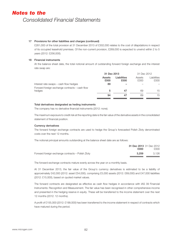# 17 Provisions for other liabilities and charges (continued)

£281,000 of the total provision at 31 December 2013 of £302,000 relates to the cost of dilapidations in respect of its occupied leasehold premises. Of the non-current provision, £269,000 is expected to unwind within 2 to 5 years (2012: £256,000).

## 18 Financial instruments

At the balance sheet date, the total notional amount of outstanding forward foreign exchange and the interest rate swap are:

|                                                          | 31 Dec 2013    |                     | 31 Dec 2012    |                     |
|----------------------------------------------------------|----------------|---------------------|----------------|---------------------|
|                                                          | Assets<br>£000 | Liabilities<br>£000 | Assets<br>£000 | Liabilities<br>£000 |
| Interest rate swaps – cash flow hedges                   | 89             |                     |                |                     |
| Forward foreign exchange contracts – cash flow<br>hedges | 5              | 47                  | 69             | 15                  |
|                                                          | 94             | 47                  | 69             | 15                  |

#### Total derivatives designated as heding instruments

The company has no derivative financial instruments (2012: none).

The maximum exposure to credit risk at the reporting date is the fair value of the derivative assets in the consolidated statement of financial position.

# Currency derivatives

The forward foreign exchange contracts are used to hedge the Group's forecasted Polish Zloty denominated costs over the next 12 months.

The notional principal amounts outstanding at the balance sheet date are as follows:

|                                                   | £000  | 31 Dec 2013 31 Dec 2012<br>£000 |
|---------------------------------------------------|-------|---------------------------------|
| Forward foreign exchange contracts – Polish Zloty | 3.259 | 3.126                           |

The forward exchange contracts mature evenly across the year on a monthly basis.

At 31 December 2013, the fair value of the Group's currency derivatives is estimated to be a liability of approximately £42,000 (2012: asset £54,000), comprising £5,000 assets (2012: £69,000) and £47,000 liabilities (2012: £15,000), based on quoted market values.

The forward contracts are designated as effective as cash flow hedges in accordance with IAS 39 Financial Instruments: Recognition and Measurement. The fair value has been recognised in other comprehensive income and presented in the hedging reserve in equity. These will be transferred to the income statement over the next 12 months (2012: 12 months).

A profit of £155,000 (2012: £199,000) has been transferred to the income statement in respect of contracts which have matured during the period.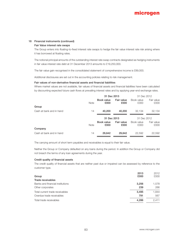## 18 Financial instruments (continued)

#### Fair Value interest rate swaps

The Group enters into floating-to-fixed interest rate swaps to hedge the fair value interest rate risk arising where it has borrowed at floating rates.

The notional principal amounts of the outstanding interest rate swap contracts designated as hedging instruments in fair value interest rate debt at 31 December 2013 amounts to £19,250,000.

The fair value gain recognised in the consolidated statement of comprehensive income is £89,000.

Additional disclosures are set out in the accounting policies relating to risk management.

#### Fair values of non-derivative financial assets and financial liabilities

Where market values are not available, fair values of financial assets and financial liabilities have been calculated by discounting expected future cash flows at prevailing interest rates and by applying year-end exchange rates.

|                          |             | 31 Dec 2013        |                    | 31 Dec 2012        |                    |
|--------------------------|-------------|--------------------|--------------------|--------------------|--------------------|
|                          | <b>Note</b> | Book value<br>£000 | Fair value<br>£000 | Book value<br>£000 | Fair value<br>£000 |
| Group                    |             |                    |                    |                    |                    |
| Cash at bank and in hand | 14          | 40,200             | 40,200             | 32.134             | 32,134             |
|                          |             | 31 Dec 2013        |                    | 31 Dec 2012        |                    |
|                          | <b>Note</b> | Book value<br>£000 | Fair value<br>£000 | Book value<br>£000 | Fair value<br>£000 |
| Company                  |             |                    |                    |                    |                    |
| Cash at bank and in hand | 14          | 29,642             | 29,642             | 22,592             | 22,592             |

The carrying amount of short term payables and receivables is equal to their fair value.

Neither the Group or Company defaulted on any loans during the period. In addition the Group or Company did not breach the terms of any loan agreements during the year.

#### Credit quality of financial assets

The credit quality of financial assets that are neither past due or impaired can be assessed by reference to the customer type.

|                                  | 2013  | 2012  |
|----------------------------------|-------|-------|
| Group                            | £000  | £000  |
| Trade receivables                |       |       |
| Banks and financial institutions | 3.256 | 1.578 |
| Other corporates                 | 239   | 266   |
| Total current trade receivables  | 3.495 | 1.844 |
| Overdue trade receivables        | 791   | 567   |
| Total trade receivables          | 4.286 | 2.411 |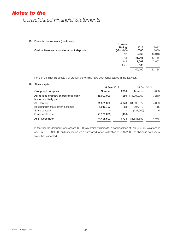# 18 Financial instruments (continued)

| Cash at bank and short-term bank deposits | Current<br>Rating<br>(Moody's) | 2013<br>£000 | 2012<br>£000 |
|-------------------------------------------|--------------------------------|--------------|--------------|
|                                           | A2                             | 3,565        | 13,016       |
|                                           | AЗ                             | 35,068       | 17,116       |
|                                           | Aa3                            | 1,007        | 2,002        |
|                                           | Baa1                           | 560          |              |
|                                           |                                | 40,200       | 32,134       |

None of the financial assets that are fully performing have been renegotiated in the last year.

# 19 Share capital

|                                       | 31 Dec 2013   |       | 31 Dec 2012   |       |
|---------------------------------------|---------------|-------|---------------|-------|
| Group and company                     | <b>Number</b> | £000  | <b>Number</b> | £000  |
| Authorised ordinary shares of 5p each | 145,000,000   | 7.250 | 145,000,000   | 7.250 |
| Issued and fully paid:                |               |       |               |       |
| At 1 January                          | 81,581,850    | 4.078 | 81,395,677    | 4,069 |
| Issued under share option schemes     | 1,046,727     | 52    | 307,173       | 15    |
| Share buyback                         |               | -     | (121,000)     | (6)   |
| Share tender offer                    | (8,130,075)   | (406) |               |       |
| At 31 December                        | 74,498,502    | 3.724 | 81,581,850    | 4,078 |
|                                       |               |       |               |       |

In the year the Company repurchased 8,130,075 ordinary shares for a consideration of £10,000,000 via a tender offer. In 2012, 121,000 ordinary shares were purchased for consideration of £145,200. The shares in both years were then cancelled.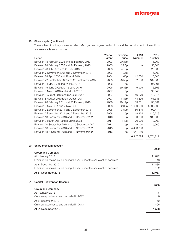# 19 Share capital (continued)

The number of ordinary shares for which Microgen employees hold options and the period to which the options are exercisable are as follows:

|    | Period                                                                  | Year of<br>grant | Exercise<br>price  | 2013<br>Number           | 2012<br>Number |
|----|-------------------------------------------------------------------------|------------------|--------------------|--------------------------|----------------|
|    | Between 18 February 2006 and 18 February 2013                           | 2003             | 20.33p             |                          | 6,000          |
|    | Between 24 February 2006 and 24 February 2013                           | 2003             | 24.5p              |                          | 50,000         |
|    | Between 28 July 2006 and 28 July 2013                                   | 2003             | 42.5p              | $\overline{\phantom{0}}$ | 25,000         |
|    | Between 7 November 2006 and 7 November 2013                             | 2003             | 42.5p              | $\qquad \qquad -$        | 75,000         |
|    | Between 28 April 2007 and 28 April 2014                                 | 2004             | 60p                | 12,500                   | 25,000         |
|    | Between 22 September 2008 and 22 September 2015                         | 2005             | 70.50p             | 32,500                   | 167,500        |
|    | Between 24 May 2009 and 24 May 2016                                     | 2006             | 5p                 |                          | 397,991        |
|    | Between 15 June 2009 and 15 June 2016                                   | 2006             | 59.33p             | 9,999                    | 16,666         |
|    | Between 5 March 2010 and 5 March 2017                                   | 2007             | 5p                 |                          | 93,340         |
|    | Between 6 August 2010 and 6 August 2017                                 | 2007             | 5p                 | 46,670                   | 210,015        |
|    | Between 6 August 2010 and 6 August 2017                                 | 2007             | 46.83p             | 43,336                   | 51,336         |
|    | Between 28 February 2011 and 28 February 2018                           | 2008             | 48.17 <sub>p</sub> | 33,331                   | 33,331         |
|    | Between 2 May 2011 and 2 May 2018                                       | 2008             | 52.33p             | 1,000,000                | 1,000,000      |
|    | Between 2 December 2011 and 2 December 2018                             | 2008             | 43.50p             | 60,415                   | 92,414         |
|    | Between 2 December 2011 and 2 December 2018                             | 2008             | 5p                 | 18,334                   | 116,219        |
|    | Between 13 December 2013 and 13 December 2020                           | 2010             | 5p                 | 130,000                  | 130,000        |
|    | Between 3 March 2014 and 3 March 2021                                   | 2011             | 140 <sub>p</sub>   | 70,000                   | 70,000         |
|    | Between 20 September 2014 and 20 September 2021                         | 2011             | 5p                 | 15,000                   | 15,000         |
|    | Between 18 November 2016 and 18 November 2023                           | 2013             | 5p                 | 4,433,750                |                |
|    | Between 18 November 2018 and 18 November 2023                           | 2013             | 5p                 | 1,041,250                |                |
|    |                                                                         |                  |                    | 6,947,085                | 2,574,812      |
| 20 | Share premium account                                                   |                  |                    |                          |                |
|    | <b>Group and Company</b>                                                |                  |                    |                          | £000           |
|    | At 1 January 2012                                                       |                  |                    |                          | 11,842         |
|    | Premium on shares issued during the year under the share option schemes |                  |                    |                          | 43             |
|    |                                                                         |                  |                    |                          |                |
|    | At 31 December 2012                                                     |                  |                    |                          | 11,885         |
|    | Premium on shares issued during the year under the share option schemes |                  |                    |                          | 152            |
|    | At 31 December 2013                                                     |                  |                    |                          | 12,037         |
| 21 | <b>Capital Redemption Reserve</b>                                       |                  |                    |                          |                |
|    |                                                                         |                  |                    |                          | £000           |
|    | <b>Group and Company</b>                                                |                  |                    |                          |                |
|    | At 1 January 2012                                                       |                  |                    |                          | 1,146          |
|    | On shares purchased and cancelled in 2012                               |                  |                    |                          | 6              |

At 31 December 2012 1,152 On shares purchased and cancelled in 2013 406 At 31 December 2013 1,558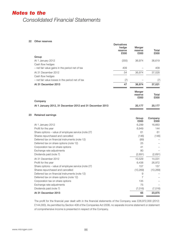#### 22 Other reserves

|                                                          | <b>Derivatives</b><br>hedge<br>reserve<br>£000 | Merger<br>reserve<br>£000 | Total<br>£000   |
|----------------------------------------------------------|------------------------------------------------|---------------------------|-----------------|
| Group                                                    |                                                |                           |                 |
| At 1 January 2012                                        | (355)                                          | 36,974                    | 36,619          |
| Cash flow hedges                                         |                                                |                           |                 |
| - net fair value gains in the period net of tax          | 409                                            |                           | 409             |
| At 31 December 2012                                      | 54                                             | 36,974                    | 37,028          |
| Cash flow hedges                                         |                                                |                           |                 |
| - net fair value losses in the period net of tax         | (7)                                            |                           | (7)             |
| At 31 December 2013                                      | 47                                             | 36,974                    | 37,021          |
|                                                          |                                                | Merger<br>reserve<br>£000 | Total<br>£000   |
| Company                                                  |                                                |                           |                 |
| At 1 January 2012, 31 December 2012 and 31 December 2013 |                                                | 20,177                    | 20,177          |
| <b>Retained earnings</b><br>23                           |                                                |                           |                 |
|                                                          |                                                | Group<br>£000             | Company<br>£000 |
| At 1 January 2012                                        |                                                | 6,299                     | 16,663          |
| Profit for the year                                      |                                                | 6,949                     | 144             |
| Share options - value of employee service (note 27)      |                                                | 61                        | 61              |
| Shares repurchased and cancelled                         |                                                | (146)                     | (146)           |
| Deferred tax on financial instruments (note 12)          |                                                | (89)                      |                 |
| Deferred tax on share options (note 12)                  |                                                | 25                        |                 |
| Corporation tax on share options                         |                                                | 41                        |                 |
| Exchange rate adjustments                                |                                                | 80                        |                 |
| Dividends paid (note 7)                                  |                                                | (2,691)                   | (2,691)         |
| At 31 December 2012                                      |                                                | 10,529                    | 14,031          |
| Profit for the year                                      |                                                | 6,438                     | 26,972          |
| Share options - value of employee service (note 27)      |                                                | 157                       | 157             |
| Shares repurchased and cancelled                         |                                                | (10, 269)                 | (10, 269)       |
| Deferred tax on financial instruments (note 12)          |                                                | 9                         |                 |
| Deferred tax on share options (note 12)                  |                                                | $\overline{7}$            |                 |
| Corporation tax on share options                         |                                                | 135                       |                 |
| Exchange rate adjustments                                |                                                | 75                        |                 |
| Dividends paid (note 7)                                  |                                                | (7,016)                   | (7,016)         |
| At 31 December 2013                                      |                                                | 65                        | 23,875          |

The profit for the financial year dealt with in the financial statements of the Company was £26,972,000 (2012: £144,000). As permitted by Section 408 of the Companies Act 2006, no separate income statement or statement of comprehensive income is presented in respect of the Company.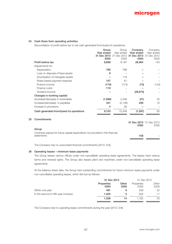# 24 Cash flows from operating activities

Reconciliation of profit before tax to net cash generated from/(used in) operations:

|                                          | Group<br>Year ended<br>31 Dec 2013<br>£000 | Group<br>Year ended<br>£000 | Company<br>Year ended<br>31 Dec 2012 31 Dec 2013 31 Dec 2012<br>£000 | Company<br>Year ended<br>£000 |
|------------------------------------------|--------------------------------------------|-----------------------------|----------------------------------------------------------------------|-------------------------------|
| Profit before tax                        | 8,688                                      | 9,187                       | 26,964                                                               | 143                           |
| Adjustments for:                         |                                            |                             |                                                                      |                               |
| Depreciation                             | 790                                        | 788                         |                                                                      |                               |
| Loss on disposal of fixed assets         | 9                                          |                             |                                                                      |                               |
| Amortisation of intangible assets        |                                            | 118                         |                                                                      |                               |
| Share-based payment expense              | 157                                        | 61                          |                                                                      |                               |
| Finance income                           | (119)                                      | (174)                       | (73)                                                                 | (143)                         |
| Finance costs                            | 119                                        |                             |                                                                      |                               |
| Dividend income                          |                                            |                             | (28, 673)                                                            |                               |
| Changes in working capital:              |                                            |                             |                                                                      |                               |
| (Increase)/decrease in receivables       | (1,886)                                    | 2,448                       | (21)                                                                 | 22                            |
| Increase/(decrease) in payables          | 341                                        | (2, 136)                    | 206                                                                  | 70                            |
| Increase in provisions                   | 4                                          | 56                          |                                                                      |                               |
| Cash generated from/(used in) operations | 8,103                                      | 10,348                      | (1,597)                                                              | 92                            |
| Commitments                              |                                            |                             |                                                                      |                               |

|                                                                                        | 31 Dec 2013 31 Dec 2012<br>£000 | £000 |
|----------------------------------------------------------------------------------------|---------------------------------|------|
| Group<br>Contracts placed for future capital expenditure not provided in the financial |                                 |      |
| statements                                                                             | 108                             |      |

The Company has no unprovided financial commitments (2012: £nil).

### 26 Operating leases – minimum lease payments

The Group leases various offices under non-cancellable operating lease agreements. The leases have various terms and renewal rights. The Group also leases plant and machines under non-cancellable operating lease agreements.

At the balance sheet date, the Group had outstanding commitments for future minimum lease payments under non-cancellable operating leases, which fall due as follows:

|                                       | 31 Dec 2013               |               | 31 Dec 2012        |               |
|---------------------------------------|---------------------------|---------------|--------------------|---------------|
|                                       | <b>Properties</b><br>£000 | Other<br>£000 | Properties<br>£000 | Other<br>£000 |
| Within one year                       | 491                       | 9             | 539                | 22            |
| In the second to fifth year inclusive | 1.035                     | 5             | 623                | 11            |
|                                       | 1.526                     | 14            | 1.162              | 33            |

The Company had no operating lease commitments during the year (2012: £nil)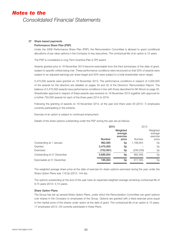# 27 Share based payments

# Performance Share Plan (PSP)

Under the 2006 Performance Share Plan (PSP), the Remuneration Committee is allowed to grant conditional allocations of par value options in the Company to key executives. The contractual life of an option is 10 years.

The PSP is considered a Long Term Incentive Plan (LTIP) award.

Awards granted prior to 18 November 2013 become exercisable from the third anniversary of the date of grant, subject to specific criteria being met. These performance conditions were structured so that 50% of awards were subject to an adjusted earnings per share target and 50% were subject to a total shareholder return target.

5,475,000 awards were granted on 18 November 2013. The performance conditions in respect of 3,000,000 of the awards for the directors are detailed on pages 34 and 35 of the Directors' Remuneration Report. The balance of 2,475,000 awards have performance conditions in line with those described for Mr Wood on page 35. Shareholder approval in respect of these awards was received on 18 November 2013 together with approval for a further 750,000 awards for each of the three years 2014 to 2016.

Following the granting of awards on 18 November 2013, at the year end there were 30 (2012: 7) employees currently participating in the scheme.

Exercise of an option is subject to continued employment.

Details of the share options outstanding under the PSP during the year are as follows:

|                            | 2013          |                                 | 2012       |                                 |
|----------------------------|---------------|---------------------------------|------------|---------------------------------|
|                            |               | Weighted<br>average<br>exercise |            | Weighted<br>average<br>exercise |
|                            | <b>Number</b> | price                           | Number     | price                           |
| Outstanding at 1 January   | 962,565       | 5p                              | 1,168,824  | 5p                              |
| Granted                    | 5,475,000     | 5p                              |            | 5p                              |
| Exercised                  | (752, 561)    | 5p                              | (206, 259) | 5p                              |
| Outstanding at 31 December | 5,685,004     | 5 <sub>p</sub>                  | 962,565    | 5p                              |
| Exercisable at 31 December | 195,004       | 5 <sub>p</sub>                  | 817,565    | 5p                              |

The weighted average share price at the date of exercise for share options exercised during the year under the Share Option Plans was 118.0p (2012: 144.4p).

The options outstanding at the end of the year have an expected weighted average remaining contractual life of 9.75 years (2012: 4.74 years).

# Share Option Plans

The Group has set up several Share Option Plans, under which the Remuneration Committee can grant options over shares in the Company to employees of the Group. Options are granted with a fixed exercise price equal to the market price of the shares under option at the date of grant. The contractual life of an option is 10 years. 17 employees (2012: 24) currently participate in these Plans.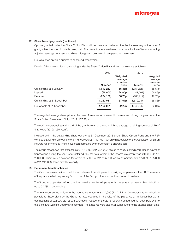### 27 Share based payments (continued)

Options granted under the Share Option Plans will become exercisable on the third anniversary of the date of grant, subject to specific criteria being met. The present criteria are based on a combination of factors including adjusted earnings per share and share price growth over a minimum period of three years.

Exercise of an option is subject to continued employment.

Details of the share options outstanding under the Share Option Plans during the year are as follows:

|                            | 2013          |                                 | 2012          |                                 |
|----------------------------|---------------|---------------------------------|---------------|---------------------------------|
|                            |               | Weighted<br>average<br>exercise |               | Weighted<br>average<br>exercise |
|                            | <b>Number</b> | price                           | <b>Number</b> | price                           |
| Outstanding at 1 January   | 1,612,247     | 55.86 <sub>p</sub>              | 1,754,828     | 55.64p                          |
| Lapsed                     | (56,000)      | 24.05 <sub>p</sub>              | (41,667)      | 66.49p                          |
| Exercised                  | (294, 166)    | 56.70 <sub>p</sub>              | (100, 914)    | 47.78p                          |
| Outstanding at 31 December | 1,262,081     | 57.07p                          | 1,612,247     | 55.86p                          |
| Exercisable at 31 December | 1,192,081     | 52.22p                          | 1,542,247     | 52.04p                          |

The weighted average share price at the date of exercise for share options exercised during the year under the Share Option Plans was 121.9p (2012: 137.27p).

The options outstanding at the end of the year have an expected weighted average remaining contractual life of 4.37 years (2012: 4.65 years).

Included within the outstanding share options at 31 December 2013 under Share Option Plans and the PSP were outstanding share options of 6,475,000 (2012: 1,397,991) which whilst outside of the Association of British Insurers recommended limits, have been approved by the Company's shareholders.

The Group recognised total expenses of £157,000 (2012: £61,000) related to equity-settled share-based payment transactions during the year. After deferred tax, the total credit in the income statement was £44,000 (2012: £90,000). There was a deferred tax credit of £7,000 (2012: £25,000) and a corporation tax credit of £135,000 (2012: £41,000) taken directly to equity.

#### 28 Retirement benefit schemes

The Group operates defined contribution retirement benefit plans for qualifying employees in the UK. The assets of the plans are held separately from those of the Group in funds under the control of trustees.

The Group also operates defined contribution retirement benefit plans for its overseas employees with contributions up to 9.76% of basic salary.

The total expense recognised in the income statement of £437,000 (2012: £442,000) represents contributions payable to these plans by the Group at rates specified in the rules of the plans. As at 31 December 2013, contributions of £22,000 (2012: £76,000) due in respect of the 2013 reporting period had not been paid over to the plans and were included within accruals. The amounts were paid over subsequent to the balance sheet date.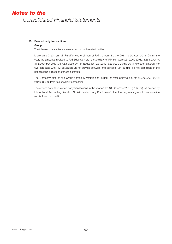# 29 Related party transactions

## Group

The following transactions were carried out with related parties:

Microgen's Chairman, Mr Ratcliffe was chairman of RM plc from 1 June 2011 to 30 April 2013. During the year, the amounts invoiced to RM Education Ltd, a subsidiary of RM plc, were £342,000 (2012: £364,000). At 31 December 2013 £nil was owed by RM Education Ltd (2012: £23,000). During 2013 Microgen entered into two contracts with RM Education Ltd to provide software and services. Mr Ratcliffe did not participate in the negotiations in respect of these contracts.

The Company acts as the Group's treasury vehicle and during the year borrowed a net £8,992,000 (2012: £12,008,000) from its subsidiary companies.

There were no further related party transactions in the year ended 31 December 2013 (2012: nil), as defined by International Accounting Standard No 24 "Related Party Disclosures" other than key management compensation as disclosed in note 3.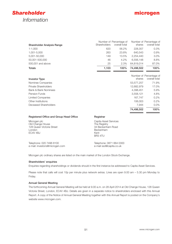



| <b>Shareholder Analysis Range</b>                                                              | Shareholders                                                                               | Number of Percentage of<br>overall total | shares     | Number of Percentage of<br>overall total |
|------------------------------------------------------------------------------------------------|--------------------------------------------------------------------------------------------|------------------------------------------|------------|------------------------------------------|
| $1 - 1,000$                                                                                    | 620                                                                                        | 56.2%                                    | 228,357    | 0.3%                                     |
| 1,001-5,000                                                                                    | 263                                                                                        | 23.8%                                    | 640.543    | $0.9\%$                                  |
| 5,001-50,000                                                                                   | 149                                                                                        | 13.5%                                    | 2,254,440  | 3.0%                                     |
| 50,001-500,000                                                                                 | 46                                                                                         | 4.2%                                     | 6,556,148  | 8.8%                                     |
| 500,001 and above                                                                              | 25                                                                                         | 2.3%                                     | 64,819,014 | 87.0%                                    |
| <b>Totals</b>                                                                                  | 1,103                                                                                      | 100%                                     | 74,498,502 | 100%                                     |
| <b>Investor Type</b>                                                                           |                                                                                            |                                          | shares     | Number of Percentage of<br>overall total |
| Nominee Companies                                                                              |                                                                                            |                                          | 53,577,257 | 71.9%                                    |
| Private Shareholders                                                                           |                                                                                            |                                          | 12,682,979 | 17.0%                                    |
| <b>Bank &amp; Bank Nominees</b>                                                                |                                                                                            |                                          | 4,398,451  | 5.9%                                     |
| Pension Funds                                                                                  |                                                                                            |                                          | 3,558,121  | 4.8%                                     |
| <b>Limited Companies</b>                                                                       |                                                                                            |                                          | 167,747    | 0.2%                                     |
| Other Institutions                                                                             |                                                                                            |                                          | 106,003    | 0.2%                                     |
| Deceased Shareholders                                                                          |                                                                                            |                                          | 7,944      | 0.0%                                     |
|                                                                                                |                                                                                            |                                          | 74,498,502 | 100%                                     |
| Registered Office and Group Head Office                                                        | Registrar                                                                                  |                                          |            |                                          |
| Microgen plc<br>Old Change House<br>128 Queen Victoria Street<br>London<br>EC4V <sub>4BJ</sub> | Capita Asset Services<br>The Registry<br>34 Beckenham Road<br>Beckenham<br>Kent<br>BR3 4TU |                                          |            |                                          |

Telephone: 020 7496 8100 e-mail: investors@microgen.com

Telephone: 0871 664 0300 e-mail ssd@capita.co.uk

Microgen plc ordinary shares are listed on the main market of the London Stock Exchange.

#### Shareholders' enquiries

Enquiries regarding shareholdings or dividends should in the first instance be addressed to Capita Asset Services.

Please note that calls will cost 10p per minute plus network extras. Lines are open 9.00 am – 5.30 pm Monday to Friday.

#### Annual General Meeting

The forthcoming Annual General Meeting will be held at 9.00 a.m. on 28 April 2014 at Old Change House, 128 Queen Victoria Street, London, EC4V 4BJ. Details are given in a separate notice to shareholders enclosed with this Annual Report. A copy of the Notice of Annual General Meeting together with this Annual Report is posted on the Company's website www.microgen.com.